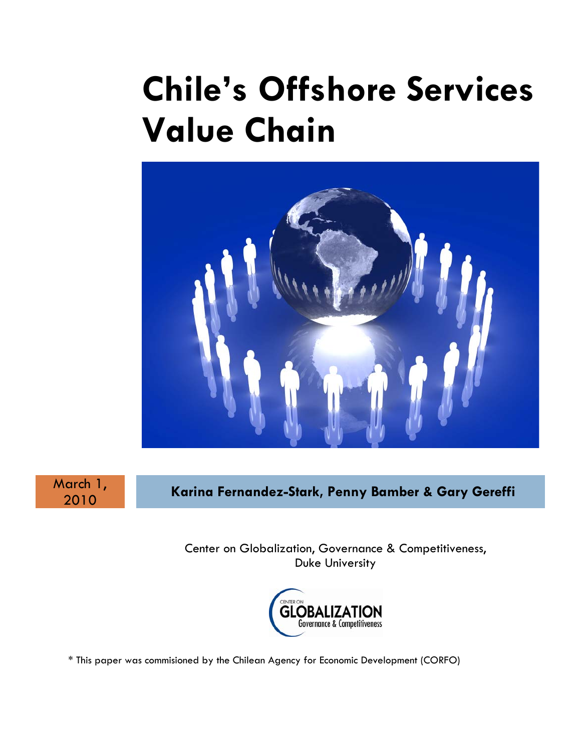# **Chile's Offshore Services Value Chain**



March 1,

<sup>2010</sup>**Karina Fernandez-Stark, Penny Bamber & Gary Gereffi**

Center on Globalization, Governance & Competitiveness, Duke University



\* This paper was commisioned by the Chilean Agency for Economic Development (CORFO)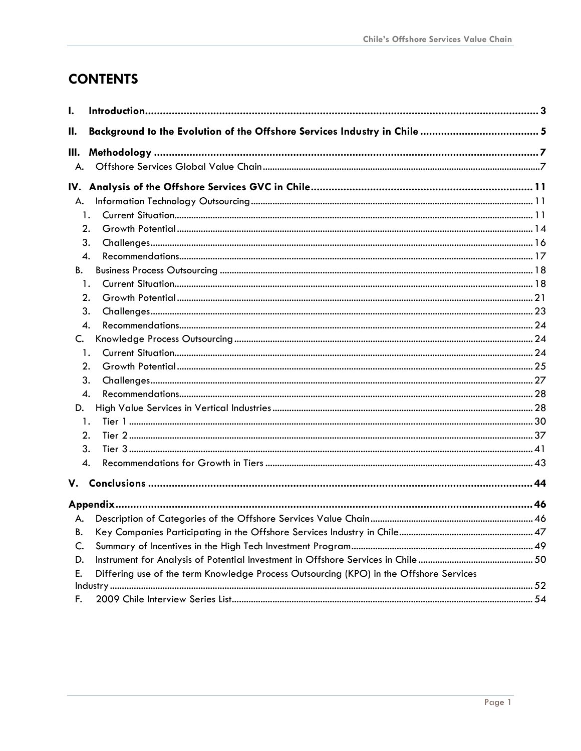# **CONTENTS**

| I.  |                                                                                        |  |
|-----|----------------------------------------------------------------------------------------|--|
| Ш.  |                                                                                        |  |
| Ш.  |                                                                                        |  |
| А.  |                                                                                        |  |
| IV. |                                                                                        |  |
| А.  |                                                                                        |  |
|     | $\mathbf{1}$ .                                                                         |  |
|     | 2.                                                                                     |  |
|     | 3.                                                                                     |  |
|     | 4.                                                                                     |  |
| В.  |                                                                                        |  |
|     | 1.                                                                                     |  |
|     | 2.                                                                                     |  |
|     | 3.                                                                                     |  |
|     | 4.                                                                                     |  |
| C.  |                                                                                        |  |
|     | 1.                                                                                     |  |
|     | 2.                                                                                     |  |
|     | 3.                                                                                     |  |
|     | 4.                                                                                     |  |
| D.  |                                                                                        |  |
|     | 1.                                                                                     |  |
|     | 2.                                                                                     |  |
|     | 3.                                                                                     |  |
|     | 4.                                                                                     |  |
| V.  |                                                                                        |  |
|     |                                                                                        |  |
| А.  |                                                                                        |  |
| В.  |                                                                                        |  |
| C.  |                                                                                        |  |
| D.  |                                                                                        |  |
| E.  | Differing use of the term Knowledge Process Outsourcing (KPO) in the Offshore Services |  |
|     |                                                                                        |  |
| F.  |                                                                                        |  |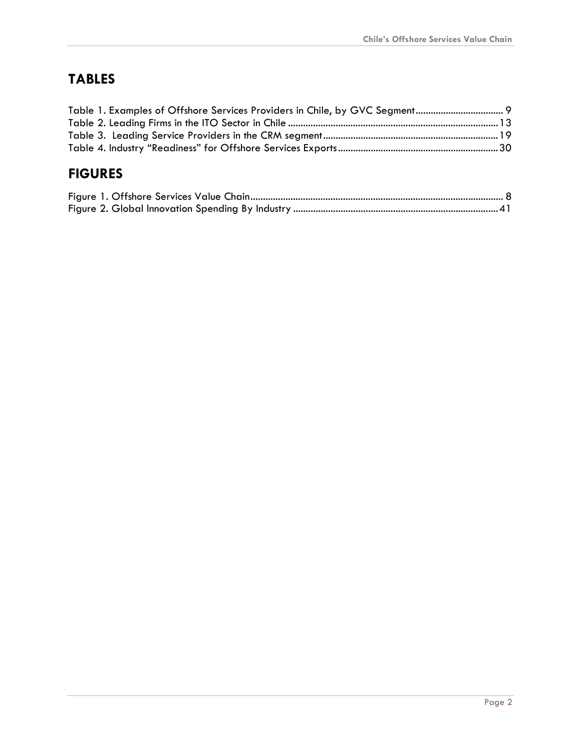# **TABLES**

# **FIGURES**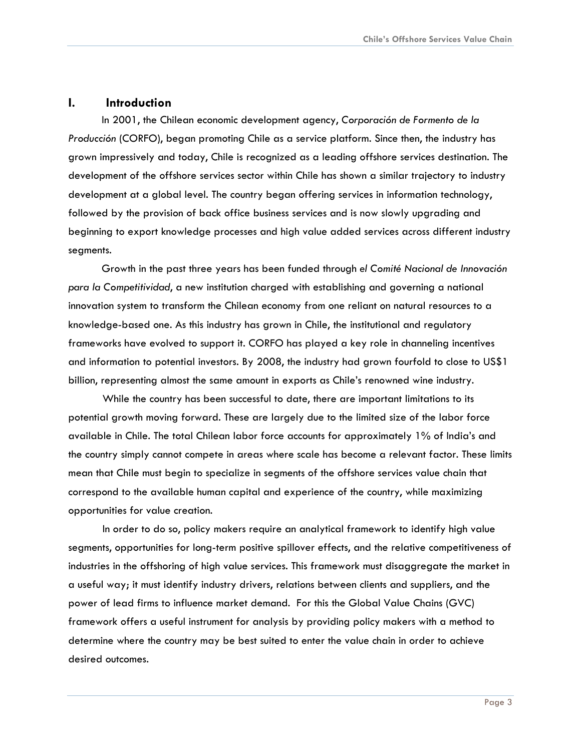#### <span id="page-3-0"></span>**I. Introduction**

In 2001, the Chilean economic development agency, *Corporación de Formento de la Producción* (CORFO), began promoting Chile as a service platform. Since then, the industry has grown impressively and today, Chile is recognized as a leading offshore services destination. The development of the offshore services sector within Chile has shown a similar trajectory to industry development at a global level. The country began offering services in information technology, followed by the provision of back office business services and is now slowly upgrading and beginning to export knowledge processes and high value added services across different industry segments.

Growth in the past three years has been funded through *el Comité Nacional de Innovación para la Competitividad*, a new institution charged with establishing and governing a national innovation system to transform the Chilean economy from one reliant on natural resources to a knowledge-based one. As this industry has grown in Chile, the institutional and regulatory frameworks have evolved to support it. CORFO has played a key role in channeling incentives and information to potential investors. By 2008, the industry had grown fourfold to close to US\$1 billion, representing almost the same amount in exports as Chile's renowned wine industry.

While the country has been successful to date, there are important limitations to its potential growth moving forward. These are largely due to the limited size of the labor force available in Chile. The total Chilean labor force accounts for approximately 1% of India's and the country simply cannot compete in areas where scale has become a relevant factor. These limits mean that Chile must begin to specialize in segments of the offshore services value chain that correspond to the available human capital and experience of the country, while maximizing opportunities for value creation.

In order to do so, policy makers require an analytical framework to identify high value segments, opportunities for long-term positive spillover effects, and the relative competitiveness of industries in the offshoring of high value services. This framework must disaggregate the market in a useful way; it must identify industry drivers, relations between clients and suppliers, and the power of lead firms to influence market demand. For this the Global Value Chains (GVC) framework offers a useful instrument for analysis by providing policy makers with a method to determine where the country may be best suited to enter the value chain in order to achieve desired outcomes.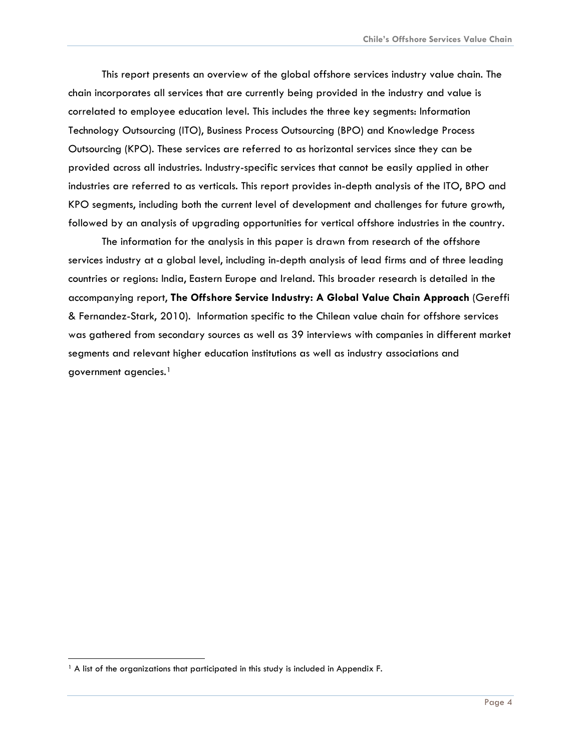This report presents an overview of the global offshore services industry value chain. The chain incorporates all services that are currently being provided in the industry and value is correlated to employee education level. This includes the three key segments: Information Technology Outsourcing (ITO), Business Process Outsourcing (BPO) and Knowledge Process Outsourcing (KPO). These services are referred to as horizontal services since they can be provided across all industries. Industry-specific services that cannot be easily applied in other industries are referred to as verticals. This report provides in-depth analysis of the ITO, BPO and KPO segments, including both the current level of development and challenges for future growth, followed by an analysis of upgrading opportunities for vertical offshore industries in the country.

The information for the analysis in this paper is drawn from research of the offshore services industry at a global level, including in-depth analysis of lead firms and of three leading countries or regions: India, Eastern Europe and Ireland. This broader research is detailed in the accompanying report, **The Offshore Service Industry: A Global Value Chain Approach** (Gereffi & Fernandez-Stark, 2010). Information specific to the Chilean value chain for offshore services was gathered from secondary sources as well as 39 interviews with companies in different market segments and relevant higher education institutions as well as industry associations and government agencies.[1](#page-4-0)

-

<span id="page-4-0"></span><sup>&</sup>lt;sup>1</sup> A list of the organizations that participated in this study is included in Appendix F.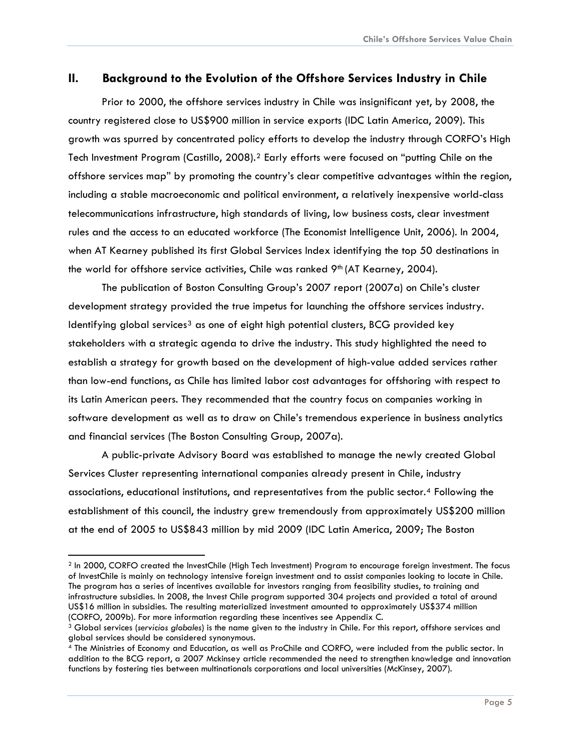## <span id="page-5-0"></span>**II. Background to the Evolution of the Offshore Services Industry in Chile**

Prior to 2000, the offshore services industry in Chile was insignificant yet, by 2008, the country registered close to US\$900 million in service exports (IDC Latin America, 2009). This growth was spurred by concentrated policy efforts to develop the industry through CORFO's High Tech Investment Program (Castillo, [2](#page-5-1)008).<sup>2</sup> Early efforts were focused on "putting Chile on the offshore services map" by promoting the country's clear competitive advantages within the region, including a stable macroeconomic and political environment, a relatively inexpensive world-class telecommunications infrastructure, high standards of living, low business costs, clear investment rules and the access to an educated workforce (The Economist Intelligence Unit, 2006). In 2004, when AT Kearney published its first Global Services Index identifying the top 50 destinations in the world for offshore service activities, Chile was ranked 9<sup>th</sup> (AT Kearney, 2004).

The publication of Boston Consulting Group's 2007 report (2007a) on Chile's cluster development strategy provided the true impetus for launching the offshore services industry. Identifying global services<sup>[3](#page-5-2)</sup> as one of eight high potential clusters, BCG provided key stakeholders with a strategic agenda to drive the industry. This study highlighted the need to establish a strategy for growth based on the development of high-value added services rather than low-end functions, as Chile has limited labor cost advantages for offshoring with respect to its Latin American peers. They recommended that the country focus on companies working in software development as well as to draw on Chile's tremendous experience in business analytics and financial services (The Boston Consulting Group, 2007a).

A public-private Advisory Board was established to manage the newly created Global Services Cluster representing international companies already present in Chile, industry associations, educational institutions, and representatives from the public sector.[4](#page-5-3) Following the establishment of this council, the industry grew tremendously from approximately US\$200 million at the end of 2005 to US\$843 million by mid 2009 (IDC Latin America, 2009; The Boston

<span id="page-5-1"></span><sup>2</sup> In 2000, CORFO created the InvestChile (High Tech Investment) Program to encourage foreign investment. The focus of InvestChile is mainly on technology intensive foreign investment and to assist companies looking to locate in Chile. The program has a series of incentives available for investors ranging from feasibility studies, to training and infrastructure subsidies. In 2008, the Invest Chile program supported 304 projects and provided a total of around US\$16 million in subsidies. The resulting materialized investment amounted to approximately US\$374 million

<span id="page-5-2"></span><sup>(</sup>CORFO, 2009b). For more information regarding these incentives see Appendix C.<br><sup>3</sup> Global services (*servicios globales*) is the name given to the industry in Chile. For this report, offshore services and global services should be considered synonymous.

<span id="page-5-3"></span><sup>4</sup> The Ministries of Economy and Education, as well as ProChile and CORFO, were included from the public sector. In addition to the BCG report, a 2007 Mckinsey article recommended the need to strengthen knowledge and innovation functions by fostering ties between multinationals corporations and local universities (McKinsey, 2007).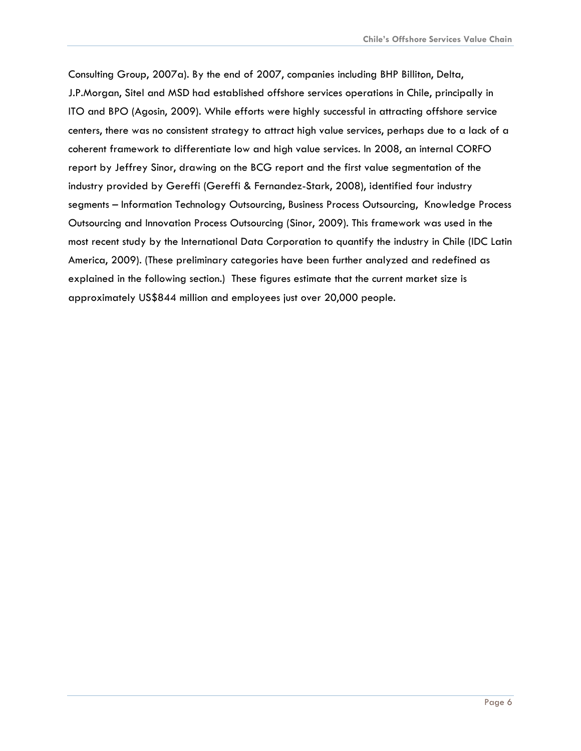Consulting Group, 2007a). By the end of 2007, companies including BHP Billiton, Delta, J.P.Morgan, Sitel and MSD had established offshore services operations in Chile, principally in ITO and BPO (Agosin, 2009). While efforts were highly successful in attracting offshore service centers, there was no consistent strategy to attract high value services, perhaps due to a lack of a coherent framework to differentiate low and high value services. In 2008, an internal CORFO report by Jeffrey Sinor, drawing on the BCG report and the first value segmentation of the industry provided by Gereffi (Gereffi & Fernandez-Stark, 2008), identified four industry segments – Information Technology Outsourcing, Business Process Outsourcing, Knowledge Process Outsourcing and Innovation Process Outsourcing (Sinor, 2009). This framework was used in the most recent study by the International Data Corporation to quantify the industry in Chile (IDC Latin America, 2009). (These preliminary categories have been further analyzed and redefined as explained in the following section.) These figures estimate that the current market size is approximately US\$844 million and employees just over 20,000 people.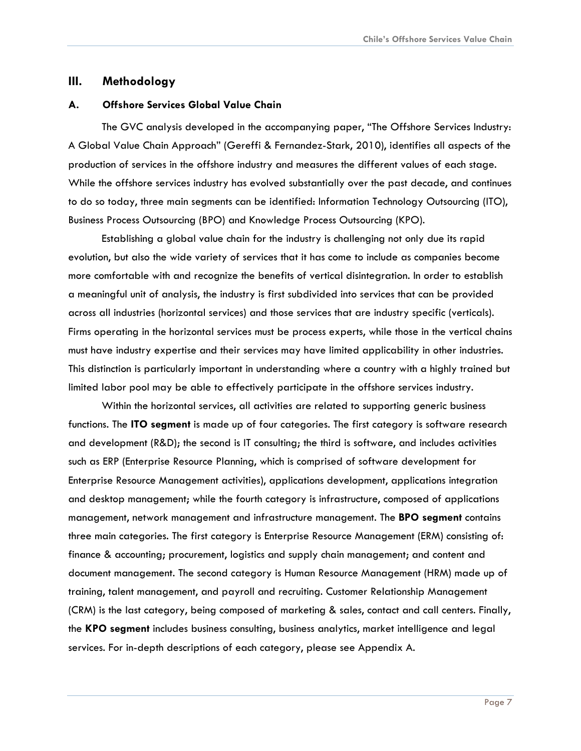### <span id="page-7-0"></span>**III. Methodology**

#### **A. Offshore Services Global Value Chain**

The GVC analysis developed in the accompanying paper, "The Offshore Services Industry: A Global Value Chain Approach" (Gereffi & Fernandez-Stark, 2010), identifies all aspects of the production of services in the offshore industry and measures the different values of each stage. While the offshore services industry has evolved substantially over the past decade, and continues to do so today, three main segments can be identified: Information Technology Outsourcing (ITO), Business Process Outsourcing (BPO) and Knowledge Process Outsourcing (KPO).

Establishing a global value chain for the industry is challenging not only due its rapid evolution, but also the wide variety of services that it has come to include as companies become more comfortable with and recognize the benefits of vertical disintegration. In order to establish a meaningful unit of analysis, the industry is first subdivided into services that can be provided across all industries (horizontal services) and those services that are industry specific (verticals). Firms operating in the horizontal services must be process experts, while those in the vertical chains must have industry expertise and their services may have limited applicability in other industries. This distinction is particularly important in understanding where a country with a highly trained but limited labor pool may be able to effectively participate in the offshore services industry.

Within the horizontal services, all activities are related to supporting generic business functions. The **ITO segment** is made up of four categories. The first category is software research and development (R&D); the second is IT consulting; the third is software, and includes activities such as ERP (Enterprise Resource Planning, which is comprised of software development for Enterprise Resource Management activities), applications development, applications integration and desktop management; while the fourth category is infrastructure, composed of applications management, network management and infrastructure management. The **BPO segment** contains three main categories. The first category is Enterprise Resource Management (ERM) consisting of: finance & accounting; procurement, logistics and supply chain management; and content and document management. The second category is Human Resource Management (HRM) made up of training, talent management, and payroll and recruiting. Customer Relationship Management (CRM) is the last category, being composed of marketing & sales, contact and call centers. Finally, the **KPO segment** includes business consulting, business analytics, market intelligence and legal services. For in-depth descriptions of each category, please see Appendix A.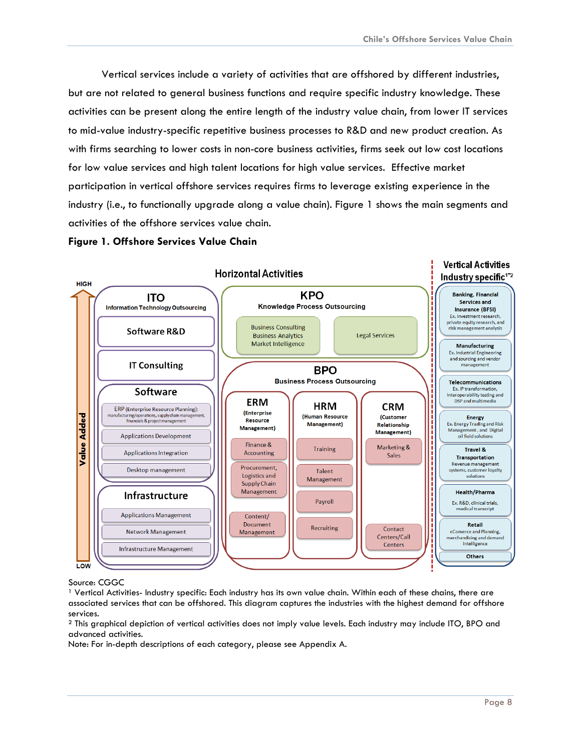<span id="page-8-0"></span>Vertical services include a variety of activities that are offshored by different industries, but are not related to general business functions and require specific industry knowledge. These activities can be present along the entire length of the industry value chain, from lower IT services to mid-value industry-specific repetitive business processes to R&D and new product creation. As with firms searching to lower costs in non-core business activities, firms seek out low cost locations for low value services and high talent locations for high value services. Effective market participation in vertical offshore services requires firms to leverage existing experience in the industry (i.e., to functionally upgrade along a value chain). Figure 1 shows the main segments and activities of the offshore services value chain.

#### **Figure 1. Offshore Services Value Chain**



#### Source: CGGC

<sup>1</sup> Vertical Activities- Industry specific: Each industry has its own value chain. Within each of these chains, there are associated services that can be offshored. This diagram captures the industries with the highest demand for offshore services.

² This graphical depiction of vertical activities does not imply value levels. Each industry may include ITO, BPO and advanced activities.

Note: For in-depth descriptions of each category, please see Appendix A.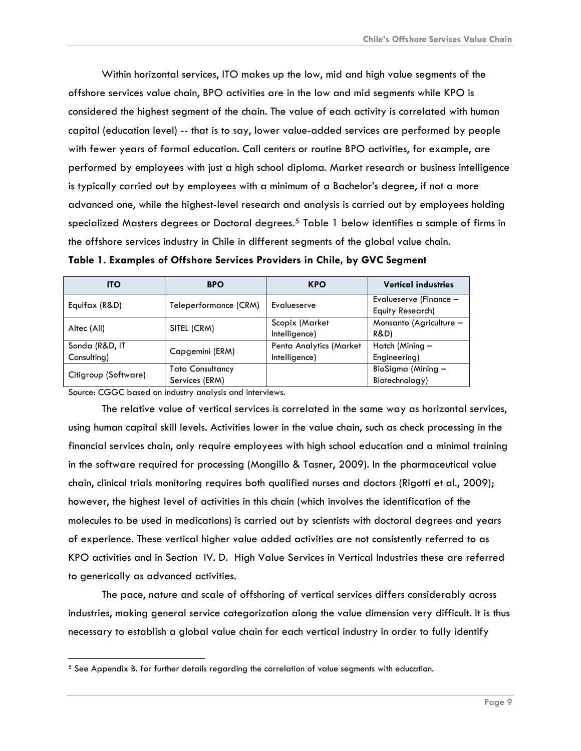<span id="page-9-0"></span>Within horizontal services, ITO makes up the low, mid and high value segments of the offshore services value chain, BPO activities are in the low and mid segments while KPO is considered the highest segment of the chain. The value of each activity is correlated with human capital (education level) -- that is to say, lower value-added services are performed by people with fewer years of formal education. Call centers or routine BPO activities, for example, are performed by employees with just a high school diploma. Market research or business intelligence is typically carried out by employees with a minimum of a Bachelor's degree, if not a more advanced one, while the highest-level research and analysis is carried out by employees holding specialized Masters degrees or Doctoral degrees.<sup>[5](#page-9-1)</sup> Table 1 below identifies a sample of firms in the offshore services industry in Chile in different segments of the global value chain.

| <b>ITO</b>           | <b>BPO</b>              | <b>KPO</b>              | <b>Vertical industries</b> |
|----------------------|-------------------------|-------------------------|----------------------------|
| Equifax (R&D)        | Teleperformance (CRM)   | Evalueserve             | Evalueserve (Finance -     |
|                      |                         |                         | <b>Equity Research)</b>    |
| Altec (All)          | SITEL (CRM)             | Scopix (Market          | Monsanto (Agriculture -    |
|                      |                         | Intelligence)           | <b>R&amp;D)</b>            |
| Sonda (R&D, IT       |                         | Penta Analytics (Market | Hatch (Mining -            |
| Consulting)          | Capgemini (ERM)         | Intelligence)           | Engineering)               |
|                      | <b>Tata Consultancy</b> |                         | BioSigma (Mining -         |
| Citigroup (Software) | Services (ERM)          |                         | Biotechnology)             |

**Table 1. Examples of Offshore Services Providers in Chile, by GVC Segment** 

Source: CGGC based on industry analysis and interviews.

The relative value of vertical services is correlated in the same way as horizontal services, using human capital skill levels. Activities lower in the value chain, such as check processing in the financial services chain, only require employees with high school education and a minimal training in the software required for processing (Mongillo & Tasner, 2009). In the pharmaceutical value chain, clinical trials monitoring requires both qualified nurses and doctors (Rigotti et al., 2009); however, the highest level of activities in this chain (which involves the identification of the molecules to be used in medications) is carried out by scientists with doctoral degrees and years of experience. These vertical higher value added activities are not consistently referred to as KPO activities and in Section IV. D. High Value Services in Vertical Industries these are referred to generically as advanced activities.

The pace, nature and scale of offshoring of vertical services differs considerably across industries, making general service categorization along the value dimension very difficult. It is thus necessary to establish a global value chain for each vertical industry in order to fully identify

<span id="page-9-1"></span> $5$  See Appendix B. for further details regarding the correlation of value segments with education.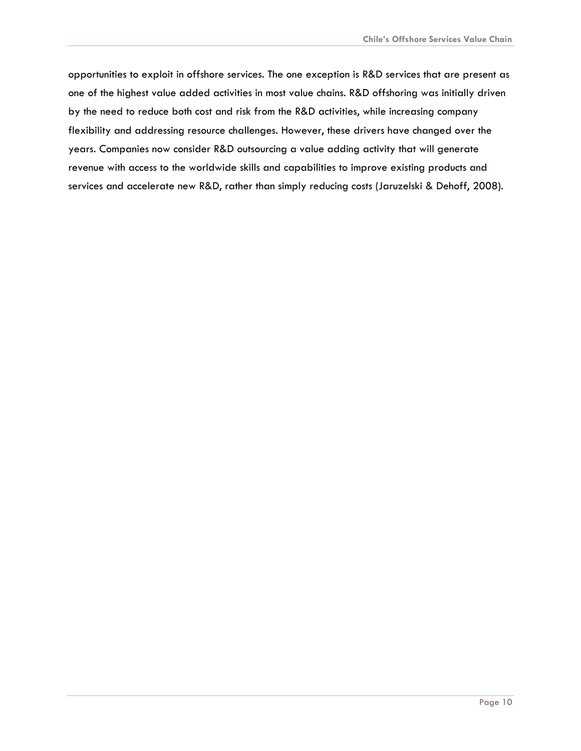opportunities to exploit in offshore services. The one exception is R&D services that are present as one of the highest value added activities in most value chains. R&D offshoring was initially driven by the need to reduce both cost and risk from the R&D activities, while increasing company flexibility and addressing resource challenges. However, these drivers have changed over the years. Companies now consider R&D outsourcing a value adding activity that will generate revenue with access to the worldwide skills and capabilities to improve existing products and services and accelerate new R&D, rather than simply reducing costs (Jaruzelski & Dehoff, 2008).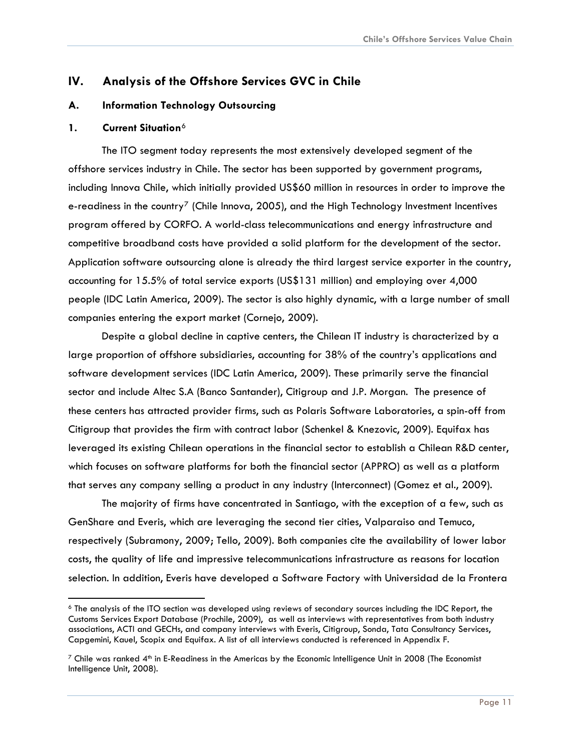# <span id="page-11-0"></span>**IV. Analysis of the Offshore Services GVC in Chile**

#### **A. Information Technology Outsourcing**

#### **1. Current Situation**[6](#page-11-1)

The ITO segment today represents the most extensively developed segment of the offshore services industry in Chile. The sector has been supported by government programs, including Innova Chile, which initially provided US\$60 million in resources in order to improve the e-readiness in the country<sup>[7](#page-11-2)</sup> (Chile Innova, 2005), and the High Technology Investment Incentives program offered by CORFO. A world-class telecommunications and energy infrastructure and competitive broadband costs have provided a solid platform for the development of the sector. Application software outsourcing alone is already the third largest service exporter in the country, accounting for 15.5% of total service exports (US\$131 million) and employing over 4,000 people (IDC Latin America, 2009). The sector is also highly dynamic, with a large number of small companies entering the export market (Cornejo, 2009).

Despite a global decline in captive centers, the Chilean IT industry is characterized by a large proportion of offshore subsidiaries, accounting for 38% of the country's applications and software development services (IDC Latin America, 2009). These primarily serve the financial sector and include Altec S.A (Banco Santander), Citigroup and J.P. Morgan. The presence of these centers has attracted provider firms, such as Polaris Software Laboratories, a spin-off from Citigroup that provides the firm with contract labor (Schenkel & Knezovic, 2009). Equifax has leveraged its existing Chilean operations in the financial sector to establish a Chilean R&D center, which focuses on software platforms for both the financial sector (APPRO) as well as a platform that serves any company selling a product in any industry (Interconnect) (Gomez et al., 2009).

The majority of firms have concentrated in Santiago, with the exception of a few, such as GenShare and Everis, which are leveraging the second tier cities, Valparaiso and Temuco, respectively (Subramony, 2009; Tello, 2009). Both companies cite the availability of lower labor costs, the quality of life and impressive telecommunications infrastructure as reasons for location selection. In addition, Everis have developed a Software Factory with Universidad de la Frontera

<span id="page-11-1"></span><sup>6</sup> The analysis of the ITO section was developed using reviews of secondary sources including the IDC Report, the Customs Services Export Database (Prochile, 2009), as well as interviews with representatives from both industry associations, ACTI and GECHs, and company interviews with Everis, Citigroup, Sonda, Tata Consultancy Services, Capgemini, Kauel, Scopix and Equifax. A list of all interviews conducted is referenced in Appendix F.

<span id="page-11-2"></span> $7$  Chile was ranked  $4<sup>th</sup>$  in E-Readiness in the Americas by the Economic Intelligence Unit in 2008 (The Economist Intelligence Unit, 2008).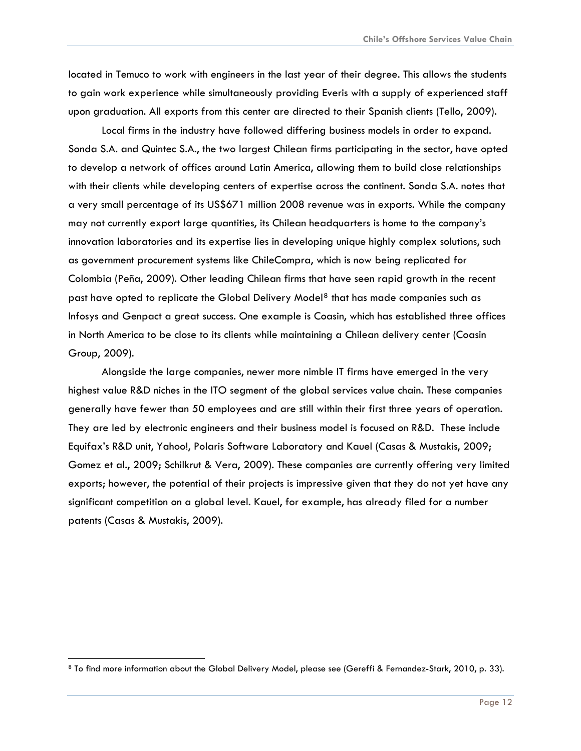located in Temuco to work with engineers in the last year of their degree. This allows the students to gain work experience while simultaneously providing Everis with a supply of experienced staff upon graduation. All exports from this center are directed to their Spanish clients (Tello, 2009).

Local firms in the industry have followed differing business models in order to expand. Sonda S.A. and Quintec S.A., the two largest Chilean firms participating in the sector, have opted to develop a network of offices around Latin America, allowing them to build close relationships with their clients while developing centers of expertise across the continent. Sonda S.A. notes that a very small percentage of its US\$671 million 2008 revenue was in exports. While the company may not currently export large quantities, its Chilean headquarters is home to the company's innovation laboratories and its expertise lies in developing unique highly complex solutions, such as government procurement systems like ChileCompra, which is now being replicated for Colombia (Peña, 2009). Other leading Chilean firms that have seen rapid growth in the recent past have opted to replicate the Global Delivery Model<sup>[8](#page-12-0)</sup> that has made companies such as Infosys and Genpact a great success. One example is Coasin, which has established three offices in North America to be close to its clients while maintaining a Chilean delivery center (Coasin Group, 2009).

Alongside the large companies, newer more nimble IT firms have emerged in the very highest value R&D niches in the ITO segment of the global services value chain. These companies generally have fewer than 50 employees and are still within their first three years of operation. They are led by electronic engineers and their business model is focused on R&D. These include Equifax's R&D unit, Yahoo!, Polaris Software Laboratory and Kauel (Casas & Mustakis, 2009; Gomez et al., 2009; Schilkrut & Vera, 2009). These companies are currently offering very limited exports; however, the potential of their projects is impressive given that they do not yet have any significant competition on a global level. Kauel, for example, has already filed for a number patents (Casas & Mustakis, 2009).

-

<span id="page-12-0"></span><sup>8</sup> To find more information about the Global Delivery Model, please see (Gereffi & Fernandez-Stark, 2010, p. 33).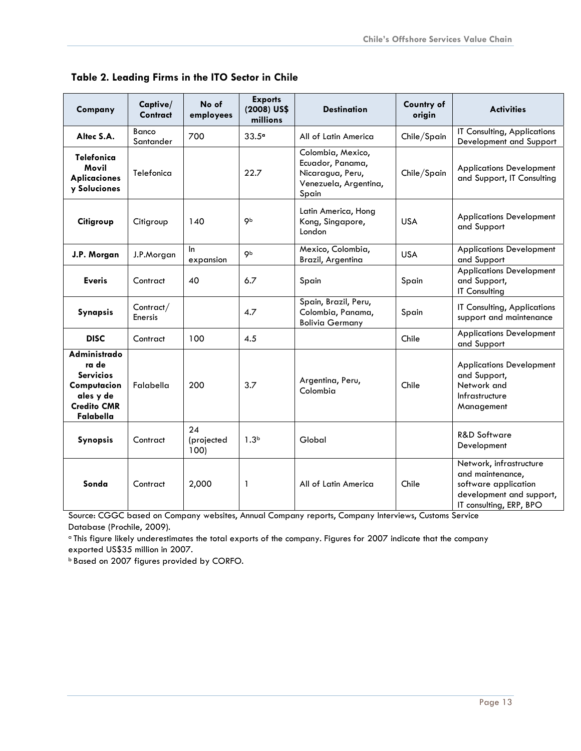| Company                                                                                                  | Captive/<br><b>Contract</b> | No of<br>employees       | <b>Exports</b><br>(2008) US\$<br>millions | <b>Destination</b>                                                                          | Country of<br>origin | <b>Activities</b>                                                                                                          |
|----------------------------------------------------------------------------------------------------------|-----------------------------|--------------------------|-------------------------------------------|---------------------------------------------------------------------------------------------|----------------------|----------------------------------------------------------------------------------------------------------------------------|
| Altec S.A.                                                                                               | Banco<br>Santander          | 700                      | 33.5°                                     | All of Latin America                                                                        | Chile/Spain          | IT Consulting, Applications<br>Development and Support                                                                     |
| <b>Telefonica</b><br>Movil<br><b>Aplicaciones</b><br>y Soluciones                                        | Telefonica                  |                          | 22.7                                      | Colombia, Mexico,<br>Ecuador, Panama,<br>Nicaragua, Peru,<br>Venezuela, Argentina,<br>Spain | Chile/Spain          | <b>Applications Development</b><br>and Support, IT Consulting                                                              |
| Citigroup                                                                                                | Citigroup                   | 140                      | <b>Qb</b>                                 | Latin America, Hong<br>Kong, Singapore,<br>London                                           | <b>USA</b>           | <b>Applications Development</b><br>and Support                                                                             |
| J.P. Morgan                                                                                              | J.P.Morgan                  | In.<br>expansion         | Qb                                        | Mexico, Colombia,<br>Brazil, Argentina                                                      | <b>USA</b>           | <b>Applications Development</b><br>and Support                                                                             |
| <b>Everis</b>                                                                                            | Contract                    | 40                       | 6.7                                       | Spain                                                                                       | Spain                | <b>Applications Development</b><br>and Support,<br><b>IT Consulting</b>                                                    |
| Synapsis                                                                                                 | Contract/<br><b>Enersis</b> |                          | 4.7                                       | Spain, Brazil, Peru,<br>Colombia, Panama,<br><b>Bolivia Germany</b>                         | Spain                | IT Consulting, Applications<br>support and maintenance                                                                     |
| <b>DISC</b>                                                                                              | Contract                    | 100                      | 4.5                                       |                                                                                             | Chile                | <b>Applications Development</b><br>and Support                                                                             |
| Administrado<br>ra de<br><b>Servicios</b><br>Computacion<br>ales y de<br><b>Credito CMR</b><br>Falabella | Falabella                   | 200                      | 3.7                                       | Argentina, Peru,<br>Colombia                                                                | Chile                | <b>Applications Development</b><br>and Support,<br>Network and<br>Infrastructure<br>Management                             |
| Synopsis                                                                                                 | Contract                    | 24<br>(projected<br>100) | 1.3 <sup>b</sup>                          | Global                                                                                      |                      | <b>R&amp;D Software</b><br>Development                                                                                     |
| Sonda                                                                                                    | Contract                    | 2,000                    | 1                                         | All of Latin America                                                                        | Chile                | Network, infrastructure<br>and maintenance,<br>software application<br>development and support,<br>IT consulting, ERP, BPO |

<span id="page-13-0"></span> **Table 2. Leading Firms in the ITO Sector in Chile** 

Source: CGGC based on Company websites, Annual Company reports, Company Interviews, Customs Service Database (Prochile, 2009).

a This figure likely underestimates the total exports of the company. Figures for 2007 indicate that the company exported US\$35 million in 2007.

b Based on 2007 figures provided by CORFO.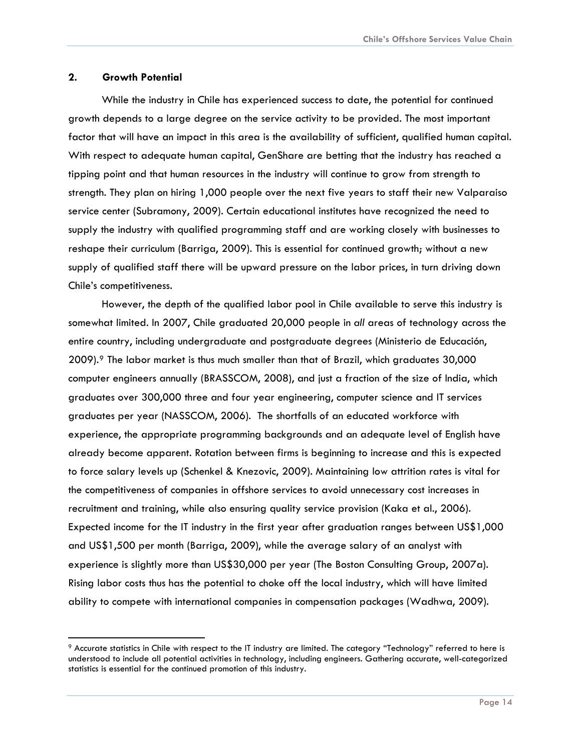#### <span id="page-14-0"></span>**2. Growth Potential**

While the industry in Chile has experienced success to date, the potential for continued growth depends to a large degree on the service activity to be provided. The most important factor that will have an impact in this area is the availability of sufficient, qualified human capital. With respect to adequate human capital, GenShare are betting that the industry has reached a tipping point and that human resources in the industry will continue to grow from strength to strength. They plan on hiring 1,000 people over the next five years to staff their new Valparaiso service center (Subramony, 2009). Certain educational institutes have recognized the need to supply the industry with qualified programming staff and are working closely with businesses to reshape their curriculum (Barriga, 2009). This is essential for continued growth; without a new supply of qualified staff there will be upward pressure on the labor prices, in turn driving down Chile's competitiveness.

However, the depth of the qualified labor pool in Chile available to serve this industry is somewhat limited. In 2007, Chile graduated 20,000 people in *all* areas of technology across the entire country, including undergraduate and postgraduate degrees (Ministerio de Educación, 2009).[9](#page-14-1) The labor market is thus much smaller than that of Brazil, which graduates 30,000 computer engineers annually (BRASSCOM, 2008), and just a fraction of the size of India, which graduates over 300,000 three and four year engineering, computer science and IT services graduates per year (NASSCOM, 2006). The shortfalls of an educated workforce with experience, the appropriate programming backgrounds and an adequate level of English have already become apparent. Rotation between firms is beginning to increase and this is expected to force salary levels up (Schenkel & Knezovic, 2009). Maintaining low attrition rates is vital for the competitiveness of companies in offshore services to avoid unnecessary cost increases in recruitment and training, while also ensuring quality service provision (Kaka et al., 2006). Expected income for the IT industry in the first year after graduation ranges between US\$1,000 and US\$1,500 per month (Barriga, 2009), while the average salary of an analyst with experience is slightly more than US\$30,000 per year (The Boston Consulting Group, 2007a). Rising labor costs thus has the potential to choke off the local industry, which will have limited ability to compete with international companies in compensation packages (Wadhwa, 2009).

<span id="page-14-1"></span><sup>9</sup> Accurate statistics in Chile with respect to the IT industry are limited. The category "Technology" referred to here is understood to include all potential activities in technology, including engineers. Gathering accurate, well-categorized statistics is essential for the continued promotion of this industry.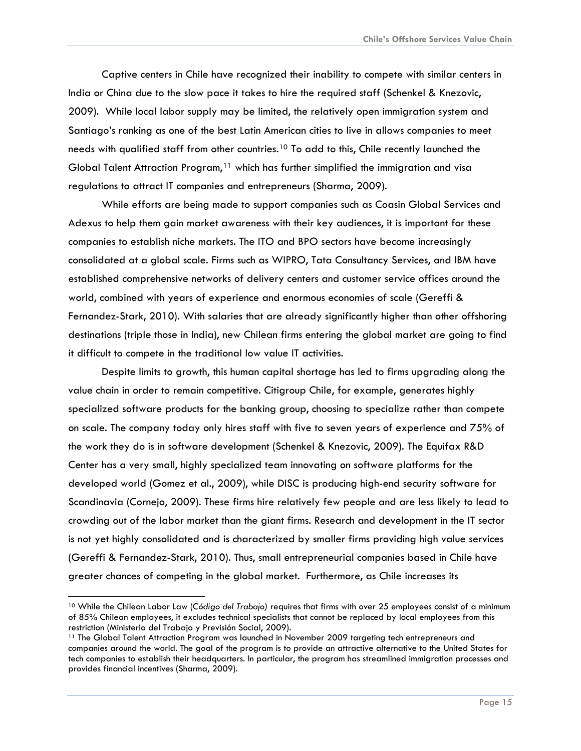Captive centers in Chile have recognized their inability to compete with similar centers in India or China due to the slow pace it takes to hire the required staff (Schenkel & Knezovic, 2009). While local labor supply may be limited, the relatively open immigration system and Santiago's ranking as one of the best Latin American cities to live in allows companies to meet needs with qualified staff from other countries.[10](#page-15-0) To add to this, Chile recently launched the Global Talent Attraction Program,<sup>[11](#page-15-1)</sup> which has further simplified the immigration and visa regulations to attract IT companies and entrepreneurs (Sharma, 2009).

While efforts are being made to support companies such as Coasin Global Services and Adexus to help them gain market awareness with their key audiences, it is important for these companies to establish niche markets. The ITO and BPO sectors have become increasingly consolidated at a global scale. Firms such as WIPRO, Tata Consultancy Services, and IBM have established comprehensive networks of delivery centers and customer service offices around the world, combined with years of experience and enormous economies of scale (Gereffi & Fernandez-Stark, 2010). With salaries that are already significantly higher than other offshoring destinations (triple those in India), new Chilean firms entering the global market are going to find it difficult to compete in the traditional low value IT activities.

Despite limits to growth, this human capital shortage has led to firms upgrading along the value chain in order to remain competitive. Citigroup Chile, for example, generates highly specialized software products for the banking group, choosing to specialize rather than compete on scale. The company today only hires staff with five to seven years of experience and 75% of the work they do is in software development (Schenkel & Knezovic, 2009). The Equifax R&D Center has a very small, highly specialized team innovating on software platforms for the developed world (Gomez et al., 2009), while DISC is producing high-end security software for Scandinavia (Cornejo, 2009). These firms hire relatively few people and are less likely to lead to crowding out of the labor market than the giant firms. Research and development in the IT sector is not yet highly consolidated and is characterized by smaller firms providing high value services (Gereffi & Fernandez-Stark, 2010). Thus, small entrepreneurial companies based in Chile have greater chances of competing in the global market. Furthermore, as Chile increases its

<span id="page-15-0"></span><sup>10</sup> While the Chilean Labor Law (*Código del Trabajo)* requires that firms with over 25 employees consist of a minimum of 85% Chilean employees, it excludes technical specialists that cannot be replaced by local employees from this restriction (Ministerio del Trabajo y Previsión Social, 2009).<br><sup>11</sup> The Global Talent Attraction Program was launched in November 2009 targeting tech entrepreneurs and

<span id="page-15-1"></span>companies around the world. The goal of the program is to provide an attractive alternative to the United States for tech companies to establish their headquarters. In particular, the program has streamlined immigration processes and provides financial incentives (Sharma, 2009).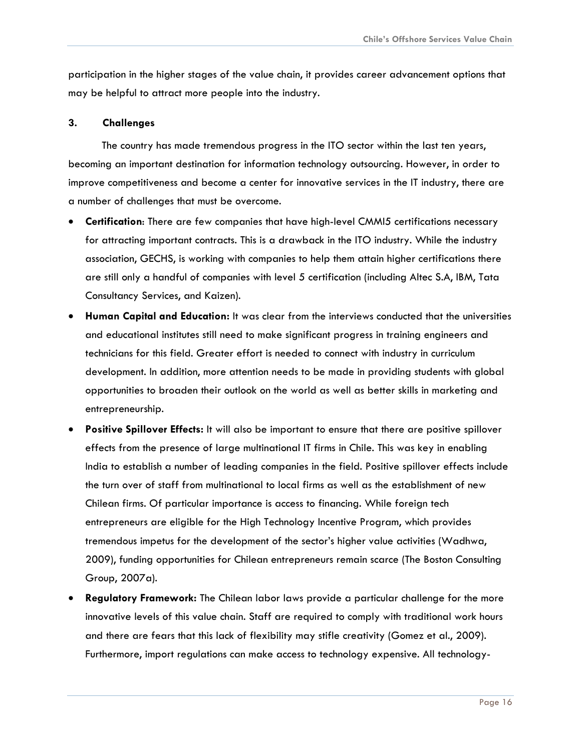<span id="page-16-0"></span>participation in the higher stages of the value chain, it provides career advancement options that may be helpful to attract more people into the industry.

#### **3. Challenges**

The country has made tremendous progress in the ITO sector within the last ten years, becoming an important destination for information technology outsourcing. However, in order to improve competitiveness and become a center for innovative services in the IT industry, there are a number of challenges that must be overcome.

- **Certification**: There are few companies that have high-level CMMI5 certifications necessary for attracting important contracts. This is a drawback in the ITO industry. While the industry association, GECHS, is working with companies to help them attain higher certifications there are still only a handful of companies with level 5 certification (including Altec S.A, IBM, Tata Consultancy Services, and Kaizen).
- **Human Capital and Education:** It was clear from the interviews conducted that the universities and educational institutes still need to make significant progress in training engineers and technicians for this field. Greater effort is needed to connect with industry in curriculum development. In addition, more attention needs to be made in providing students with global opportunities to broaden their outlook on the world as well as better skills in marketing and entrepreneurship.
- **Positive Spillover Effects:** It will also be important to ensure that there are positive spillover effects from the presence of large multinational IT firms in Chile. This was key in enabling India to establish a number of leading companies in the field. Positive spillover effects include the turn over of staff from multinational to local firms as well as the establishment of new Chilean firms. Of particular importance is access to financing. While foreign tech entrepreneurs are eligible for the High Technology Incentive Program, which provides tremendous impetus for the development of the sector's higher value activities (Wadhwa, 2009), funding opportunities for Chilean entrepreneurs remain scarce (The Boston Consulting Group, 2007a).
- **Regulatory Framework:** The Chilean labor laws provide a particular challenge for the more innovative levels of this value chain. Staff are required to comply with traditional work hours and there are fears that this lack of flexibility may stifle creativity (Gomez et al., 2009). Furthermore, import regulations can make access to technology expensive. All technology-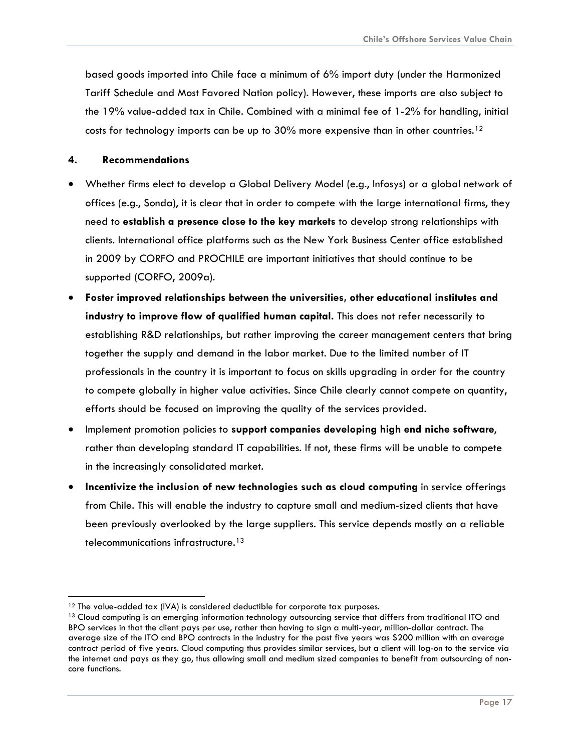<span id="page-17-0"></span>based goods imported into Chile face a minimum of 6% import duty (under the Harmonized Tariff Schedule and Most Favored Nation policy). However, these imports are also subject to the 19% value-added tax in Chile. Combined with a minimal fee of 1-2% for handling, initial costs for technology imports can be up to  $30\%$  more expensive than in other countries.<sup>12</sup>

#### **4. Recommendations**

- Whether firms elect to develop a Global Delivery Model (e.g., Infosys) or a global network of offices (e.g., Sonda), it is clear that in order to compete with the large international firms, they need to **establish a presence close to the key markets** to develop strong relationships with clients. International office platforms such as the New York Business Center office established in 2009 by CORFO and PROCHILE are important initiatives that should continue to be supported (CORFO, 2009a).
- **Foster improved relationships between the universities, other educational institutes and industry to improve flow of qualified human capital.** This does not refer necessarily to establishing R&D relationships, but rather improving the career management centers that bring together the supply and demand in the labor market. Due to the limited number of IT professionals in the country it is important to focus on skills upgrading in order for the country to compete globally in higher value activities. Since Chile clearly cannot compete on quantity, efforts should be focused on improving the quality of the services provided.
- Implement promotion policies to **support companies developing high end niche software**, rather than developing standard IT capabilities. If not, these firms will be unable to compete in the increasingly consolidated market.
- **Incentivize the inclusion of new technologies such as cloud computing** in service offerings from Chile. This will enable the industry to capture small and medium-sized clients that have been previously overlooked by the large suppliers. This service depends mostly on a reliable telecommunications infrastructure.[13](#page-17-1)

<sup>-</sup>

<span id="page-17-1"></span><sup>&</sup>lt;sup>12</sup> The value-added tax (IVA) is considered deductible for corporate tax purposes.<br><sup>13</sup> Cloud computing is an emerging information technology outsourcing service that differs from traditional ITO and BPO services in that the client pays per use, rather than having to sign a multi-year, million-dollar contract. The average size of the ITO and BPO contracts in the industry for the past five years was \$200 million with an average contract period of five years. Cloud computing thus provides similar services, but a client will log-on to the service via the internet and pays as they go, thus allowing small and medium sized companies to benefit from outsourcing of noncore functions.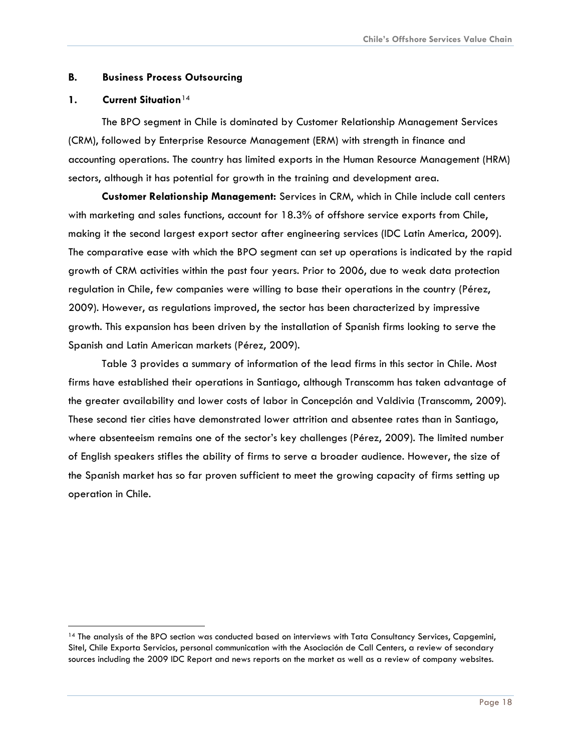#### <span id="page-18-0"></span>**B. Business Process Outsourcing**

#### **1. Current Situation**[14](#page-18-1)

The BPO segment in Chile is dominated by Customer Relationship Management Services (CRM), followed by Enterprise Resource Management (ERM) with strength in finance and accounting operations. The country has limited exports in the Human Resource Management (HRM) sectors, although it has potential for growth in the training and development area.

**Customer Relationship Management:** Services in CRM, which in Chile include call centers with marketing and sales functions, account for 18.3% of offshore service exports from Chile, making it the second largest export sector after engineering services (IDC Latin America, 2009). The comparative ease with which the BPO segment can set up operations is indicated by the rapid growth of CRM activities within the past four years. Prior to 2006, due to weak data protection regulation in Chile, few companies were willing to base their operations in the country (Pérez, 2009). However, as regulations improved, the sector has been characterized by impressive growth. This expansion has been driven by the installation of Spanish firms looking to serve the Spanish and Latin American markets (Pérez, 2009).

Table 3 provides a summary of information of the lead firms in this sector in Chile. Most firms have established their operations in Santiago, although Transcomm has taken advantage of the greater availability and lower costs of labor in Concepción and Valdivia (Transcomm, 2009). These second tier cities have demonstrated lower attrition and absentee rates than in Santiago, where absenteeism remains one of the sector's key challenges (Pérez, 2009). The limited number of English speakers stifles the ability of firms to serve a broader audience. However, the size of the Spanish market has so far proven sufficient to meet the growing capacity of firms setting up operation in Chile.

<span id="page-18-1"></span><sup>14</sup> The analysis of the BPO section was conducted based on interviews with Tata Consultancy Services, Capgemini, Sitel, Chile Exporta Servicios, personal communication with the Asociación de Call Centers, a review of secondary sources including the 2009 IDC Report and news reports on the market as well as a review of company websites.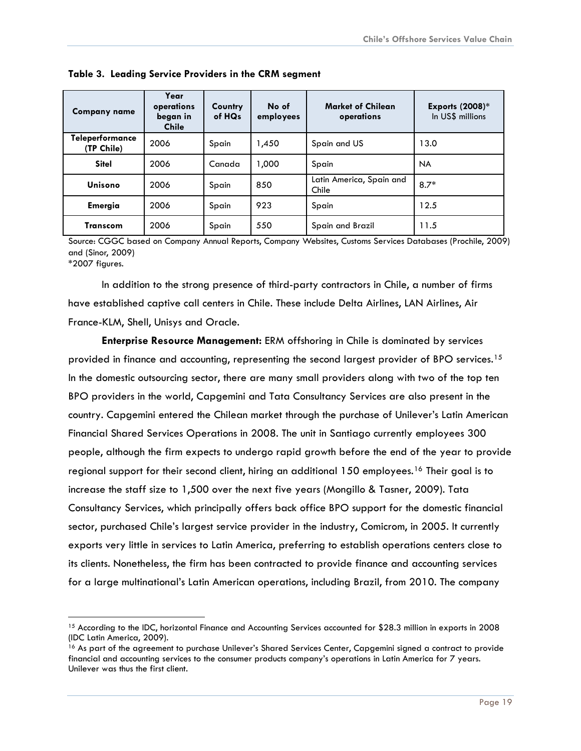| <b>Company name</b>                  | Year<br>operations<br>began in<br><b>Chile</b> | Country<br>of HQ <sub>s</sub> | No of<br>employees | <b>Market of Chilean</b><br>operations | <b>Exports (2008)*</b><br>In US\$ millions |
|--------------------------------------|------------------------------------------------|-------------------------------|--------------------|----------------------------------------|--------------------------------------------|
| <b>Teleperformance</b><br>(TP Chile) | 2006                                           | Spain                         | 1,450              | Spain and US                           | 13.0                                       |
| <b>Sitel</b>                         | 2006                                           | Canada                        | 1,000              | Spain                                  | <b>NA</b>                                  |
| Unisono                              | 2006                                           | Spain                         | 850                | Latin America, Spain and<br>Chile      | $8.7*$                                     |
| <b>Emergia</b>                       | 2006                                           | Spain                         | 923                | Spain                                  | 12.5                                       |
| Transcom                             | 2006                                           | Spain                         | 550                | Spain and Brazil                       | 11.5                                       |

<span id="page-19-0"></span>**Table 3. Leading Service Providers in the CRM segment** 

Source: CGGC based on Company Annual Reports, Company Websites, Customs Services Databases (Prochile, 2009) and (Sinor, 2009)

\*2007 figures.

In addition to the strong presence of third-party contractors in Chile, a number of firms have established captive call centers in Chile. These include Delta Airlines, LAN Airlines, Air France-KLM, Shell, Unisys and Oracle.

**Enterprise Resource Management:** ERM offshoring in Chile is dominated by services provided in finance and accounting, representing the second largest provider of BPO services.<sup>[15](#page-19-1)</sup> In the domestic outsourcing sector, there are many small providers along with two of the top ten BPO providers in the world, Capgemini and Tata Consultancy Services are also present in the country. Capgemini entered the Chilean market through the purchase of Unilever's Latin American Financial Shared Services Operations in 2008. The unit in Santiago currently employees 300 people, although the firm expects to undergo rapid growth before the end of the year to provide regional support for their second client, hiring an additional 150 employees.<sup>[16](#page-19-2)</sup> Their goal is to increase the staff size to 1,500 over the next five years (Mongillo & Tasner, 2009). Tata Consultancy Services, which principally offers back office BPO support for the domestic financial sector, purchased Chile's largest service provider in the industry, Comicrom, in 2005. It currently exports very little in services to Latin America, preferring to establish operations centers close to its clients. Nonetheless, the firm has been contracted to provide finance and accounting services for a large multinational's Latin American operations, including Brazil, from 2010. The company

<span id="page-19-1"></span> <sup>15</sup> According to the IDC, horizontal Finance and Accounting Services accounted for \$28.3 million in exports in 2008 (IDC Latin America, 2009).

<span id="page-19-2"></span><sup>&</sup>lt;sup>16</sup> As part of the agreement to purchase Unilever's Shared Services Center, Capgemini signed a contract to provide financial and accounting services to the consumer products company's operations in Latin America for 7 years. Unilever was thus the first client.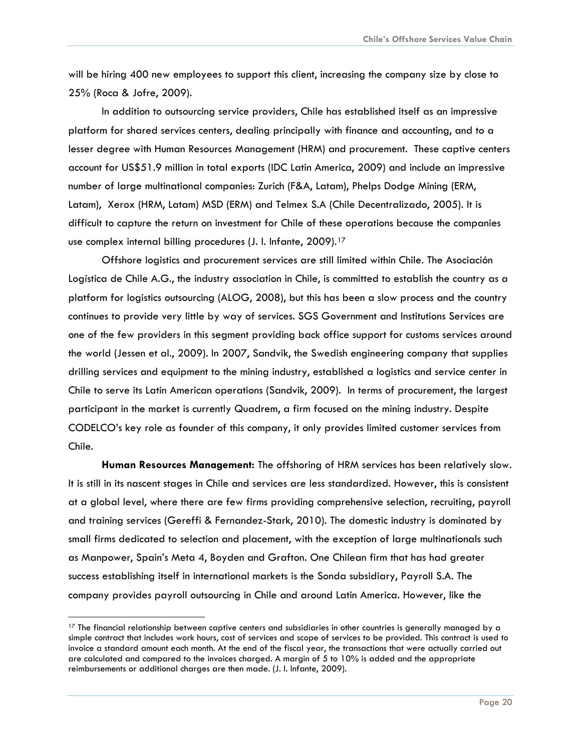will be hiring 400 new employees to support this client, increasing the company size by close to 25% (Roca & Jofre, 2009).

In addition to outsourcing service providers, Chile has established itself as an impressive platform for shared services centers, dealing principally with finance and accounting, and to a lesser degree with Human Resources Management (HRM) and procurement. These captive centers account for US\$51.9 million in total exports (IDC Latin America, 2009) and include an impressive number of large multinational companies: Zurich (F&A, Latam), Phelps Dodge Mining (ERM, Latam), Xerox (HRM, Latam) MSD (ERM) and Telmex S.A (Chile Decentralizado, 2005). It is difficult to capture the return on investment for Chile of these operations because the companies use complex internal billing procedures (J. I. Infante, 2009).<sup>[17](#page-20-0)</sup>

Offshore logistics and procurement services are still limited within Chile. The Asociación Logística de Chile A.G., the industry association in Chile, is committed to establish the country as a platform for logistics outsourcing (ALOG, 2008), but this has been a slow process and the country continues to provide very little by way of services. SGS Government and Institutions Services are one of the few providers in this segment providing back office support for customs services around the world (Jessen et al., 2009). In 2007, Sandvik, the Swedish engineering company that supplies drilling services and equipment to the mining industry, established a logistics and service center in Chile to serve its Latin American operations (Sandvik, 2009). In terms of procurement, the largest participant in the market is currently Quadrem, a firm focused on the mining industry. Despite CODELCO's key role as founder of this company, it only provides limited customer services from Chile.

**Human Resources Management:** The offshoring of HRM services has been relatively slow. It is still in its nascent stages in Chile and services are less standardized. However, this is consistent at a global level, where there are few firms providing comprehensive selection, recruiting, payroll and training services (Gereffi & Fernandez-Stark, 2010). The domestic industry is dominated by small firms dedicated to selection and placement, with the exception of large multinationals such as Manpower, Spain's Meta 4, Boyden and Grafton. One Chilean firm that has had greater success establishing itself in international markets is the Sonda subsidiary, Payroll S.A. The company provides payroll outsourcing in Chile and around Latin America. However, like the

<span id="page-20-0"></span> $17$  The financial relationship between captive centers and subsidiaries in other countries is generally managed by a simple contract that includes work hours, cost of services and scope of services to be provided. This contract is used to invoice a standard amount each month. At the end of the fiscal year, the transactions that were actually carried out are calculated and compared to the invoices charged. A margin of 5 to 10% is added and the appropriate reimbursements or additional charges are then made. (J. I. Infante, 2009).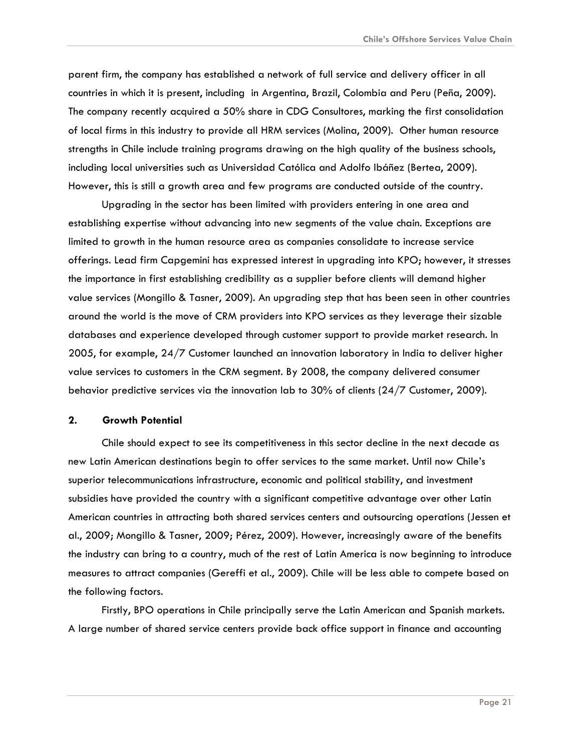<span id="page-21-0"></span>parent firm, the company has established a network of full service and delivery officer in all countries in which it is present, including in Argentina, Brazil, Colombia and Peru (Peña, 2009). The company recently acquired a 50% share in CDG Consultores, marking the first consolidation of local firms in this industry to provide all HRM services (Molina, 2009). Other human resource strengths in Chile include training programs drawing on the high quality of the business schools, including local universities such as Universidad Católica and Adolfo Ibáñez (Bertea, 2009). However, this is still a growth area and few programs are conducted outside of the country.

Upgrading in the sector has been limited with providers entering in one area and establishing expertise without advancing into new segments of the value chain. Exceptions are limited to growth in the human resource area as companies consolidate to increase service offerings. Lead firm Capgemini has expressed interest in upgrading into KPO; however, it stresses the importance in first establishing credibility as a supplier before clients will demand higher value services (Mongillo & Tasner, 2009). An upgrading step that has been seen in other countries around the world is the move of CRM providers into KPO services as they leverage their sizable databases and experience developed through customer support to provide market research. In 2005, for example, 24/7 Customer launched an innovation laboratory in India to deliver higher value services to customers in the CRM segment. By 2008, the company delivered consumer behavior predictive services via the innovation lab to 30% of clients (24/7 Customer, 2009).

#### **2. Growth Potential**

Chile should expect to see its competitiveness in this sector decline in the next decade as new Latin American destinations begin to offer services to the same market. Until now Chile's superior telecommunications infrastructure, economic and political stability, and investment subsidies have provided the country with a significant competitive advantage over other Latin American countries in attracting both shared services centers and outsourcing operations (Jessen et al., 2009; Mongillo & Tasner, 2009; Pérez, 2009). However, increasingly aware of the benefits the industry can bring to a country, much of the rest of Latin America is now beginning to introduce measures to attract companies (Gereffi et al., 2009). Chile will be less able to compete based on the following factors.

Firstly, BPO operations in Chile principally serve the Latin American and Spanish markets. A large number of shared service centers provide back office support in finance and accounting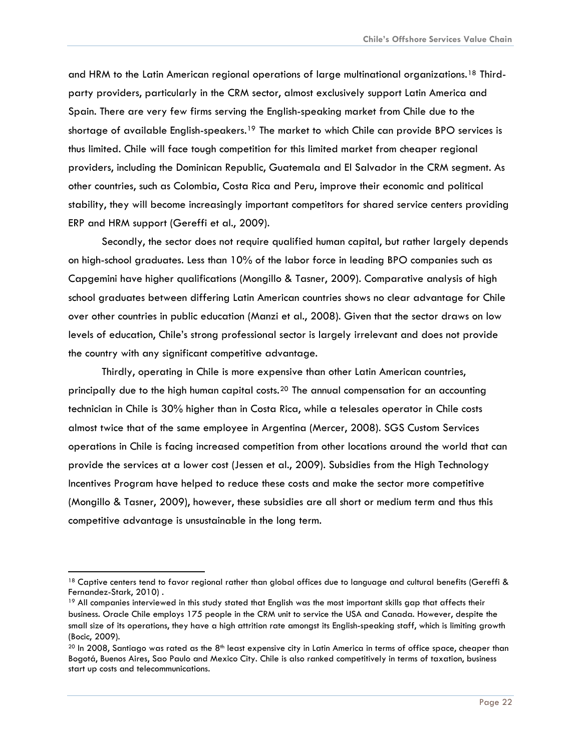and HRM to the Latin American regional operations of large multinational organizations.[18](#page-22-0) Thirdparty providers, particularly in the CRM sector, almost exclusively support Latin America and Spain. There are very few firms serving the English-speaking market from Chile due to the shortage of available English-speakers.<sup>[19](#page-22-1)</sup> The market to which Chile can provide BPO services is thus limited. Chile will face tough competition for this limited market from cheaper regional providers, including the Dominican Republic, Guatemala and El Salvador in the CRM segment. As other countries, such as Colombia, Costa Rica and Peru, improve their economic and political stability, they will become increasingly important competitors for shared service centers providing ERP and HRM support (Gereffi et al., 2009).

Secondly, the sector does not require qualified human capital, but rather largely depends on high-school graduates. Less than 10% of the labor force in leading BPO companies such as Capgemini have higher qualifications (Mongillo & Tasner, 2009). Comparative analysis of high school graduates between differing Latin American countries shows no clear advantage for Chile over other countries in public education (Manzi et al., 2008). Given that the sector draws on low levels of education, Chile's strong professional sector is largely irrelevant and does not provide the country with any significant competitive advantage.

Thirdly, operating in Chile is more expensive than other Latin American countries, principally due to the high human capital costs.[20](#page-22-2) The annual compensation for an accounting technician in Chile is 30% higher than in Costa Rica, while a telesales operator in Chile costs almost twice that of the same employee in Argentina (Mercer, 2008). SGS Custom Services operations in Chile is facing increased competition from other locations around the world that can provide the services at a lower cost (Jessen et al., 2009). Subsidies from the High Technology Incentives Program have helped to reduce these costs and make the sector more competitive (Mongillo & Tasner, 2009), however, these subsidies are all short or medium term and thus this competitive advantage is unsustainable in the long term.

<span id="page-22-0"></span><sup>&</sup>lt;sup>18</sup> Captive centers tend to favor regional rather than global offices due to language and cultural benefits (Gereffi & Fernandez-Stark, 2010) .

<span id="page-22-1"></span><sup>&</sup>lt;sup>19</sup> All companies interviewed in this study stated that English was the most important skills gap that affects their business. Oracle Chile employs 175 people in the CRM unit to service the USA and Canada. However, despite the small size of its operations, they have a high attrition rate amongst its English-speaking staff, which is limiting growth (Bocic, 2009).

<span id="page-22-2"></span> $^{20}$  In 2008, Santiago was rated as the 8<sup>th</sup> least expensive city in Latin America in terms of office space, cheaper than Bogotá, Buenos Aires, Sao Paulo and Mexico City. Chile is also ranked competitively in terms of taxation, business start up costs and telecommunications.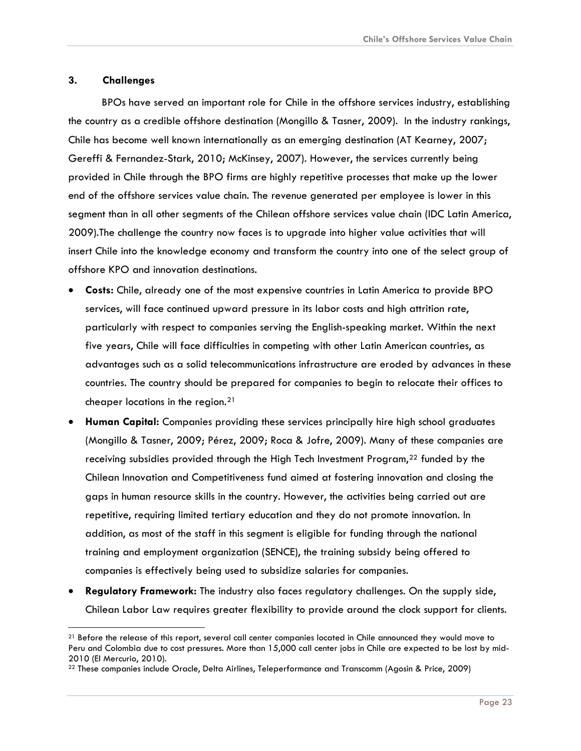#### <span id="page-23-0"></span>**3. Challenges**

BPOs have served an important role for Chile in the offshore services industry, establishing the country as a credible offshore destination (Mongillo & Tasner, 2009). In the industry rankings, Chile has become well known internationally as an emerging destination (AT Kearney, 2007; Gereffi & Fernandez-Stark, 2010; McKinsey, 2007). However, the services currently being provided in Chile through the BPO firms are highly repetitive processes that make up the lower end of the offshore services value chain. The revenue generated per employee is lower in this segment than in all other segments of the Chilean offshore services value chain (IDC Latin America, 2009).The challenge the country now faces is to upgrade into higher value activities that will insert Chile into the knowledge economy and transform the country into one of the select group of offshore KPO and innovation destinations.

- **Costs:** Chile, already one of the most expensive countries in Latin America to provide BPO services, will face continued upward pressure in its labor costs and high attrition rate, particularly with respect to companies serving the English-speaking market. Within the next five years, Chile will face difficulties in competing with other Latin American countries, as advantages such as a solid telecommunications infrastructure are eroded by advances in these countries. The country should be prepared for companies to begin to relocate their offices to cheaper locations in the region.[21](#page-23-1)
- **Human Capital:** Companies providing these services principally hire high school graduates (Mongillo & Tasner, 2009; Pérez, 2009; Roca & Jofre, 2009). Many of these companies are receiving subsidies provided through the High Tech Investment Program,<sup>[22](#page-23-2)</sup> funded by the Chilean Innovation and Competitiveness fund aimed at fostering innovation and closing the gaps in human resource skills in the country. However, the activities being carried out are repetitive, requiring limited tertiary education and they do not promote innovation. In addition, as most of the staff in this segment is eligible for funding through the national training and employment organization (SENCE), the training subsidy being offered to companies is effectively being used to subsidize salaries for companies.
- **Regulatory Framework:** The industry also faces regulatory challenges. On the supply side, Chilean Labor Law requires greater flexibility to provide around the clock support for clients.

<span id="page-23-1"></span><sup>&</sup>lt;sup>21</sup> Before the release of this report, several call center companies located in Chile announced they would move to Peru and Colombia due to cost pressures. More than 15,000 call center jobs in Chile are expected to be lost by mid-2010 (El Mercurio, 2010).

<span id="page-23-2"></span><sup>22</sup> These companies include Oracle, Delta Airlines, Teleperformance and Transcomm (Agosin & Price, 2009)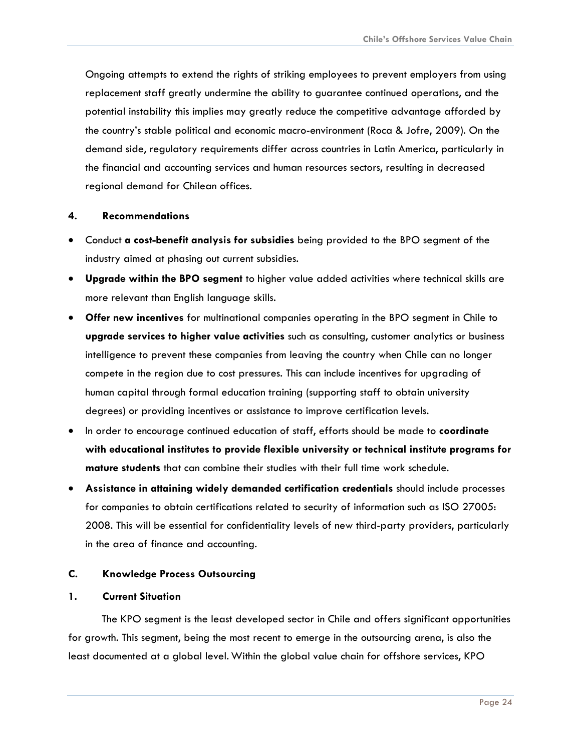<span id="page-24-0"></span>Ongoing attempts to extend the rights of striking employees to prevent employers from using replacement staff greatly undermine the ability to guarantee continued operations, and the potential instability this implies may greatly reduce the competitive advantage afforded by the country's stable political and economic macro-environment (Roca & Jofre, 2009). On the demand side, regulatory requirements differ across countries in Latin America, particularly in the financial and accounting services and human resources sectors, resulting in decreased regional demand for Chilean offices.

#### **4. Recommendations**

- Conduct **a cost-benefit analysis for subsidies** being provided to the BPO segment of the industry aimed at phasing out current subsidies.
- **Upgrade within the BPO segment** to higher value added activities where technical skills are more relevant than English language skills.
- **Offer new incentives** for multinational companies operating in the BPO segment in Chile to **upgrade services to higher value activities** such as consulting, customer analytics or business intelligence to prevent these companies from leaving the country when Chile can no longer compete in the region due to cost pressures. This can include incentives for upgrading of human capital through formal education training (supporting staff to obtain university degrees) or providing incentives or assistance to improve certification levels.
- In order to encourage continued education of staff, efforts should be made to **coordinate with educational institutes to provide flexible university or technical institute programs for mature students** that can combine their studies with their full time work schedule.
- **Assistance in attaining widely demanded certification credentials** should include processes for companies to obtain certifications related to security of information such as ISO 27005: 2008. This will be essential for confidentiality levels of new third-party providers, particularly in the area of finance and accounting.

#### **C. Knowledge Process Outsourcing**

#### **1. Current Situation**

The KPO segment is the least developed sector in Chile and offers significant opportunities for growth. This segment, being the most recent to emerge in the outsourcing arena, is also the least documented at a global level. Within the global value chain for offshore services, KPO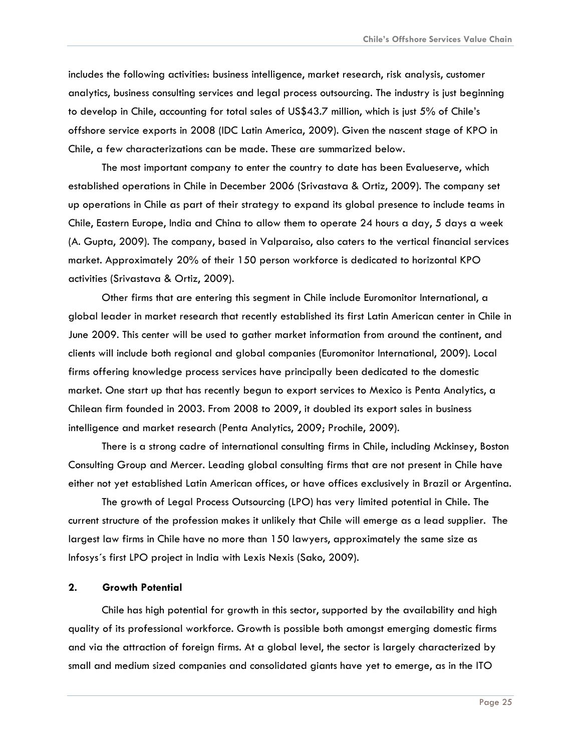<span id="page-25-0"></span>includes the following activities: business intelligence, market research, risk analysis, customer analytics, business consulting services and legal process outsourcing. The industry is just beginning to develop in Chile, accounting for total sales of US\$43.7 million, which is just 5% of Chile's offshore service exports in 2008 (IDC Latin America, 2009). Given the nascent stage of KPO in Chile, a few characterizations can be made. These are summarized below.

The most important company to enter the country to date has been Evalueserve, which established operations in Chile in December 2006 (Srivastava & Ortiz, 2009). The company set up operations in Chile as part of their strategy to expand its global presence to include teams in Chile, Eastern Europe, India and China to allow them to operate 24 hours a day, 5 days a week (A. Gupta, 2009). The company, based in Valparaiso, also caters to the vertical financial services market. Approximately 20% of their 150 person workforce is dedicated to horizontal KPO activities (Srivastava & Ortiz, 2009).

Other firms that are entering this segment in Chile include Euromonitor International, a global leader in market research that recently established its first Latin American center in Chile in June 2009. This center will be used to gather market information from around the continent, and clients will include both regional and global companies (Euromonitor International, 2009). Local firms offering knowledge process services have principally been dedicated to the domestic market. One start up that has recently begun to export services to Mexico is Penta Analytics, a Chilean firm founded in 2003. From 2008 to 2009, it doubled its export sales in business intelligence and market research (Penta Analytics, 2009; Prochile, 2009).

There is a strong cadre of international consulting firms in Chile, including Mckinsey, Boston Consulting Group and Mercer. Leading global consulting firms that are not present in Chile have either not yet established Latin American offices, or have offices exclusively in Brazil or Argentina.

The growth of Legal Process Outsourcing (LPO) has very limited potential in Chile. The current structure of the profession makes it unlikely that Chile will emerge as a lead supplier. The largest law firms in Chile have no more than 150 lawyers, approximately the same size as Infosys´s first LPO project in India with Lexis Nexis (Sako, 2009).

#### **2. Growth Potential**

Chile has high potential for growth in this sector, supported by the availability and high quality of its professional workforce. Growth is possible both amongst emerging domestic firms and via the attraction of foreign firms. At a global level, the sector is largely characterized by small and medium sized companies and consolidated giants have yet to emerge, as in the ITO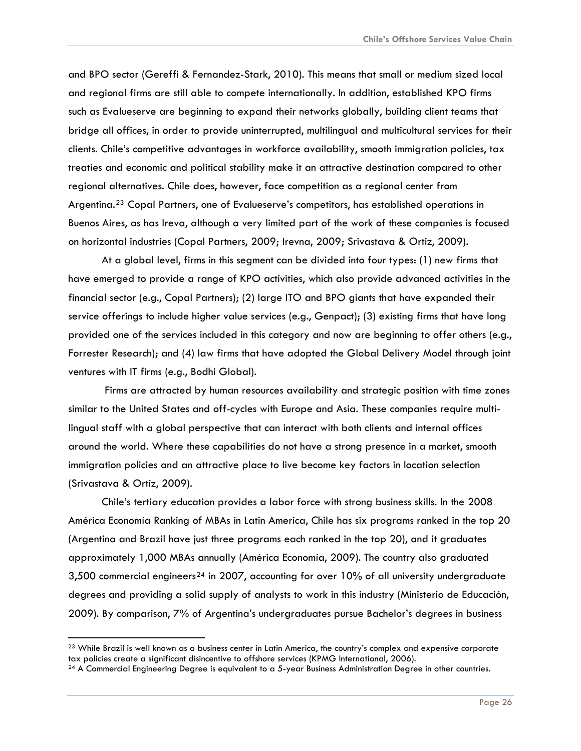and BPO sector (Gereffi & Fernandez-Stark, 2010). This means that small or medium sized local and regional firms are still able to compete internationally. In addition, established KPO firms such as Evalueserve are beginning to expand their networks globally, building client teams that bridge all offices, in order to provide uninterrupted, multilingual and multicultural services for their clients. Chile's competitive advantages in workforce availability, smooth immigration policies, tax treaties and economic and political stability make it an attractive destination compared to other regional alternatives. Chile does, however, face competition as a regional center from Argentina.<sup>[23](#page-26-0)</sup> Copal Partners, one of Evalueserve's competitors, has established operations in Buenos Aires, as has Ireva, although a very limited part of the work of these companies is focused on horizontal industries (Copal Partners, 2009; Irevna, 2009; Srivastava & Ortiz, 2009).

At a global level, firms in this segment can be divided into four types: (1) new firms that have emerged to provide a range of KPO activities, which also provide advanced activities in the financial sector (e.g., Copal Partners); (2) large ITO and BPO giants that have expanded their service offerings to include higher value services (e.g., Genpact); (3) existing firms that have long provided one of the services included in this category and now are beginning to offer others (e.g., Forrester Research); and (4) law firms that have adopted the Global Delivery Model through joint ventures with IT firms (e.g., Bodhi Global).

 Firms are attracted by human resources availability and strategic position with time zones similar to the United States and off-cycles with Europe and Asia. These companies require multilingual staff with a global perspective that can interact with both clients and internal offices around the world. Where these capabilities do not have a strong presence in a market, smooth immigration policies and an attractive place to live become key factors in location selection (Srivastava & Ortiz, 2009).

Chile's tertiary education provides a labor force with strong business skills. In the 2008 América Economía Ranking of MBAs in Latin America, Chile has six programs ranked in the top 20 (Argentina and Brazil have just three programs each ranked in the top 20), and it graduates approximately 1,000 MBAs annually (América Economía, 2009). The country also graduated 3,500 commercial engineers<sup>[24](#page-26-1)</sup> in 2007, accounting for over 10% of all university undergraduate degrees and providing a solid supply of analysts to work in this industry (Ministerio de Educación, 2009). By comparison, 7% of Argentina's undergraduates pursue Bachelor's degrees in business

<span id="page-26-0"></span> $^{23}$  While Brazil is well known as a business center in Latin America, the country's complex and expensive corporate<br>tax policies create a significant disincentive to offshore services (KPMG International, 2006).

<span id="page-26-1"></span> $24$  A Commercial Engineering Degree is equivalent to a 5-year Business Administration Degree in other countries.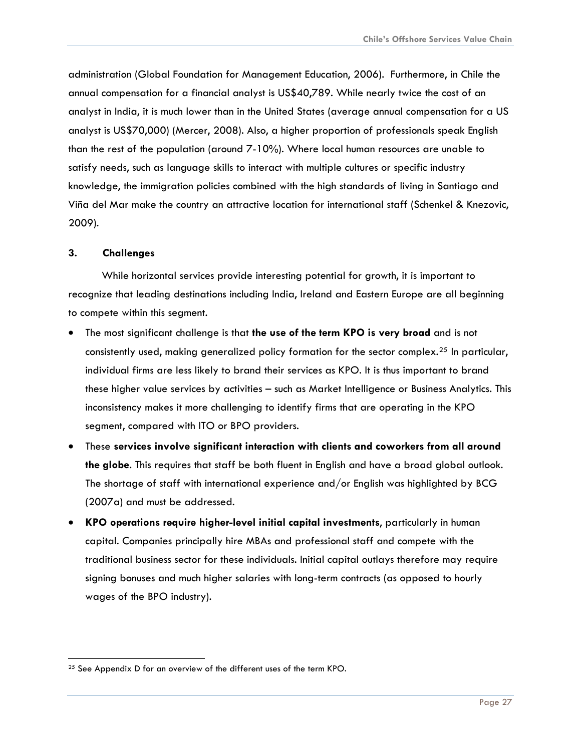<span id="page-27-0"></span>administration (Global Foundation for Management Education, 2006). Furthermore, in Chile the annual compensation for a financial analyst is US\$40,789. While nearly twice the cost of an analyst in India, it is much lower than in the United States (average annual compensation for a US analyst is US\$70,000) (Mercer, 2008). Also, a higher proportion of professionals speak English than the rest of the population (around 7-10%). Where local human resources are unable to satisfy needs, such as language skills to interact with multiple cultures or specific industry knowledge, the immigration policies combined with the high standards of living in Santiago and Viña del Mar make the country an attractive location for international staff (Schenkel & Knezovic, 2009).

#### **3. Challenges**

While horizontal services provide interesting potential for growth, it is important to recognize that leading destinations including India, Ireland and Eastern Europe are all beginning to compete within this segment.

- The most significant challenge is that **the use of the term KPO is very broad** and is not consistently used, making generalized policy formation for the sector complex.<sup>[25](#page-27-1)</sup> In particular, individual firms are less likely to brand their services as KPO. It is thus important to brand these higher value services by activities – such as Market Intelligence or Business Analytics. This inconsistency makes it more challenging to identify firms that are operating in the KPO segment, compared with ITO or BPO providers.
- These **services involve significant interaction with clients and coworkers from all around the globe**. This requires that staff be both fluent in English and have a broad global outlook. The shortage of staff with international experience and/or English was highlighted by BCG (2007a) and must be addressed.
- **KPO operations require higher-level initial capital investments**, particularly in human capital. Companies principally hire MBAs and professional staff and compete with the traditional business sector for these individuals. Initial capital outlays therefore may require signing bonuses and much higher salaries with long-term contracts (as opposed to hourly wages of the BPO industry).

<span id="page-27-1"></span><sup>&</sup>lt;sup>25</sup> See Appendix D for an overview of the different uses of the term KPO.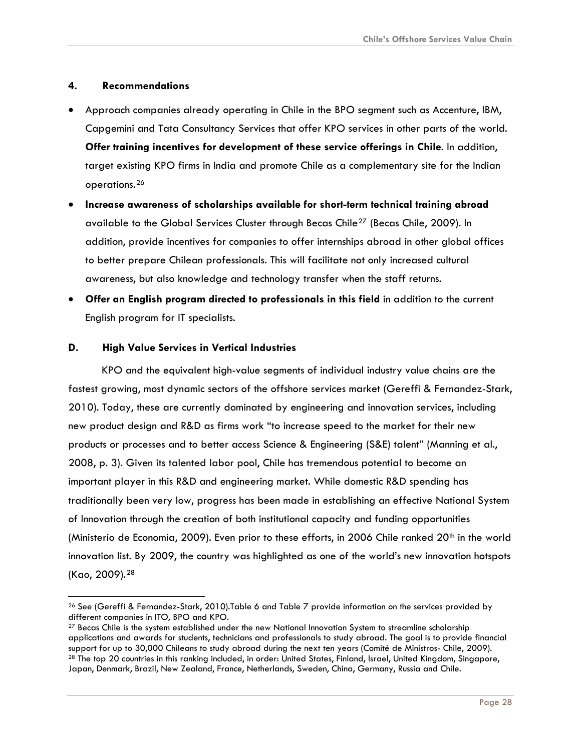#### <span id="page-28-0"></span>**4. Recommendations**

- Approach companies already operating in Chile in the BPO segment such as Accenture, IBM, Capgemini and Tata Consultancy Services that offer KPO services in other parts of the world. **Offer training incentives for development of these service offerings in Chile**. In addition, target existing KPO firms in India and promote Chile as a complementary site for the Indian operations.[26](#page-28-1)
- **Increase awareness of scholarships available for short-term technical training abroad**  available to the Global Services Cluster through Becas Chile<sup>[27](#page-28-2)</sup> (Becas Chile, 2009). In addition, provide incentives for companies to offer internships abroad in other global offices to better prepare Chilean professionals. This will facilitate not only increased cultural awareness, but also knowledge and technology transfer when the staff returns.
- **Offer an English program directed to professionals in this field** in addition to the current English program for IT specialists.

#### **D. High Value Services in Vertical Industries**

KPO and the equivalent high-value segments of individual industry value chains are the fastest growing, most dynamic sectors of the offshore services market (Gereffi & Fernandez-Stark, 2010). Today, these are currently dominated by engineering and innovation services, including new product design and R&D as firms work "to increase speed to the market for their new products or processes and to better access Science & Engineering (S&E) talent" (Manning et al., 2008, p. 3). Given its talented labor pool, Chile has tremendous potential to become an important player in this R&D and engineering market. While domestic R&D spending has traditionally been very low, progress has been made in establishing an effective National System of Innovation through the creation of both institutional capacity and funding opportunities (Ministerio de Economía, 2009). Even prior to these efforts, in 2006 Chile ranked 20<sup>th</sup> in the world innovation list. By 2009, the country was highlighted as one of the world's new innovation hotspots (Kao, 2009).[28](#page-28-3)

<span id="page-28-1"></span> <sup>26</sup> See (Gereffi & Fernandez-Stark, 2010).Table 6 and Table 7 provide information on the services provided by different companies in ITO, BPO and KPO.

<span id="page-28-3"></span><span id="page-28-2"></span><sup>&</sup>lt;sup>27</sup> Becas Chile is the system established under the new National Innovation System to streamline scholarship applications and awards for students, technicians and professionals to study abroad. The goal is to provide financial support for up to 30,000 Chileans to study abroad during the next ten years (Comité de Ministros- Chile, 2009).<br><sup>28</sup> The top 20 countries in this ranking included, in order: United States, Finland, Israel, United Kingdom, Japan, Denmark, Brazil, New Zealand, France, Netherlands, Sweden, China, Germany, Russia and Chile.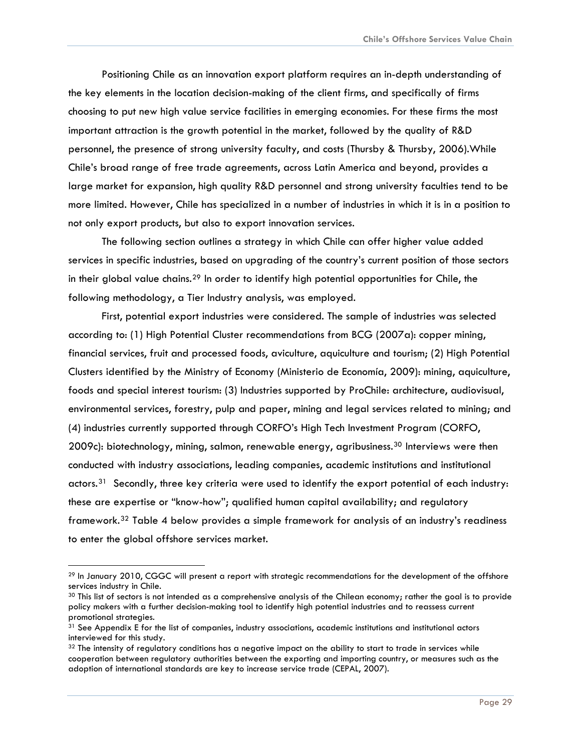Positioning Chile as an innovation export platform requires an in-depth understanding of the key elements in the location decision-making of the client firms, and specifically of firms choosing to put new high value service facilities in emerging economies. For these firms the most important attraction is the growth potential in the market, followed by the quality of R&D personnel, the presence of strong university faculty, and costs (Thursby & Thursby, 2006). While Chile's broad range of free trade agreements, across Latin America and beyond, provides a large market for expansion, high quality R&D personnel and strong university faculties tend to be more limited. However, Chile has specialized in a number of industries in which it is in a position to not only export products, but also to export innovation services.

The following section outlines a strategy in which Chile can offer higher value added services in specific industries, based on upgrading of the country's current position of those sectors in their global value chains.[29](#page-29-0) In order to identify high potential opportunities for Chile, the following methodology, a Tier Industry analysis, was employed.

First, potential export industries were considered. The sample of industries was selected according to: (1) High Potential Cluster recommendations from BCG (2007a): copper mining, financial services, fruit and processed foods, aviculture, aquiculture and tourism; (2) High Potential Clusters identified by the Ministry of Economy (Ministerio de Economía, 2009): mining, aquiculture, foods and special interest tourism: (3) Industries supported by ProChile: architecture, audiovisual, environmental services, forestry, pulp and paper, mining and legal services related to mining; and (4) industries currently supported through CORFO's High Tech Investment Program (CORFO, 2009c): biotechnology, mining, salmon, renewable energy, agribusiness.<sup>[30](#page-29-1)</sup> Interviews were then conducted with industry associations, leading companies, academic institutions and institutional actors.<sup>[31](#page-29-2)</sup> Secondly, three key criteria were used to identify the export potential of each industry: these are expertise or "know-how"; qualified human capital availability; and regulatory framework.[32](#page-29-3) Table 4 below provides a simple framework for analysis of an industry's readiness to enter the global offshore services market.

l

<span id="page-29-0"></span><sup>&</sup>lt;sup>29</sup> In January 2010, CGGC will present a report with strategic recommendations for the development of the offshore services industry in Chile.

<span id="page-29-1"></span><sup>&</sup>lt;sup>30</sup> This list of sectors is not intended as a comprehensive analysis of the Chilean economy; rather the goal is to provide policy makers with a further decision-making tool to identify high potential industries and to reassess current promotional strategies.

<span id="page-29-2"></span><sup>&</sup>lt;sup>31</sup> See Appendix E for the list of companies, industry associations, academic institutions and institutional actors interviewed for this study.

<span id="page-29-3"></span> $32$  The intensity of regulatory conditions has a negative impact on the ability to start to trade in services while cooperation between regulatory authorities between the exporting and importing country, or measures such as the adoption of international standards are key to increase service trade (CEPAL, 2007).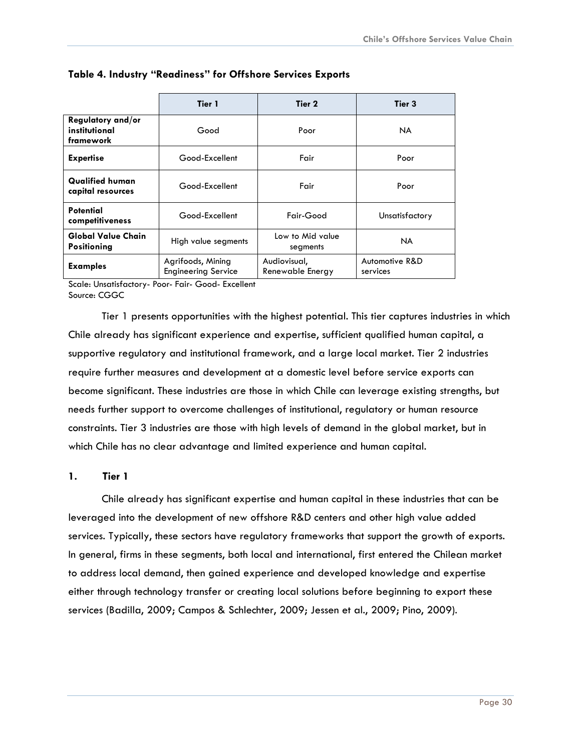|                                                 | Tier 1                                          | Tier 2                           | Tier 3                     |  |
|-------------------------------------------------|-------------------------------------------------|----------------------------------|----------------------------|--|
| Regulatory and/or<br>institutional<br>framework | Good                                            | Poor                             | NA.                        |  |
| <b>Expertise</b>                                | Good-Excellent<br>Fair                          |                                  | Poor                       |  |
| <b>Qualified human</b><br>capital resources     | Good-Excellent                                  | Fair                             | Poor                       |  |
| <b>Potential</b><br>competitiveness             | Good-Excellent                                  | Fair-Good                        | Unsatisfactory             |  |
| <b>Global Value Chain</b><br><b>Positioning</b> | High value segments                             | Low to Mid value<br>segments     | <b>NA</b>                  |  |
| <b>Examples</b>                                 | Agrifoods, Mining<br><b>Engineering Service</b> | Audiovisual,<br>Renewable Energy | Automotive R&D<br>services |  |

#### <span id="page-30-0"></span>**Table 4. Industry "Readiness" for Offshore Services Exports**

Scale: Unsatisfactory- Poor- Fair- Good- Excellent Source: CGGC

Tier 1 presents opportunities with the highest potential. This tier captures industries in which Chile already has significant experience and expertise, sufficient qualified human capital, a supportive regulatory and institutional framework, and a large local market. Tier 2 industries require further measures and development at a domestic level before service exports can become significant. These industries are those in which Chile can leverage existing strengths, but needs further support to overcome challenges of institutional, regulatory or human resource constraints. Tier 3 industries are those with high levels of demand in the global market, but in which Chile has no clear advantage and limited experience and human capital.

#### **1. Tier 1**

Chile already has significant expertise and human capital in these industries that can be leveraged into the development of new offshore R&D centers and other high value added services. Typically, these sectors have regulatory frameworks that support the growth of exports. In general, firms in these segments, both local and international, first entered the Chilean market to address local demand, then gained experience and developed knowledge and expertise either through technology transfer or creating local solutions before beginning to export these services (Badilla, 2009; Campos & Schlechter, 2009; Jessen et al., 2009; Pino, 2009).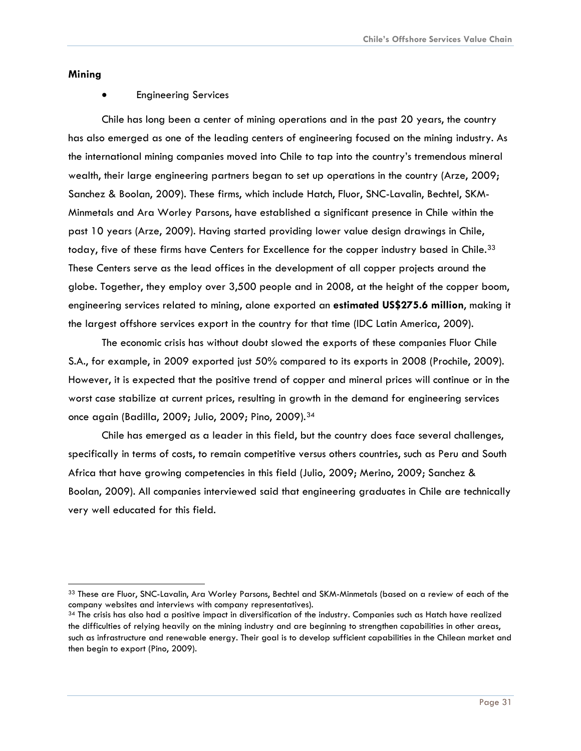#### **Mining**

#### • Engineering Services

Chile has long been a center of mining operations and in the past 20 years, the country has also emerged as one of the leading centers of engineering focused on the mining industry. As the international mining companies moved into Chile to tap into the country's tremendous mineral wealth, their large engineering partners began to set up operations in the country (Arze, 2009; Sanchez & Boolan, 2009). These firms, which include Hatch, Fluor, SNC-Lavalin, Bechtel, SKM-Minmetals and Ara Worley Parsons, have established a significant presence in Chile within the past 10 years (Arze, 2009). Having started providing lower value design drawings in Chile, today, five of these firms have Centers for Excellence for the copper industry based in Chile.<sup>[33](#page-31-0)</sup> These Centers serve as the lead offices in the development of all copper projects around the globe. Together, they employ over 3,500 people and in 2008, at the height of the copper boom, engineering services related to mining, alone exported an **estimated US\$275.6 million**, making it the largest offshore services export in the country for that time (IDC Latin America, 2009).

The economic crisis has without doubt slowed the exports of these companies Fluor Chile S.A., for example, in 2009 exported just 50% compared to its exports in 2008 (Prochile, 2009). However, it is expected that the positive trend of copper and mineral prices will continue or in the worst case stabilize at current prices, resulting in growth in the demand for engineering services once again (Badilla, 2009; Julio, 2009; Pino, 2009).[34](#page-31-1)

Chile has emerged as a leader in this field, but the country does face several challenges, specifically in terms of costs, to remain competitive versus others countries, such as Peru and South Africa that have growing competencies in this field (Julio, 2009; Merino, 2009; Sanchez & Boolan, 2009). All companies interviewed said that engineering graduates in Chile are technically very well educated for this field.

<span id="page-31-0"></span><sup>33</sup> These are Fluor, SNC-Lavalin, Ara Worley Parsons, Bechtel and SKM-Minmetals (based on a review of each of the company websites and interviews with company representatives).<br><sup>34</sup> The crisis has also had a positive impact in diversification of the industry. Companies such as Hatch have realized

<span id="page-31-1"></span>the difficulties of relying heavily on the mining industry and are beginning to strengthen capabilities in other areas, such as infrastructure and renewable energy. Their goal is to develop sufficient capabilities in the Chilean market and then begin to export (Pino, 2009).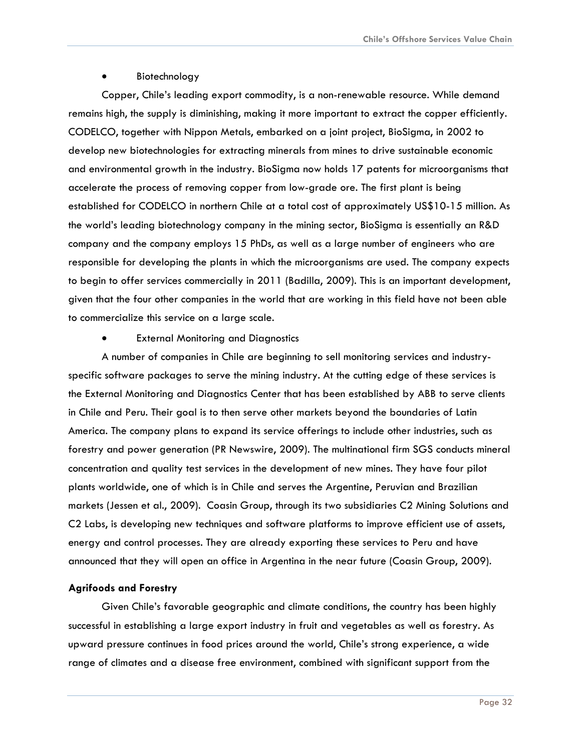#### **Biotechnology**

Copper, Chile's leading export commodity, is a non-renewable resource. While demand remains high, the supply is diminishing, making it more important to extract the copper efficiently. CODELCO, together with Nippon Metals, embarked on a joint project, BioSigma, in 2002 to develop new biotechnologies for extracting minerals from mines to drive sustainable economic and environmental growth in the industry. BioSigma now holds 17 patents for microorganisms that accelerate the process of removing copper from low-grade ore. The first plant is being established for CODELCO in northern Chile at a total cost of approximately US\$10-15 million. As the world's leading biotechnology company in the mining sector, BioSigma is essentially an R&D company and the company employs 15 PhDs, as well as a large number of engineers who are responsible for developing the plants in which the microorganisms are used. The company expects to begin to offer services commercially in 2011 (Badilla, 2009). This is an important development, given that the four other companies in the world that are working in this field have not been able to commercialize this service on a large scale.

**External Monitoring and Diagnostics** 

A number of companies in Chile are beginning to sell monitoring services and industryspecific software packages to serve the mining industry. At the cutting edge of these services is the External Monitoring and Diagnostics Center that has been established by ABB to serve clients in Chile and Peru. Their goal is to then serve other markets beyond the boundaries of Latin America. The company plans to expand its service offerings to include other industries, such as forestry and power generation (PR Newswire, 2009). The multinational firm SGS conducts mineral concentration and quality test services in the development of new mines. They have four pilot plants worldwide, one of which is in Chile and serves the Argentine, Peruvian and Brazilian markets (Jessen et al., 2009). Coasin Group, through its two subsidiaries C2 Mining Solutions and C2 Labs, is developing new techniques and software platforms to improve efficient use of assets, energy and control processes. They are already exporting these services to Peru and have announced that they will open an office in Argentina in the near future (Coasin Group, 2009).

#### **Agrifoods and Forestry**

Given Chile's favorable geographic and climate conditions, the country has been highly successful in establishing a large export industry in fruit and vegetables as well as forestry. As upward pressure continues in food prices around the world, Chile's strong experience, a wide range of climates and a disease free environment, combined with significant support from the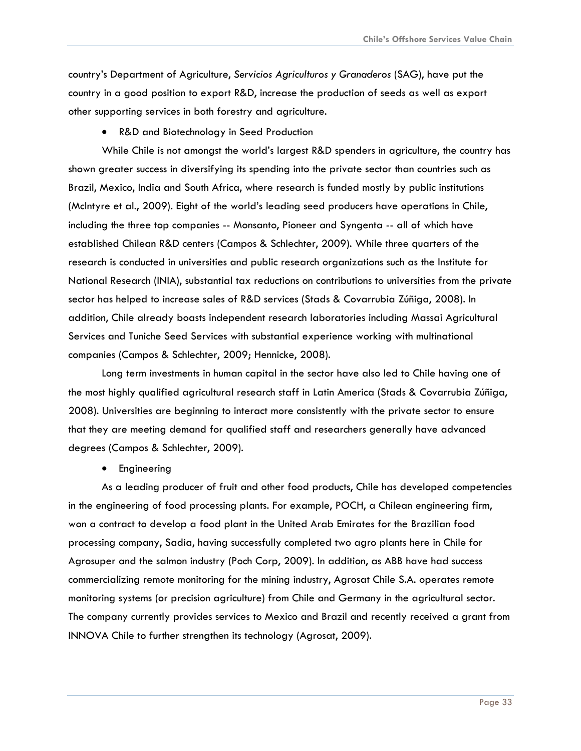country's Department of Agriculture, *Servicios Agriculturos y Granaderos* (SAG), have put the country in a good position to export R&D, increase the production of seeds as well as export other supporting services in both forestry and agriculture.

• R&D and Biotechnology in Seed Production

While Chile is not amongst the world's largest R&D spenders in agriculture, the country has shown greater success in diversifying its spending into the private sector than countries such as Brazil, Mexico, India and South Africa, where research is funded mostly by public institutions (McIntyre et al., 2009). Eight of the world's leading seed producers have operations in Chile, including the three top companies -- Monsanto, Pioneer and Syngenta -- all of which have established Chilean R&D centers (Campos & Schlechter, 2009). While three quarters of the research is conducted in universities and public research organizations such as the Institute for National Research (INIA), substantial tax reductions on contributions to universities from the private sector has helped to increase sales of R&D services (Stads & Covarrubia Zúñiga, 2008). In addition, Chile already boasts independent research laboratories including Massai Agricultural Services and Tuniche Seed Services with substantial experience working with multinational companies (Campos & Schlechter, 2009; Hennicke, 2008).

Long term investments in human capital in the sector have also led to Chile having one of the most highly qualified agricultural research staff in Latin America (Stads & Covarrubia Zúñiga, 2008). Universities are beginning to interact more consistently with the private sector to ensure that they are meeting demand for qualified staff and researchers generally have advanced degrees (Campos & Schlechter, 2009).

• Engineering

As a leading producer of fruit and other food products, Chile has developed competencies in the engineering of food processing plants. For example, POCH, a Chilean engineering firm, won a contract to develop a food plant in the United Arab Emirates for the Brazilian food processing company, Sadia, having successfully completed two agro plants here in Chile for Agrosuper and the salmon industry (Poch Corp, 2009). In addition, as ABB have had success commercializing remote monitoring for the mining industry, Agrosat Chile S.A. operates remote monitoring systems (or precision agriculture) from Chile and Germany in the agricultural sector. The company currently provides services to Mexico and Brazil and recently received a grant from INNOVA Chile to further strengthen its technology (Agrosat, 2009).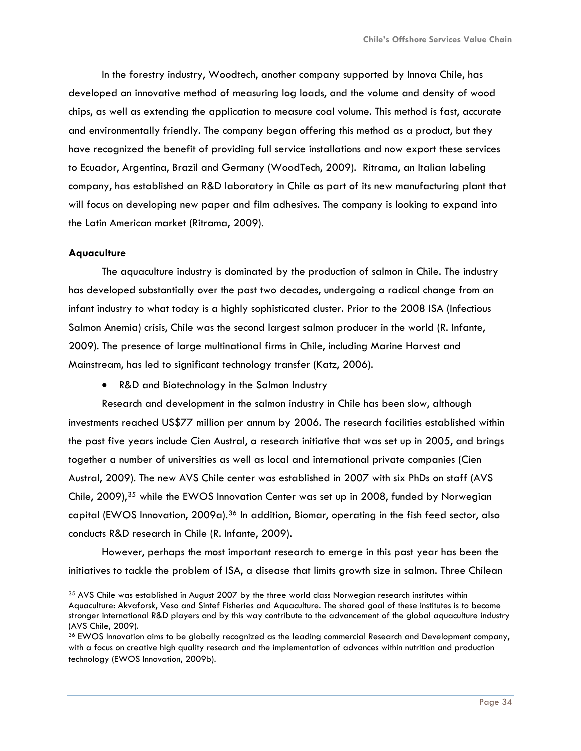In the forestry industry, Woodtech, another company supported by Innova Chile, has developed an innovative method of measuring log loads, and the volume and density of wood chips, as well as extending the application to measure coal volume. This method is fast, accurate and environmentally friendly. The company began offering this method as a product, but they have recognized the benefit of providing full service installations and now export these services to Ecuador, Argentina, Brazil and Germany (WoodTech, 2009). Ritrama, an Italian labeling company, has established an R&D laboratory in Chile as part of its new manufacturing plant that will focus on developing new paper and film adhesives. The company is looking to expand into the Latin American market (Ritrama, 2009).

#### **Aquaculture**

The aquaculture industry is dominated by the production of salmon in Chile. The industry has developed substantially over the past two decades, undergoing a radical change from an infant industry to what today is a highly sophisticated cluster. Prior to the 2008 ISA (Infectious Salmon Anemia) crisis, Chile was the second largest salmon producer in the world (R. Infante, 2009). The presence of large multinational firms in Chile, including Marine Harvest and Mainstream, has led to significant technology transfer (Katz, 2006).

• R&D and Biotechnology in the Salmon Industry

Research and development in the salmon industry in Chile has been slow, although investments reached US\$77 million per annum by 2006. The research facilities established within the past five years include Cien Austral, a research initiative that was set up in 2005, and brings together a number of universities as well as local and international private companies (Cien Austral, 2009). The new AVS Chile center was established in 2007 with six PhDs on staff (AVS Chile, 2009),<sup>[35](#page-34-0)</sup> while the EWOS Innovation Center was set up in 2008, funded by Norwegian capital (EWOS Innovation,  $2009a$ ).<sup>[36](#page-34-1)</sup> In addition, Biomar, operating in the fish feed sector, also conducts R&D research in Chile (R. Infante, 2009).

However, perhaps the most important research to emerge in this past year has been the initiatives to tackle the problem of ISA, a disease that limits growth size in salmon. Three Chilean

<span id="page-34-0"></span><sup>&</sup>lt;sup>35</sup> AVS Chile was established in August 2007 by the three world class Norwegian research institutes within Aquaculture: Akvaforsk, Veso and Sintef Fisheries and Aquaculture. The shared goal of these institutes is to become stronger international R&D players and by this way contribute to the advancement of the global aquaculture industry (AVS Chile, 2009).

<span id="page-34-1"></span><sup>36</sup> EWOS Innovation aims to be globally recognized as the leading commercial Research and Development company, with a focus on creative high quality research and the implementation of advances within nutrition and production technology (EWOS Innovation, 2009b).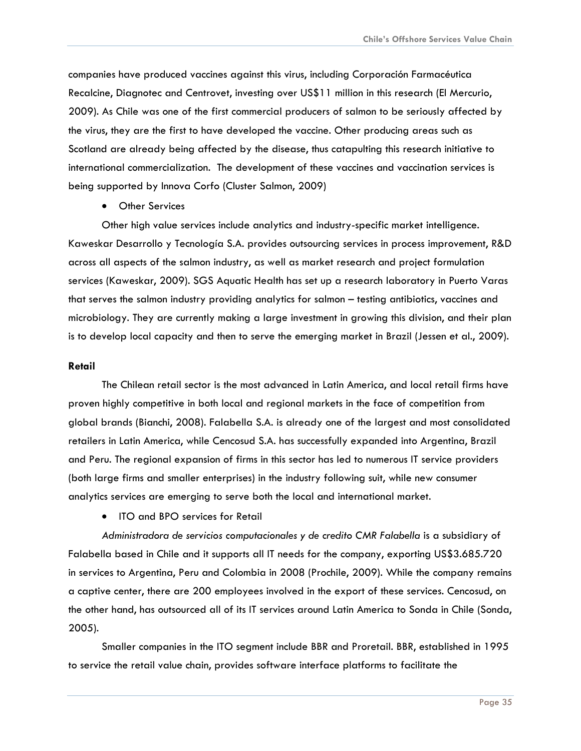companies have produced vaccines against this virus, including Corporación Farmacéutica Recalcine, Diagnotec and Centrovet, investing over US\$11 million in this research (El Mercurio, 2009). As Chile was one of the first commercial producers of salmon to be seriously affected by the virus, they are the first to have developed the vaccine. Other producing areas such as Scotland are already being affected by the disease, thus catapulting this research initiative to international commercialization. The development of these vaccines and vaccination services is being supported by Innova Corfo (Cluster Salmon, 2009)

• Other Services

Other high value services include analytics and industry-specific market intelligence. Kaweskar Desarrollo y Tecnología S.A. provides outsourcing services in process improvement, R&D across all aspects of the salmon industry, as well as market research and project formulation services (Kaweskar, 2009). SGS Aquatic Health has set up a research laboratory in Puerto Varas that serves the salmon industry providing analytics for salmon – testing antibiotics, vaccines and microbiology. They are currently making a large investment in growing this division, and their plan is to develop local capacity and then to serve the emerging market in Brazil (Jessen et al., 2009).

#### **Retail**

The Chilean retail sector is the most advanced in Latin America, and local retail firms have proven highly competitive in both local and regional markets in the face of competition from global brands (Bianchi, 2008). Falabella S.A. is already one of the largest and most consolidated retailers in Latin America, while Cencosud S.A. has successfully expanded into Argentina, Brazil and Peru. The regional expansion of firms in this sector has led to numerous IT service providers (both large firms and smaller enterprises) in the industry following suit, while new consumer analytics services are emerging to serve both the local and international market.

• ITO and BPO services for Retail

*Administradora de servicios computacionales y de credito CMR Falabella* is a subsidiary of Falabella based in Chile and it supports all IT needs for the company, exporting US\$3.685.720 in services to Argentina, Peru and Colombia in 2008 (Prochile, 2009). While the company remains a captive center, there are 200 employees involved in the export of these services. Cencosud, on the other hand, has outsourced all of its IT services around Latin America to Sonda in Chile (Sonda, 2005).

Smaller companies in the ITO segment include BBR and Proretail. BBR, established in 1995 to service the retail value chain, provides software interface platforms to facilitate the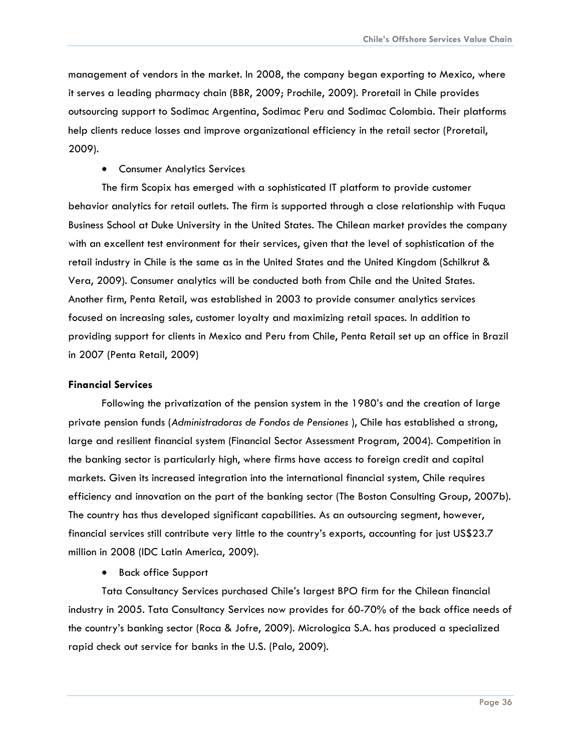management of vendors in the market. In 2008, the company began exporting to Mexico, where it serves a leading pharmacy chain (BBR, 2009; Prochile, 2009). Proretail in Chile provides outsourcing support to Sodimac Argentina, Sodimac Peru and Sodimac Colombia. Their platforms help clients reduce losses and improve organizational efficiency in the retail sector (Proretail, 2009).

• Consumer Analytics Services

The firm Scopix has emerged with a sophisticated IT platform to provide customer behavior analytics for retail outlets. The firm is supported through a close relationship with Fuqua Business School at Duke University in the United States. The Chilean market provides the company with an excellent test environment for their services, given that the level of sophistication of the retail industry in Chile is the same as in the United States and the United Kingdom (Schilkrut & Vera, 2009). Consumer analytics will be conducted both from Chile and the United States. Another firm, Penta Retail, was established in 2003 to provide consumer analytics services focused on increasing sales, customer loyalty and maximizing retail spaces. In addition to providing support for clients in Mexico and Peru from Chile, Penta Retail set up an office in Brazil in 2007 (Penta Retail, 2009)

#### **Financial Services**

Following the privatization of the pension system in the 1980's and the creation of large private pension funds (*Administradoras de Fondos de Pensiones* ), Chile has established a strong, large and resilient financial system (Financial Sector Assessment Program, 2004). Competition in the banking sector is particularly high, where firms have access to foreign credit and capital markets. Given its increased integration into the international financial system, Chile requires efficiency and innovation on the part of the banking sector (The Boston Consulting Group, 2007b). The country has thus developed significant capabilities. As an outsourcing segment, however, financial services still contribute very little to the country's exports, accounting for just US\$23.7 million in 2008 (IDC Latin America, 2009).

• Back office Support

Tata Consultancy Services purchased Chile's largest BPO firm for the Chilean financial industry in 2005. Tata Consultancy Services now provides for 60-70% of the back office needs of the country's banking sector (Roca & Jofre, 2009). Micrologica S.A. has produced a specialized rapid check out service for banks in the U.S. (Palo, 2009).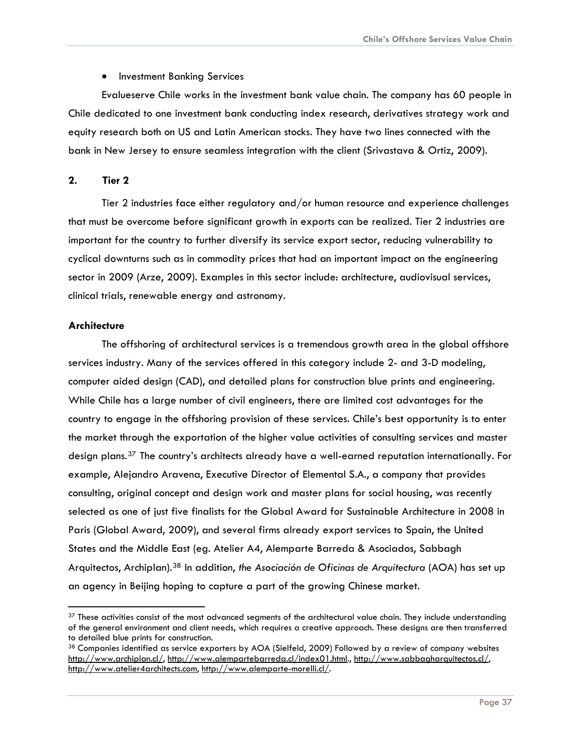• Investment Banking Services

<span id="page-37-0"></span>Evalueserve Chile works in the investment bank value chain. The company has 60 people in Chile dedicated to one investment bank conducting index research, derivatives strategy work and equity research both on US and Latin American stocks. They have two lines connected with the bank in New Jersey to ensure seamless integration with the client (Srivastava & Ortiz, 2009).

#### **2. Tier 2**

Tier 2 industries face either regulatory and/or human resource and experience challenges that must be overcome before significant growth in exports can be realized. Tier 2 industries are important for the country to further diversify its service export sector, reducing vulnerability to cyclical downturns such as in commodity prices that had an important impact on the engineering sector in 2009 (Arze, 2009). Examples in this sector include: architecture, audiovisual services, clinical trials, renewable energy and astronomy.

#### **Architecture**

The offshoring of architectural services is a tremendous growth area in the global offshore services industry. Many of the services offered in this category include 2- and 3-D modeling, computer aided design (CAD), and detailed plans for construction blue prints and engineering. While Chile has a large number of civil engineers, there are limited cost advantages for the country to engage in the offshoring provision of these services. Chile's best opportunity is to enter the market through the exportation of the higher value activities of consulting services and master design plans.[37](#page-37-1) The country's architects already have a well-earned reputation internationally. For example, Alejandro Aravena, Executive Director of Elemental S.A., a company that provides consulting, original concept and design work and master plans for social housing, was recently selected as one of just five finalists for the Global Award for Sustainable Architecture in 2008 in Paris (Global Award, 2009), and several firms already export services to Spain, the United States and the Middle East (eg. Atelier A4, Alemparte Barreda & Asociados, Sabbagh Arquitectos, Archiplan).[38](#page-37-2) In addition, *the Asociación de Oficinas de Arquitectura* (AOA) has set up an agency in Beijing hoping to capture a part of the growing Chinese market.

<span id="page-37-1"></span><sup>&</sup>lt;sup>37</sup> These activities consist of the most advanced segments of the architectural value chain. They include understanding of the general environment and client needs, which requires a creative approach. These designs are then transferred to detailed blue prints for construction.

<span id="page-37-2"></span><sup>38</sup> Companies identified as service exporters by AOA (Sielfeld, 2009) Followed by a review of company websites [http://www.archiplan.cl/,](http://www.archiplan.cl/) <http://www.alempartebarreda.cl/index01.html>.,<http://www.sabbagharquitectos.cl/>, [http://www.atelier4architects.com,](http://www.atelier4architects.com/) [http://www.alemparte-morelli.cl/.](http://www.alemparte-morelli.cl/)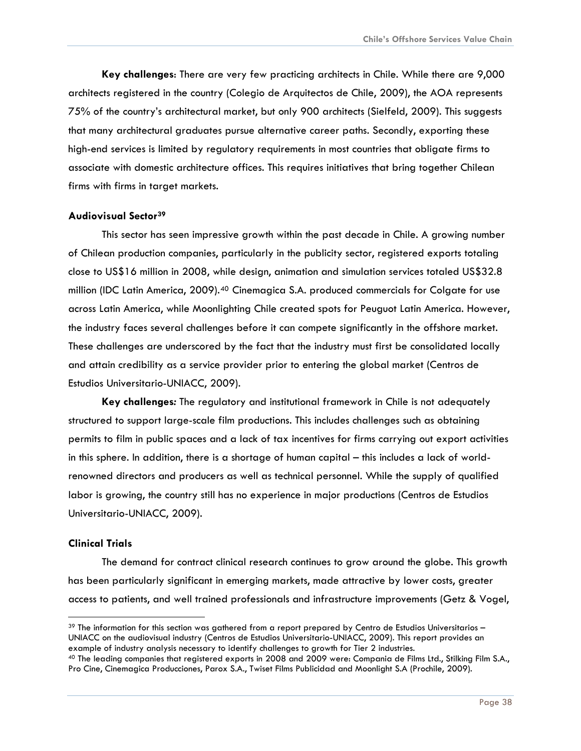**Key challenges**: There are very few practicing architects in Chile. While there are 9,000 architects registered in the country (Colegio de Arquitectos de Chile, 2009), the AOA represents 75% of the country's architectural market, but only 900 architects (Sielfeld, 2009). This suggests that many architectural graduates pursue alternative career paths. Secondly, exporting these high-end services is limited by regulatory requirements in most countries that obligate firms to associate with domestic architecture offices. This requires initiatives that bring together Chilean firms with firms in target markets.

#### **Audiovisual Sector[39](#page-38-0)**

This sector has seen impressive growth within the past decade in Chile. A growing number of Chilean production companies, particularly in the publicity sector, registered exports totaling close to US\$16 million in 2008, while design, animation and simulation services totaled US\$32.8 million (IDC Latin America, 2009).<sup>[40](#page-38-1)</sup> Cinemagica S.A. produced commercials for Colgate for use across Latin America, while Moonlighting Chile created spots for Peuguot Latin America. However, the industry faces several challenges before it can compete significantly in the offshore market. These challenges are underscored by the fact that the industry must first be consolidated locally and attain credibility as a service provider prior to entering the global market (Centros de Estudios Universitario-UNIACC, 2009).

**Key challenges***:* The regulatory and institutional framework in Chile is not adequately structured to support large-scale film productions. This includes challenges such as obtaining permits to film in public spaces and a lack of tax incentives for firms carrying out export activities in this sphere. In addition, there is a shortage of human capital – this includes a lack of worldrenowned directors and producers as well as technical personnel. While the supply of qualified labor is growing, the country still has no experience in major productions (Centros de Estudios Universitario-UNIACC, 2009).

#### **Clinical Trials**

The demand for contract clinical research continues to grow around the globe. This growth has been particularly significant in emerging markets, made attractive by lower costs, greater access to patients, and well trained professionals and infrastructure improvements (Getz & Vogel,

<span id="page-38-0"></span> $39$  The information for this section was gathered from a report prepared by Centro de Estudios Universitarios – UNIACC on the audiovisual industry (Centros de Estudios Universitario-UNIACC, 2009). This report provides an example of industry analysis necessary to identify challenges to growth for Tier 2 industries.<br><sup>40</sup> The leading companies that registered exports in 2008 and 2009 were: Compania de Films Ltd., Stilking Film S.A.,

<span id="page-38-1"></span>Pro Cine, Cinemagica Producciones, Parox S.A., Twiset Films Publicidad and Moonlight S.A (Prochile, 2009).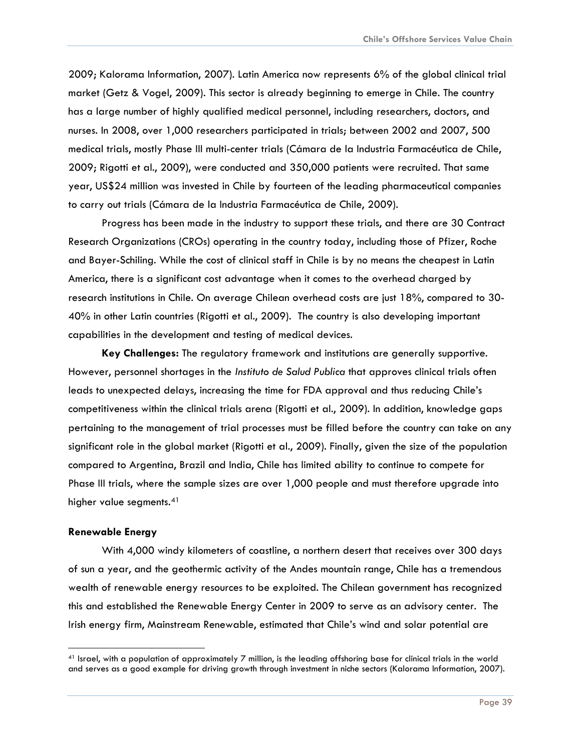2009; Kalorama Information, 2007). Latin America now represents 6% of the global clinical trial market (Getz & Vogel, 2009). This sector is already beginning to emerge in Chile. The country has a large number of highly qualified medical personnel, including researchers, doctors, and nurses. In 2008, over 1,000 researchers participated in trials; between 2002 and 2007, 500 medical trials, mostly Phase III multi-center trials (Cámara de la Industria Farmacéutica de Chile, 2009; Rigotti et al., 2009), were conducted and 350,000 patients were recruited. That same year, US\$24 million was invested in Chile by fourteen of the leading pharmaceutical companies to carry out trials (Cámara de la Industria Farmacéutica de Chile, 2009).

Progress has been made in the industry to support these trials, and there are 30 Contract Research Organizations (CROs) operating in the country today, including those of Pfizer, Roche and Bayer-Schiling. While the cost of clinical staff in Chile is by no means the cheapest in Latin America, there is a significant cost advantage when it comes to the overhead charged by research institutions in Chile. On average Chilean overhead costs are just 18%, compared to 30- 40% in other Latin countries (Rigotti et al., 2009). The country is also developing important capabilities in the development and testing of medical devices.

**Key Challenges:** The regulatory framework and institutions are generally supportive. However, personnel shortages in the *Instituto de Salud Publica* that approves clinical trials often leads to unexpected delays, increasing the time for FDA approval and thus reducing Chile's competitiveness within the clinical trials arena (Rigotti et al., 2009). In addition, knowledge gaps pertaining to the management of trial processes must be filled before the country can take on any significant role in the global market (Rigotti et al., 2009). Finally, given the size of the population compared to Argentina, Brazil and India, Chile has limited ability to continue to compete for Phase III trials, where the sample sizes are over 1,000 people and must therefore upgrade into higher value segments.<sup>[41](#page-39-0)</sup>

#### **Renewable Energy**

With 4,000 windy kilometers of coastline, a northern desert that receives over 300 days of sun a year, and the geothermic activity of the Andes mountain range, Chile has a tremendous wealth of renewable energy resources to be exploited. The Chilean government has recognized this and established the Renewable Energy Center in 2009 to serve as an advisory center. The Irish energy firm, Mainstream Renewable, estimated that Chile's wind and solar potential are

<span id="page-39-0"></span><sup>41</sup> Israel, with a population of approximately 7 million, is the leading offshoring base for clinical trials in the world and serves as a good example for driving growth through investment in niche sectors (Kalorama Information, 2007).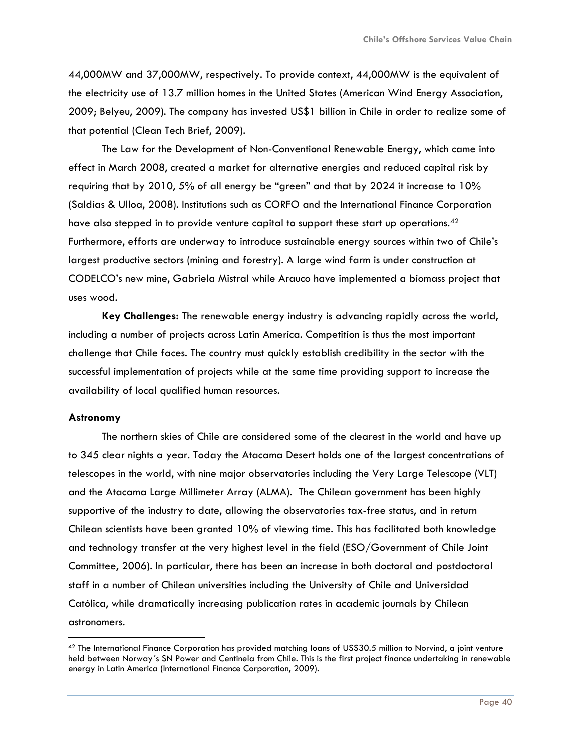44,000MW and 37,000MW, respectively. To provide context, 44,000MW is the equivalent of the electricity use of 13.7 million homes in the United States (American Wind Energy Association, 2009; Belyeu, 2009). The company has invested US\$1 billion in Chile in order to realize some of that potential (Clean Tech Brief, 2009).

The Law for the Development of Non-Conventional Renewable Energy, which came into effect in March 2008, created a market for alternative energies and reduced capital risk by requiring that by 2010, 5% of all energy be "green" and that by 2024 it increase to 10% (Saldías & Ulloa, 2008). Institutions such as CORFO and the International Finance Corporation have also stepped in to provide venture capital to support these start up operations.<sup>[42](#page-40-0)</sup> Furthermore, efforts are underway to introduce sustainable energy sources within two of Chile's largest productive sectors (mining and forestry). A large wind farm is under construction at CODELCO's new mine, Gabriela Mistral while Arauco have implemented a biomass project that uses wood.

**Key Challenges:** The renewable energy industry is advancing rapidly across the world, including a number of projects across Latin America. Competition is thus the most important challenge that Chile faces. The country must quickly establish credibility in the sector with the successful implementation of projects while at the same time providing support to increase the availability of local qualified human resources.

#### **Astronomy**

The northern skies of Chile are considered some of the clearest in the world and have up to 345 clear nights a year. Today the Atacama Desert holds one of the largest concentrations of telescopes in the world, with nine major observatories including the Very Large Telescope (VLT) and the Atacama Large Millimeter Array (ALMA). The Chilean government has been highly supportive of the industry to date, allowing the observatories tax-free status, and in return Chilean scientists have been granted 10% of viewing time. This has facilitated both knowledge and technology transfer at the very highest level in the field (ESO/Government of Chile Joint Committee, 2006). In particular, there has been an increase in both doctoral and postdoctoral staff in a number of Chilean universities including the University of Chile and Universidad Católica, while dramatically increasing publication rates in academic journals by Chilean astronomers.

<span id="page-40-0"></span> $42$  The International Finance Corporation has provided matching loans of US\$30.5 million to Norvind, a joint venture held between Norway´s SN Power and Centinela from Chile. This is the first project finance undertaking in renewable energy in Latin America (International Finance Corporation, 2009).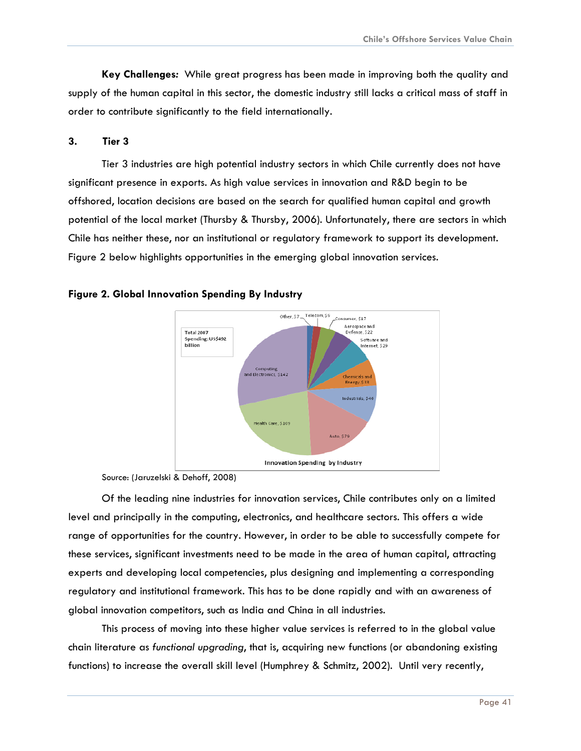<span id="page-41-0"></span>**Key Challenges***:* While great progress has been made in improving both the quality and supply of the human capital in this sector, the domestic industry still lacks a critical mass of staff in order to contribute significantly to the field internationally.

#### **3. Tier 3**

Tier 3 industries are high potential industry sectors in which Chile currently does not have significant presence in exports. As high value services in innovation and R&D begin to be offshored, location decisions are based on the search for qualified human capital and growth potential of the local market (Thursby & Thursby, 2006). Unfortunately, there are sectors in which Chile has neither these, nor an institutional or regulatory framework to support its development. Figure 2 below highlights opportunities in the emerging global innovation services.



#### **Figure 2. Global Innovation Spending By Industry**

Source: (Jaruzelski & Dehoff, 2008)

Of the leading nine industries for innovation services, Chile contributes only on a limited level and principally in the computing, electronics, and healthcare sectors. This offers a wide range of opportunities for the country. However, in order to be able to successfully compete for these services, significant investments need to be made in the area of human capital, attracting experts and developing local competencies, plus designing and implementing a corresponding regulatory and institutional framework. This has to be done rapidly and with an awareness of global innovation competitors, such as India and China in all industries.

This process of moving into these higher value services is referred to in the global value chain literature as *functional upgrading*, that is, acquiring new functions (or abandoning existing functions) to increase the overall skill level (Humphrey & Schmitz, 2002). Until very recently,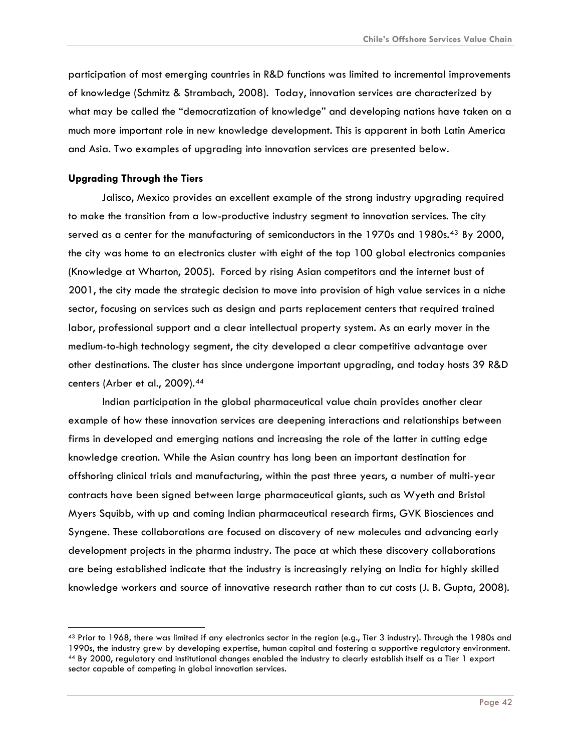participation of most emerging countries in R&D functions was limited to incremental improvements of knowledge (Schmitz & Strambach, 2008). Today, innovation services are characterized by what may be called the "democratization of knowledge" and developing nations have taken on a much more important role in new knowledge development. This is apparent in both Latin America and Asia. Two examples of upgrading into innovation services are presented below.

#### **Upgrading Through the Tiers**

Jalisco, Mexico provides an excellent example of the strong industry upgrading required to make the transition from a low-productive industry segment to innovation services. The city served as a center for the manufacturing of semiconductors in the 1970s and 1980s.<sup>[43](#page-42-0)</sup> By 2000, the city was home to an electronics cluster with eight of the top 100 global electronics companies (Knowledge at Wharton, 2005). Forced by rising Asian competitors and the internet bust of 2001, the city made the strategic decision to move into provision of high value services in a niche sector, focusing on services such as design and parts replacement centers that required trained labor, professional support and a clear intellectual property system. As an early mover in the medium-to-high technology segment, the city developed a clear competitive advantage over other destinations. The cluster has since undergone important upgrading, and today hosts 39 R&D centers (Arber et al., 2009).[44](#page-42-1)

 Indian participation in the global pharmaceutical value chain provides another clear example of how these innovation services are deepening interactions and relationships between firms in developed and emerging nations and increasing the role of the latter in cutting edge knowledge creation. While the Asian country has long been an important destination for offshoring clinical trials and manufacturing, within the past three years, a number of multi-year contracts have been signed between large pharmaceutical giants, such as Wyeth and Bristol Myers Squibb, with up and coming Indian pharmaceutical research firms, GVK Biosciences and Syngene. These collaborations are focused on discovery of new molecules and advancing early development projects in the pharma industry. The pace at which these discovery collaborations are being established indicate that the industry is increasingly relying on India for highly skilled knowledge workers and source of innovative research rather than to cut costs (J. B. Gupta, 2008).

<span id="page-42-1"></span><span id="page-42-0"></span> $43$  Prior to 1968, there was limited if any electronics sector in the region (e.g., Tier 3 industry). Through the 1980s and 1990s, the industry grew by developing expertise, human capital and fostering a supportive regulatory environment.<br><sup>44</sup> By 2000, regulatory and institutional changes enabled the industry to clearly establish itself as a Ti sector capable of competing in global innovation services.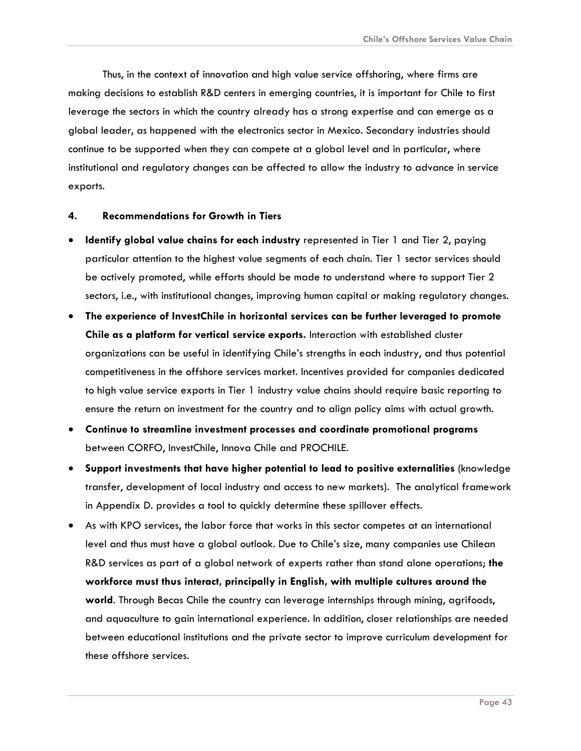<span id="page-43-0"></span> Thus, in the context of innovation and high value service offshoring, where firms are making decisions to establish R&D centers in emerging countries, it is important for Chile to first leverage the sectors in which the country already has a strong expertise and can emerge as a global leader, as happened with the electronics sector in Mexico. Secondary industries should continue to be supported when they can compete at a global level and in particular, where institutional and regulatory changes can be affected to allow the industry to advance in service exports.

#### **4. Recommendations for Growth in Tiers**

- **Identify global value chains for each industry** represented in Tier 1 and Tier 2, paying particular attention to the highest value segments of each chain. Tier 1 sector services should be actively promoted, while efforts should be made to understand where to support Tier 2 sectors, i.e., with institutional changes, improving human capital or making regulatory changes.
- **The experience of InvestChile in horizontal services can be further leveraged to promote Chile as a platform for vertical service exports.** Interaction with established cluster organizations can be useful in identifying Chile's strengths in each industry, and thus potential competitiveness in the offshore services market. Incentives provided for companies dedicated to high value service exports in Tier 1 industry value chains should require basic reporting to ensure the return on investment for the country and to align policy aims with actual growth.
- **Continue to streamline investment processes and coordinate promotional programs**  between CORFO, InvestChile, Innova Chile and PROCHILE.
- **Support investments that have higher potential to lead to positive externalities** (knowledge transfer, development of local industry and access to new markets). The analytical framework in Appendix D. provides a tool to quickly determine these spillover effects.
- As with KPO services, the labor force that works in this sector competes at an international level and thus must have a global outlook. Due to Chile's size, many companies use Chilean R&D services as part of a global network of experts rather than stand alone operations; **the workforce must thus interact, principally in English, with multiple cultures around the world**. Through Becas Chile the country can leverage internships through mining, agrifoods, and aquaculture to gain international experience. In addition, closer relationships are needed between educational institutions and the private sector to improve curriculum development for these offshore services.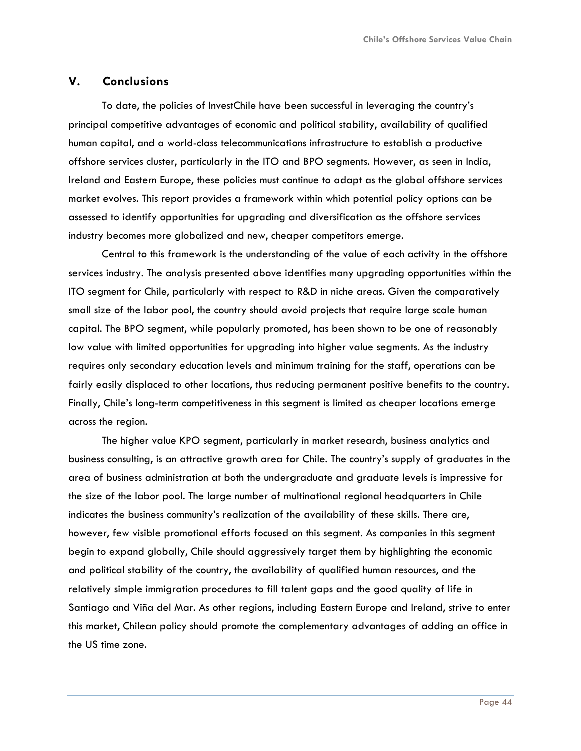#### <span id="page-44-0"></span>**V. Conclusions**

To date, the policies of InvestChile have been successful in leveraging the country's principal competitive advantages of economic and political stability, availability of qualified human capital, and a world-class telecommunications infrastructure to establish a productive offshore services cluster, particularly in the ITO and BPO segments. However, as seen in India, Ireland and Eastern Europe, these policies must continue to adapt as the global offshore services market evolves. This report provides a framework within which potential policy options can be assessed to identify opportunities for upgrading and diversification as the offshore services industry becomes more globalized and new, cheaper competitors emerge.

Central to this framework is the understanding of the value of each activity in the offshore services industry. The analysis presented above identifies many upgrading opportunities within the ITO segment for Chile, particularly with respect to R&D in niche areas. Given the comparatively small size of the labor pool, the country should avoid projects that require large scale human capital. The BPO segment, while popularly promoted, has been shown to be one of reasonably low value with limited opportunities for upgrading into higher value segments. As the industry requires only secondary education levels and minimum training for the staff, operations can be fairly easily displaced to other locations, thus reducing permanent positive benefits to the country. Finally, Chile's long-term competitiveness in this segment is limited as cheaper locations emerge across the region.

The higher value KPO segment, particularly in market research, business analytics and business consulting, is an attractive growth area for Chile. The country's supply of graduates in the area of business administration at both the undergraduate and graduate levels is impressive for the size of the labor pool. The large number of multinational regional headquarters in Chile indicates the business community's realization of the availability of these skills. There are, however, few visible promotional efforts focused on this segment. As companies in this segment begin to expand globally, Chile should aggressively target them by highlighting the economic and political stability of the country, the availability of qualified human resources, and the relatively simple immigration procedures to fill talent gaps and the good quality of life in Santiago and Viña del Mar. As other regions, including Eastern Europe and Ireland, strive to enter this market, Chilean policy should promote the complementary advantages of adding an office in the US time zone.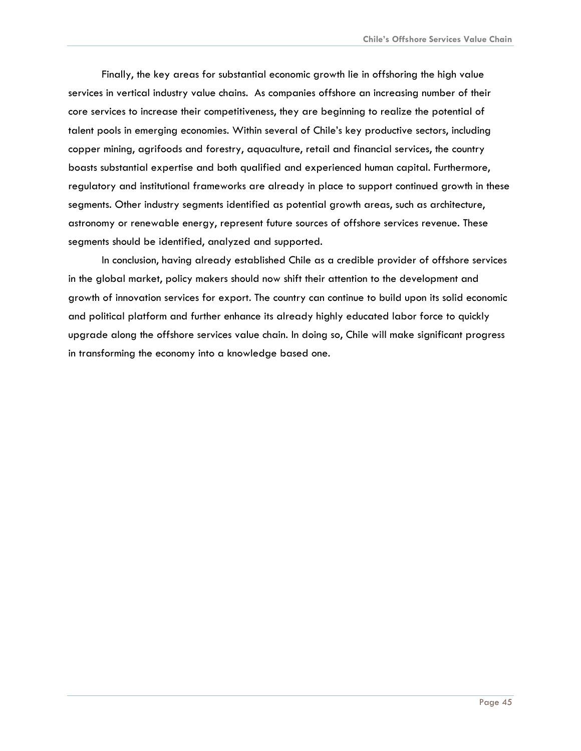Finally, the key areas for substantial economic growth lie in offshoring the high value services in vertical industry value chains. As companies offshore an increasing number of their core services to increase their competitiveness, they are beginning to realize the potential of talent pools in emerging economies. Within several of Chile's key productive sectors, including copper mining, agrifoods and forestry, aquaculture, retail and financial services, the country boasts substantial expertise and both qualified and experienced human capital. Furthermore, regulatory and institutional frameworks are already in place to support continued growth in these segments. Other industry segments identified as potential growth areas, such as architecture, astronomy or renewable energy, represent future sources of offshore services revenue. These segments should be identified, analyzed and supported.

In conclusion, having already established Chile as a credible provider of offshore services in the global market, policy makers should now shift their attention to the development and growth of innovation services for export. The country can continue to build upon its solid economic and political platform and further enhance its already highly educated labor force to quickly upgrade along the offshore services value chain. In doing so, Chile will make significant progress in transforming the economy into a knowledge based one.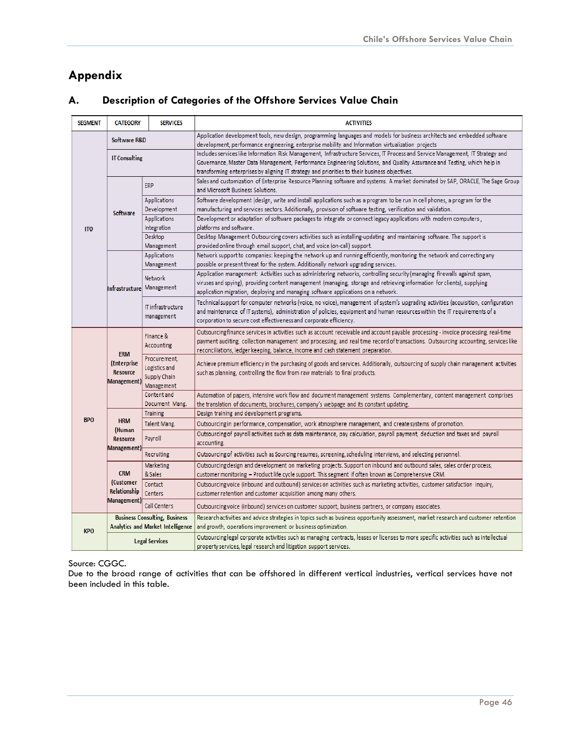# <span id="page-46-0"></span>**Appendix**

| <b>SEGMENT</b> | <b>CATEGORY</b><br><b>SERVICES</b>            |                                                             | <b>ACTIVITIES</b>                                                                                                                                                                                                                                                                                                                                               |  |  |  |
|----------------|-----------------------------------------------|-------------------------------------------------------------|-----------------------------------------------------------------------------------------------------------------------------------------------------------------------------------------------------------------------------------------------------------------------------------------------------------------------------------------------------------------|--|--|--|
|                | Software R&D                                  |                                                             | Application development tools, new design, programming languages and models for business architects and embedded software<br>development, performance engineering, enterprise mobility and Information virtualization projects                                                                                                                                  |  |  |  |
|                | <b>IT Consulting</b>                          |                                                             | Includes services like Information Risk Management, Infrastructure Services, IT Process and Service Management, IT Strategy and<br>Governance, Master Data Management, Performance Engineering Solutions, and Quality Assurance and Testing, which help in<br>transforming enterprises by aligning IT strategy and priorities to their business objectives.     |  |  |  |
|                |                                               | <b>ERP</b>                                                  | Sales and customization of Enterprise Resource Planning software and systems. A market dominated by SAP, ORACLE, The Sage Group<br>and Microsoft Business Solutions.                                                                                                                                                                                            |  |  |  |
|                |                                               | <b>Applications</b>                                         | Software development (design, write and install applications such as a program to be run in cell phones, a program for the                                                                                                                                                                                                                                      |  |  |  |
|                | <b>Software</b>                               | Development                                                 | manufacturing and services sectors. Additionally, provision of software testing, verification and validation.                                                                                                                                                                                                                                                   |  |  |  |
|                |                                               | <b>Applications</b>                                         | Development or adaptation of software packages to integrate or connect legacy applications with modern computers,                                                                                                                                                                                                                                               |  |  |  |
| <b>ITO</b>     |                                               | Integration                                                 | platforms and software.                                                                                                                                                                                                                                                                                                                                         |  |  |  |
|                |                                               | Desktop                                                     | Desktop Management Outsourcing covers activities such as installing-updating and maintaining software. The support is                                                                                                                                                                                                                                           |  |  |  |
|                |                                               | Management                                                  | provided online through email support, chat, and voice (on-call) support.                                                                                                                                                                                                                                                                                       |  |  |  |
|                |                                               | <b>Applications</b>                                         | Network support to companies: keeping the network up and running efficiently, monitoring the network and correcting any                                                                                                                                                                                                                                         |  |  |  |
|                |                                               | Management                                                  | possible or present threat for the system. Additionally network upgrading services.                                                                                                                                                                                                                                                                             |  |  |  |
|                | Infrastructure   Management                   | <b>Network</b>                                              | Application management: Activities such as administering networks, controlling security (managing firewalls against spam,<br>viruses and spying), providing content management (managing, storage and retrieving information for clients), supplying<br>application migration, deploying and managing software applications on a network.                       |  |  |  |
|                |                                               | IT infrastructure<br>management                             | Technical support for computer networks (voice, no voice), management of system's upgrading activities (acquisition, configuration<br>and maintenance of IT systems), administration of policies, equipment and human resources within the IT requirements of a<br>corporation to secure cost effectiveness and corporate efficiency.                           |  |  |  |
|                | <b>ERM</b>                                    | Finance &<br><b>Accounting</b>                              | Outsourcing finance services in activities such as account receivable and account payable processing - invoice processing, real-time<br>payment auditing, collection management and processing, and real time record of transactions. Outsourcing accounting, services like<br>reconciliations, ledger keeping, balance, income and cash statement preparation. |  |  |  |
|                | (Enterprise<br><b>Resource</b><br>Management) | Procurement,<br>Logistics and<br>Supply Chain<br>Management | Achieve premium efficiency in the purchasing of goods and services. Additionally, outsourcing of supply chain management activities<br>such as planning, controlling the flow from raw materials to final products.                                                                                                                                             |  |  |  |
|                |                                               | Content and<br>Document Mang.                               | Automation of papers, intensive work flow and document management systems. Complementary, content management comprises<br>the translation of documents, brochures, company's webpage and its constant updating.                                                                                                                                                 |  |  |  |
|                |                                               | <b>Training</b>                                             | Design training and development programs.                                                                                                                                                                                                                                                                                                                       |  |  |  |
| <b>BPO</b>     | <b>HRM</b>                                    | <b>Talent Mang.</b>                                         | Outsourcing in performance, compensation, work atmosphere management, and create systems of promotion.                                                                                                                                                                                                                                                          |  |  |  |
|                | (Human<br><b>Resource</b>                     | Payroll                                                     | Outsourcing of payroll activities such as data maintenance, pay calculation, payroll payment, deduction and taxes and payroll<br>accounting.                                                                                                                                                                                                                    |  |  |  |
|                | Management)                                   | Recruiting                                                  | Outsourcing of activities such as Sourcing resumes, screening, scheduling interviews, and selecting personnel.                                                                                                                                                                                                                                                  |  |  |  |
|                |                                               | <b>Marketing</b>                                            | Outsourcing design and development on marketing projects. Support on inbound and outbound sales, sales order process,                                                                                                                                                                                                                                           |  |  |  |
|                | <b>CRM</b>                                    | & Sales                                                     | customer monitoring - Product life cycle support. This segment if often known as Comprehensive CRM.                                                                                                                                                                                                                                                             |  |  |  |
|                | (Customer                                     | Contact                                                     | Outsourcing voice (inbound and outbound) services on activities such as marketing activities, customer satisfaction inquiry,                                                                                                                                                                                                                                    |  |  |  |
|                | Relationship                                  | <b>Centers</b>                                              | customer retention and customer acquisition among many others.                                                                                                                                                                                                                                                                                                  |  |  |  |
|                | Management)                                   | Call Centers                                                | Outsourcing voice (inbound) services on customer support, business partners, or company associates.                                                                                                                                                                                                                                                             |  |  |  |
|                |                                               | <b>Business Consulting, Business</b>                        | Research activities and advice strategies in topics such as business opportunity assessment, market research and customer retention                                                                                                                                                                                                                             |  |  |  |
| <b>KPO</b>     |                                               | Analytics and Market Intelligence                           | and growth, operations improvement or business optimization.                                                                                                                                                                                                                                                                                                    |  |  |  |
|                | <b>Legal Services</b>                         |                                                             | Outsourcing legal corporate activities such as managing contracts, leases or licenses to more specific activities such as intellectual<br>property services, legal research and litigation support services.                                                                                                                                                    |  |  |  |

## **A. Description of Categories of the Offshore Services Value Chain**

Source: CGGC.

Due to the broad range of activities that can be offshored in different vertical industries, vertical services have not been included in this table.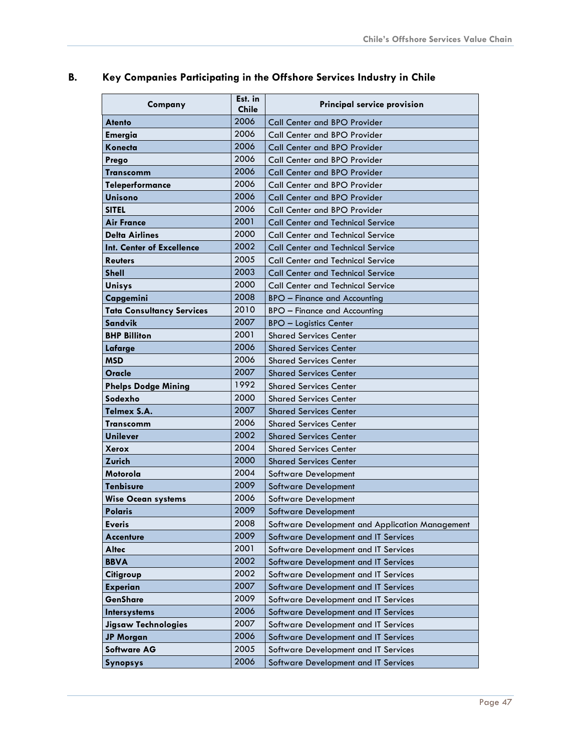| Company                          | Est. in<br><b>Chile</b> | Principal service provision                     |  |
|----------------------------------|-------------------------|-------------------------------------------------|--|
| <b>Atento</b>                    | 2006                    | Call Center and BPO Provider                    |  |
| <b>Emergia</b>                   | 2006                    | <b>Call Center and BPO Provider</b>             |  |
| Konecta                          | 2006                    | <b>Call Center and BPO Provider</b>             |  |
| Prego                            | 2006                    | Call Center and BPO Provider                    |  |
| Transcomm                        | 2006                    | <b>Call Center and BPO Provider</b>             |  |
| <b>Teleperformance</b>           | 2006                    | <b>Call Center and BPO Provider</b>             |  |
| <b>Unisono</b>                   | 2006                    | <b>Call Center and BPO Provider</b>             |  |
| <b>SITEL</b>                     | 2006                    | <b>Call Center and BPO Provider</b>             |  |
| <b>Air France</b>                | 2001                    | <b>Call Center and Technical Service</b>        |  |
| <b>Delta Airlines</b>            | 2000                    | <b>Call Center and Technical Service</b>        |  |
| Int. Center of Excellence        | 2002                    | <b>Call Center and Technical Service</b>        |  |
| <b>Reuters</b>                   | 2005                    | <b>Call Center and Technical Service</b>        |  |
| <b>Shell</b>                     | 2003                    | <b>Call Center and Technical Service</b>        |  |
| Unisys                           | 2000                    | <b>Call Center and Technical Service</b>        |  |
| Capgemini                        | 2008                    | <b>BPO</b> – Finance and Accounting             |  |
| <b>Tata Consultancy Services</b> | 2010                    | <b>BPO</b> – Finance and Accounting             |  |
| Sandvik                          | 2007                    | <b>BPO - Logistics Center</b>                   |  |
| <b>BHP Billiton</b>              | 2001                    | <b>Shared Services Center</b>                   |  |
| Lafarge                          | 2006                    | <b>Shared Services Center</b>                   |  |
| <b>MSD</b>                       | 2006                    | <b>Shared Services Center</b>                   |  |
| Oracle                           | 2007                    | <b>Shared Services Center</b>                   |  |
| <b>Phelps Dodge Mining</b>       | 1992                    | <b>Shared Services Center</b>                   |  |
| Sodexho                          | 2000                    | <b>Shared Services Center</b>                   |  |
| Telmex S.A.                      | 2007                    | <b>Shared Services Center</b>                   |  |
| <b>Transcomm</b>                 | 2006                    | <b>Shared Services Center</b>                   |  |
| <b>Unilever</b>                  | 2002                    | <b>Shared Services Center</b>                   |  |
| Xerox                            | 2004                    | <b>Shared Services Center</b>                   |  |
| <b>Zurich</b>                    | 2000                    | <b>Shared Services Center</b>                   |  |
| Motorola                         | 2004                    | Software Development                            |  |
| <b>Tenbisure</b>                 | 2009                    | <b>Software Development</b>                     |  |
| <b>Wise Ocean systems</b>        | 2006                    | <b>Software Development</b>                     |  |
| <b>Polaris</b>                   | 2009                    | <b>Software Development</b>                     |  |
| <b>Everis</b>                    | 2008                    | Software Development and Application Management |  |
| <b>Accenture</b>                 | 2009                    | Software Development and IT Services            |  |
| <b>Altec</b>                     | 2001                    | Software Development and IT Services            |  |
| <b>BBVA</b>                      | 2002                    | Software Development and IT Services            |  |
| Citigroup                        | 2002                    | Software Development and IT Services            |  |
| <b>Experian</b>                  | 2007                    | Software Development and IT Services            |  |
| GenShare                         | 2009                    | Software Development and IT Services            |  |
| <b>Intersystems</b>              | 2006                    | Software Development and IT Services            |  |
| <b>Jigsaw Technologies</b>       | 2007                    | Software Development and IT Services            |  |
| <b>JP Morgan</b>                 | 2006                    | Software Development and IT Services            |  |
| <b>Software AG</b>               | 2005                    | Software Development and IT Services            |  |
| Synopsys                         | 2006                    | Software Development and IT Services            |  |

# <span id="page-47-0"></span>**B. Key Companies Participating in the Offshore Services Industry in Chile**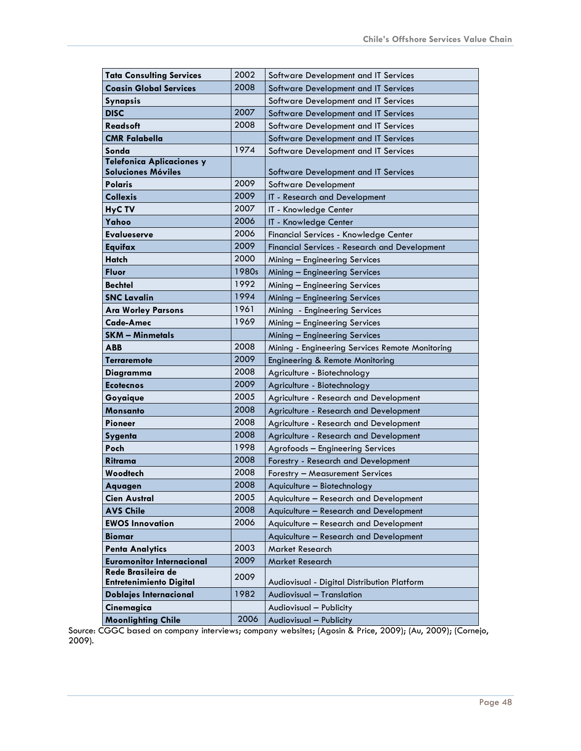| <b>Tata Consulting Services</b>  | 2002  | Software Development and IT Services                 |  |  |
|----------------------------------|-------|------------------------------------------------------|--|--|
| <b>Coasin Global Services</b>    | 2008  | Software Development and IT Services                 |  |  |
| Synapsis                         |       | Software Development and IT Services                 |  |  |
| <b>DISC</b>                      | 2007  | Software Development and IT Services                 |  |  |
| <b>Readsoft</b>                  | 2008  | Software Development and IT Services                 |  |  |
| <b>CMR Falabella</b>             |       | Software Development and IT Services                 |  |  |
| Sonda                            | 1974  | Software Development and IT Services                 |  |  |
| <b>Telefonica Aplicaciones y</b> |       |                                                      |  |  |
| <b>Soluciones Móviles</b>        |       | Software Development and IT Services                 |  |  |
| Polaris                          | 2009  | Software Development                                 |  |  |
| <b>Collexis</b>                  | 2009  | IT - Research and Development                        |  |  |
| HyC TV                           | 2007  | IT - Knowledge Center                                |  |  |
| Yahoo                            | 2006  | IT - Knowledge Center                                |  |  |
| Evalueserve                      | 2006  | Financial Services - Knowledge Center                |  |  |
| Equifax                          | 2009  | <b>Financial Services - Research and Development</b> |  |  |
| <b>Hatch</b>                     | 2000  | Mining - Engineering Services                        |  |  |
| Fluor                            | 1980s | Mining - Engineering Services                        |  |  |
| <b>Bechtel</b>                   | 1992  | Mining - Engineering Services                        |  |  |
| <b>SNC Lavalin</b>               | 1994  | Mining - Engineering Services                        |  |  |
| <b>Ara Worley Parsons</b>        | 1961  | Mining - Engineering Services                        |  |  |
| Cade-Amec                        | 1969  | Mining - Engineering Services                        |  |  |
| <b>SKM - Minmetals</b>           |       | Mining - Engineering Services                        |  |  |
| ABB                              | 2008  | Mining - Engineering Services Remote Monitoring      |  |  |
| Terraremote                      | 2009  | Engineering & Remote Monitoring                      |  |  |
| Diagramma                        | 2008  | Agriculture - Biotechnology                          |  |  |
| <b>Ecotecnos</b>                 | 2009  | Agriculture - Biotechnology                          |  |  |
| Goyaique                         | 2005  | Agriculture - Research and Development               |  |  |
| Monsanto                         | 2008  | Agriculture - Research and Development               |  |  |
| Pioneer                          | 2008  | Agriculture - Research and Development               |  |  |
| <b>Sygenta</b>                   | 2008  | Agriculture - Research and Development               |  |  |
| Poch                             | 1998  | Agrofoods - Engineering Services                     |  |  |
| Ritrama                          | 2008  | Forestry - Research and Development                  |  |  |
| Woodtech                         | 2008  | Forestry - Measurement Services                      |  |  |
| Aquagen                          | 2008  | Aquiculture - Biotechnology                          |  |  |
| <b>Cien Austral</b>              | 2005  | Aquiculture - Research and Development               |  |  |
| <b>AVS Chile</b>                 | 2008  | Aquiculture - Research and Development               |  |  |
| <b>EWOS Innovation</b>           | 2006  | Aquiculture - Research and Development               |  |  |
| <b>Biomar</b>                    |       | Aquiculture - Research and Development               |  |  |
| <b>Penta Analytics</b>           | 2003  | Market Research                                      |  |  |
| <b>Euromonitor Internacional</b> | 2009  | Market Research                                      |  |  |
| Rede Brasileira de               | 2009  |                                                      |  |  |
| <b>Entretenimiento Digital</b>   | 1982  | Audiovisual - Digital Distribution Platform          |  |  |
| <b>Doblajes Internacional</b>    |       | Audiovisual - Translation                            |  |  |
| Cinemagica                       |       | Audiovisual - Publicity                              |  |  |
| <b>Moonlighting Chile</b>        | 2006  | Audiovisual - Publicity                              |  |  |

Source: CGGC based on company interviews; company websites; (Agosin & Price, 2009); (Au, 2009); (Cornejo, 2009).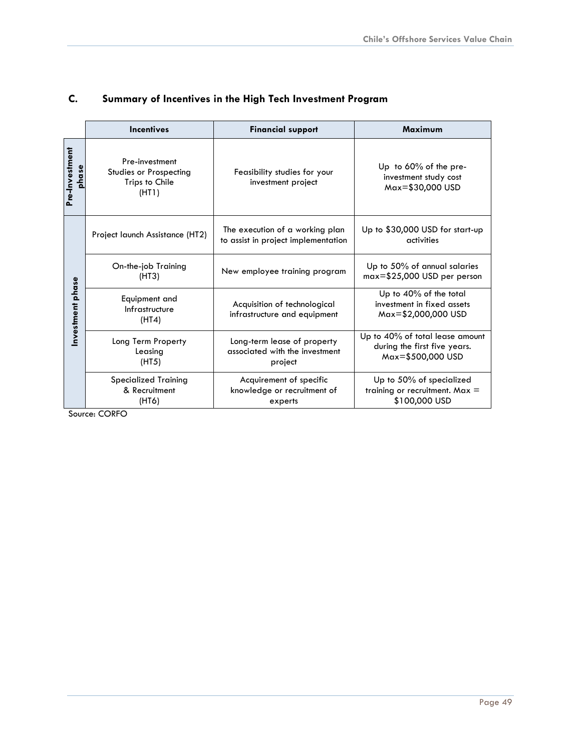|                         | <b>Incentives</b>                                                   | <b>Financial support</b>                                                 |                                                                                      |
|-------------------------|---------------------------------------------------------------------|--------------------------------------------------------------------------|--------------------------------------------------------------------------------------|
| Pre-Investment<br>phase | Pre-investment<br>Studies or Prospecting<br>Trips to Chile<br>(HTI) | Feasibility studies for your<br>investment project                       | Up to $60\%$ of the pre-<br>investment study cost<br>Max=\$30,000 USD                |
|                         | Project launch Assistance (HT2)                                     | The execution of a working plan<br>to assist in project implementation   | Up to \$30,000 USD for start-up<br>activities                                        |
| Investment phase        | On-the-job Training<br>(HT3)                                        | New employee training program                                            | Up to 50% of annual salaries<br>$max=$ \$25,000 USD per person                       |
|                         | Equipment and<br>Infrastructure<br>(HTA)                            | Acquisition of technological<br>infrastructure and equipment             | Up to 40% of the total<br>investment in fixed assets<br>Max=\$2,000,000 USD          |
|                         | Long Term Property<br>Leasing<br>(HT5)                              | Long-term lease of property<br>associated with the investment<br>project | Up to 40% of total lease amount<br>during the first five years.<br>Max=\$500,000 USD |
|                         | <b>Specialized Training</b><br>& Recruitment<br>(HT6)               | Acquirement of specific<br>knowledge or recruitment of<br>experts        | Up to 50% of specialized<br>training or recruitment. Max $=$<br>\$100,000 USD        |

# <span id="page-49-0"></span>**C. Summary of Incentives in the High Tech Investment Program**

Source: CORFO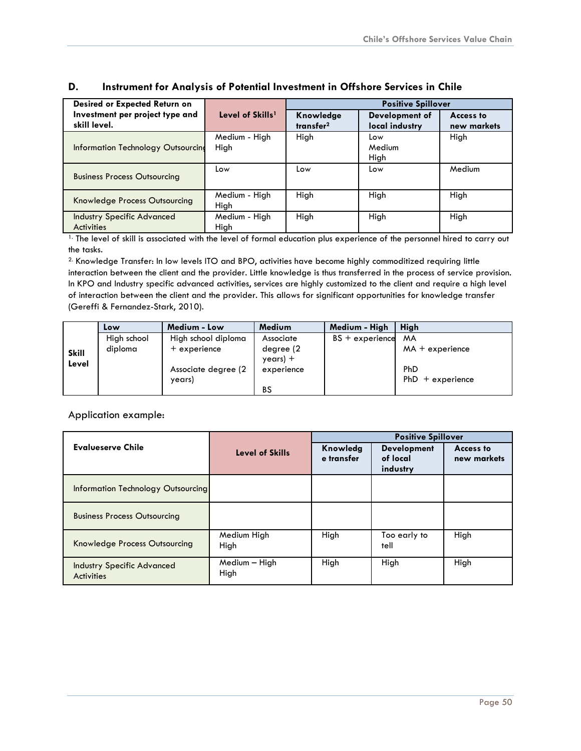| Desired or Expected Return on                          |                              | <b>Positive Spillover</b>          |                                  |                          |  |
|--------------------------------------------------------|------------------------------|------------------------------------|----------------------------------|--------------------------|--|
| Investment per project type and<br>skill level.        | Level of Skills <sup>1</sup> | Knowledge<br>transfer <sup>2</sup> | Development of<br>local industry | Access to<br>new markets |  |
| Information Technology Outsourcing                     | Medium - High<br>High        | High                               | Low<br>Medium<br>High            | High                     |  |
| <b>Business Process Outsourcing</b>                    | Low                          | Low                                | Low                              | Medium                   |  |
| Knowledge Process Outsourcing                          | Medium - High<br>High        | High                               | High                             | High                     |  |
| <b>Industry Specific Advanced</b><br><b>Activities</b> | Medium - High<br>High        | High                               | High                             | High                     |  |

#### <span id="page-50-0"></span>**D. Instrument for Analysis of Potential Investment in Offshore Services in Chile**

1. The level of skill is associated with the level of formal education plus experience of the personnel hired to carry out the tasks.

2. Knowledge Transfer: In low levels ITO and BPO, activities have become highly commoditized requiring little interaction between the client and the provider. Little knowledge is thus transferred in the process of service provision. In KPO and Industry specific advanced activities, services are highly customized to the client and require a high level of interaction between the client and the provider. This allows for significant opportunities for knowledge transfer (Gereffi & Fernandez-Stark, 2010).

|                       | Low         | Medium - Low         | <b>Medium</b>          | Medium - High     | Hiah               |
|-----------------------|-------------|----------------------|------------------------|-------------------|--------------------|
| <b>Skill</b><br>Level | High school | High school diploma  | Associate              | $BS + experience$ | <b>MA</b>          |
|                       | diploma     | $+$ experience       | degree (2<br>$year) +$ |                   | $MA + experience$  |
|                       |             | Associate degree (2) | experience             |                   | PhD                |
|                       |             | years)               | <b>BS</b>              |                   | $PhD + experience$ |

#### Application example:

|                                                        | Level of Skills         | <b>Positive Spillover</b> |                                            |                                 |
|--------------------------------------------------------|-------------------------|---------------------------|--------------------------------------------|---------------------------------|
| Evalueserve Chile                                      |                         | Knowledg<br>e transfer    | <b>Development</b><br>of local<br>industry | <b>Access to</b><br>new markets |
| <b>Information Technology Outsourcing</b>              |                         |                           |                                            |                                 |
| <b>Business Process Outsourcing</b>                    |                         |                           |                                            |                                 |
| Knowledge Process Outsourcing                          | Medium High<br>High     | High                      | Too early to<br>tell                       | High                            |
| <b>Industry Specific Advanced</b><br><b>Activities</b> | $Median - High$<br>High | High                      | High                                       | High                            |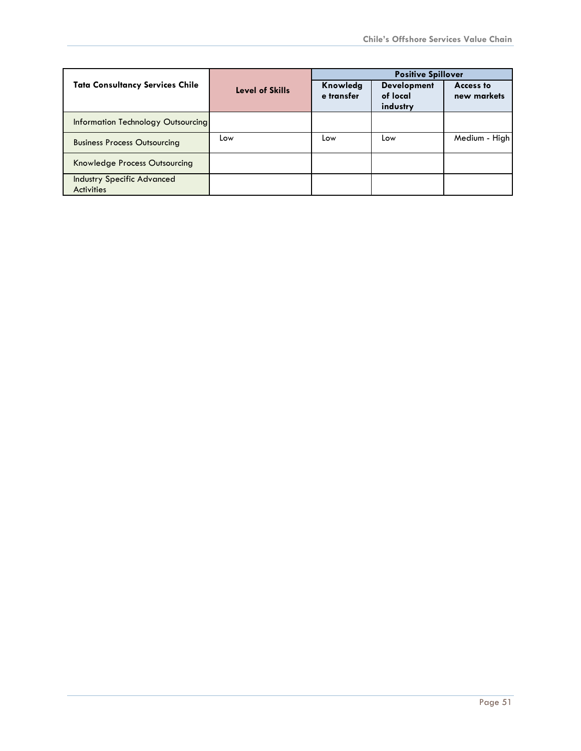|                                                        |                 | <b>Positive Spillover</b> |                                            |                          |
|--------------------------------------------------------|-----------------|---------------------------|--------------------------------------------|--------------------------|
| <b>Tata Consultancy Services Chile</b>                 | Level of Skills | Knowledg<br>e transfer    | <b>Development</b><br>of local<br>industry | Access to<br>new markets |
| Information Technology Outsourcing                     |                 |                           |                                            |                          |
| <b>Business Process Outsourcing</b>                    | Low             | Low                       | Low                                        | Medium - High            |
| Knowledge Process Outsourcing                          |                 |                           |                                            |                          |
| <b>Industry Specific Advanced</b><br><b>Activities</b> |                 |                           |                                            |                          |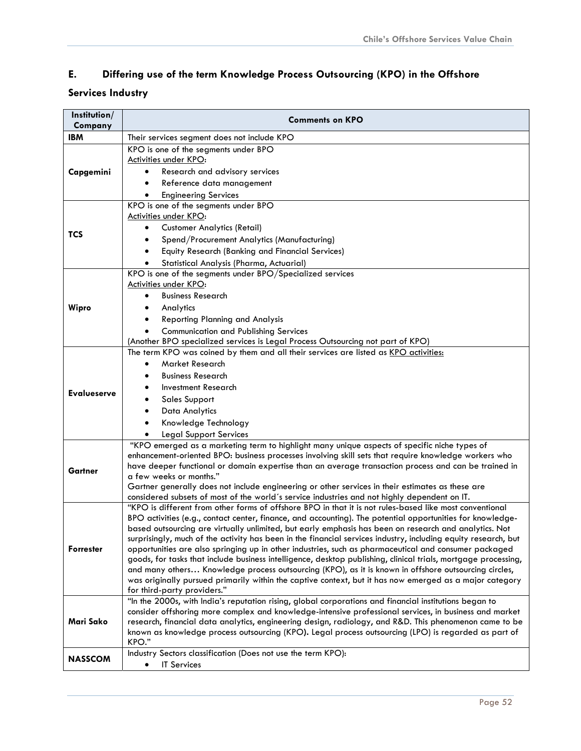# <span id="page-52-0"></span>**E. Differing use of the term Knowledge Process Outsourcing (KPO) in the Offshore**

# **Services Industry**

| Institution/<br>Company | <b>Comments on KPO</b>                                                                                                                                                                                          |  |  |  |
|-------------------------|-----------------------------------------------------------------------------------------------------------------------------------------------------------------------------------------------------------------|--|--|--|
| <b>IBM</b>              | Their services segment does not include KPO                                                                                                                                                                     |  |  |  |
|                         | KPO is one of the segments under BPO                                                                                                                                                                            |  |  |  |
|                         | <b>Activities under KPO:</b>                                                                                                                                                                                    |  |  |  |
| Capgemini               | Research and advisory services                                                                                                                                                                                  |  |  |  |
|                         | Reference data management                                                                                                                                                                                       |  |  |  |
|                         | <b>Engineering Services</b>                                                                                                                                                                                     |  |  |  |
|                         | KPO is one of the segments under BPO                                                                                                                                                                            |  |  |  |
|                         | <b>Activities under KPO:</b><br><b>Customer Analytics (Retail)</b>                                                                                                                                              |  |  |  |
| TCS                     | Spend/Procurement Analytics (Manufacturing)<br>٠                                                                                                                                                                |  |  |  |
|                         | Equity Research (Banking and Financial Services)                                                                                                                                                                |  |  |  |
|                         | Statistical Analysis (Pharma, Actuarial)                                                                                                                                                                        |  |  |  |
|                         | KPO is one of the segments under BPO/Specialized services                                                                                                                                                       |  |  |  |
|                         | Activities under KPO:                                                                                                                                                                                           |  |  |  |
|                         | <b>Business Research</b><br>$\bullet$                                                                                                                                                                           |  |  |  |
| Wipro                   | Analytics<br>$\bullet$                                                                                                                                                                                          |  |  |  |
|                         | <b>Reporting Planning and Analysis</b>                                                                                                                                                                          |  |  |  |
|                         | <b>Communication and Publishing Services</b>                                                                                                                                                                    |  |  |  |
|                         | (Another BPO specialized services is Legal Process Outsourcing not part of KPO)                                                                                                                                 |  |  |  |
|                         | The term KPO was coined by them and all their services are listed as KPO activities:                                                                                                                            |  |  |  |
|                         | Market Research<br>$\bullet$                                                                                                                                                                                    |  |  |  |
|                         | <b>Business Research</b>                                                                                                                                                                                        |  |  |  |
| <b>Evalueserve</b>      | Investment Research                                                                                                                                                                                             |  |  |  |
|                         | <b>Sales Support</b>                                                                                                                                                                                            |  |  |  |
|                         | Data Analytics<br>Knowledge Technology                                                                                                                                                                          |  |  |  |
|                         | <b>Legal Support Services</b>                                                                                                                                                                                   |  |  |  |
|                         | "KPO emerged as a marketing term to highlight many unique aspects of specific niche types of                                                                                                                    |  |  |  |
|                         | enhancement-oriented BPO: business processes involving skill sets that require knowledge workers who                                                                                                            |  |  |  |
| Gartner                 | have deeper functional or domain expertise than an average transaction process and can be trained in                                                                                                            |  |  |  |
|                         | a few weeks or months."                                                                                                                                                                                         |  |  |  |
|                         | Gartner generally does not include engineering or other services in their estimates as these are                                                                                                                |  |  |  |
|                         | considered subsets of most of the world's service industries and not highly dependent on IT.<br>"KPO is different from other forms of offshore BPO in that it is not rules-based like most conventional         |  |  |  |
|                         | BPO activities (e.g., contact center, finance, and accounting). The potential opportunities for knowledge-                                                                                                      |  |  |  |
|                         | based outsourcing are virtually unlimited, but early emphasis has been on research and analytics. Not                                                                                                           |  |  |  |
|                         | surprisingly, much of the activity has been in the financial services industry, including equity research, but                                                                                                  |  |  |  |
| <b>Forrester</b>        | opportunities are also springing up in other industries, such as pharmaceutical and consumer packaged                                                                                                           |  |  |  |
|                         | goods, for tasks that include business intelligence, desktop publishing, clinical trials, mortgage processing,                                                                                                  |  |  |  |
|                         | and many others Knowledge process outsourcing (KPO), as it is known in offshore outsourcing circles,<br>was originally pursued primarily within the captive context, but it has now emerged as a major category |  |  |  |
|                         | for third-party providers."                                                                                                                                                                                     |  |  |  |
|                         | "In the 2000s, with India's reputation rising, global corporations and financial institutions began to                                                                                                          |  |  |  |
|                         | consider offshoring more complex and knowledge-intensive professional services, in business and market                                                                                                          |  |  |  |
| Mari Sako               | research, financial data analytics, engineering design, radiology, and R&D. This phenomenon came to be                                                                                                          |  |  |  |
|                         | known as knowledge process outsourcing (KPO). Legal process outsourcing (LPO) is regarded as part of<br>KPO."                                                                                                   |  |  |  |
|                         | Industry Sectors classification (Does not use the term KPO):                                                                                                                                                    |  |  |  |
| <b>NASSCOM</b>          | <b>IT Services</b><br>٠                                                                                                                                                                                         |  |  |  |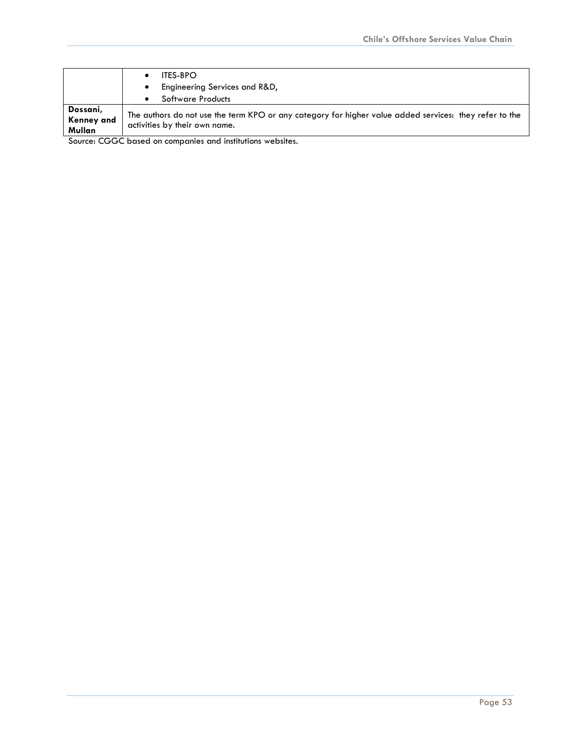|            | <b>ITES-BPO</b>                                                                                        |  |
|------------|--------------------------------------------------------------------------------------------------------|--|
|            | Engineering Services and R&D,                                                                          |  |
|            | <b>Software Products</b>                                                                               |  |
| Dossani,   | The authors do not use the term KPO or any category for higher value added services: they refer to the |  |
| Kenney and | activities by their own name.                                                                          |  |
| Mullan     |                                                                                                        |  |

Source: CGGC based on companies and institutions websites.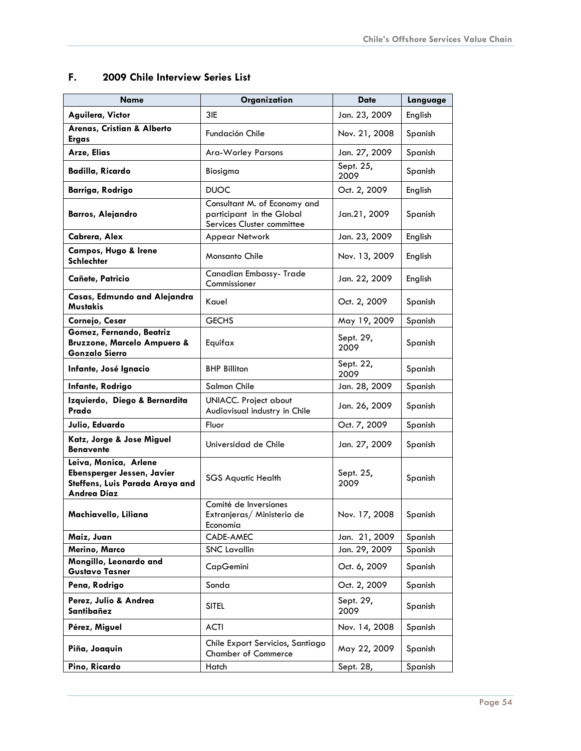| Name                                                                                                  | Organization                                                                            | <b>Date</b>       | Language |
|-------------------------------------------------------------------------------------------------------|-----------------------------------------------------------------------------------------|-------------------|----------|
| Aguilera, Victor                                                                                      | 3IE                                                                                     | Jan. 23, 2009     | English  |
| Arenas, Cristian & Alberto<br><b>Ergas</b>                                                            | Fundación Chile                                                                         | Nov. 21, 2008     | Spanish  |
| Arze, Elias                                                                                           | Ara-Worley Parsons                                                                      | Jan. 27, 2009     | Spanish  |
| Badilla, Ricardo                                                                                      | Biosigma                                                                                | Sept. 25,<br>2009 | Spanish  |
| <b>Barriga, Rodrigo</b>                                                                               | <b>DUOC</b>                                                                             | Oct. 2, 2009      | English  |
| <b>Barros, Alejandro</b>                                                                              | Consultant M. of Economy and<br>participant in the Global<br>Services Cluster committee | Jan.21, 2009      | Spanish  |
| Cabrera, Alex                                                                                         | Appear Network                                                                          | Jan. 23, 2009     | English  |
| Campos, Hugo & Irene<br>Schlechter                                                                    | <b>Monsanto Chile</b>                                                                   | Nov. 13, 2009     | English  |
| Cañete, Patricio                                                                                      | Canadian Embassy- Trade<br>Commissioner                                                 | Jan. 22, 2009     | English  |
| Casas, Edmundo and Alejandra<br>Mustakis                                                              | Kauel                                                                                   | Oct. 2, 2009      | Spanish  |
| Cornejo, Cesar                                                                                        | <b>GECHS</b>                                                                            | May 19, 2009      | Spanish  |
| Gomez, Fernando, Beatriz<br><b>Bruzzone, Marcelo Ampuero &amp;</b><br><b>Gonzalo Sierro</b>           | Equifax                                                                                 | Sept. 29,<br>2009 | Spanish  |
| Infante, José Ignacio                                                                                 | <b>BHP Billiton</b>                                                                     | Sept. 22,<br>2009 | Spanish  |
| Infante, Rodrigo                                                                                      | Salmon Chile                                                                            | Jan. 28, 2009     | Spanish  |
| Izquierdo, Diego & Bernardita<br>Prado                                                                | <b>UNIACC.</b> Project about<br>Audiovisual industry in Chile                           | Jan. 26, 2009     | Spanish  |
| Julio, Eduardo                                                                                        | Fluor                                                                                   | Oct. 7, 2009      | Spanish  |
| Katz, Jorge & Jose Miguel<br><b>Benavente</b>                                                         | Universidad de Chile                                                                    | Jan. 27, 2009     | Spanish  |
| Leiva, Monica, Arlene<br>Ebensperger Jessen, Javier<br>Steffens, Luis Parada Araya and<br>Andrea Díaz | <b>SGS Aquatic Health</b>                                                               | Sept. 25,<br>2009 | Spanish  |
| Machiavello, Liliana                                                                                  | Comité de Inversiones<br>Extranjeras/ Ministerio de<br>Economía                         | Nov. 17, 2008     | Spanish  |
| Maiz, Juan                                                                                            | CADE-AMEC                                                                               | Jan. 21, 2009     | Spanish  |
| Merino, Marco                                                                                         | <b>SNC Lavallin</b>                                                                     | Jan. 29, 2009     | Spanish  |
| Mongillo, Leonardo and<br><b>Gustavo Tasner</b>                                                       | CapGemini                                                                               | Oct. 6, 2009      | Spanish  |
| Pena, Rodrigo                                                                                         | Sonda                                                                                   | Oct. 2, 2009      | Spanish  |
| Perez, Julio & Andrea<br>Santibañez                                                                   | <b>SITEL</b>                                                                            | Sept. 29,<br>2009 | Spanish  |
| Pérez, Miguel                                                                                         | <b>ACTI</b>                                                                             | Nov. 14, 2008     | Spanish  |
| Piña, Joaquin                                                                                         | Chile Export Servicios, Santiago<br><b>Chamber of Commerce</b>                          | May 22, 2009      | Spanish  |
| Pino, Ricardo                                                                                         | Hatch                                                                                   | Sept. 28,         | Spanish  |

# <span id="page-54-0"></span>**F. 2009 Chile Interview Series List**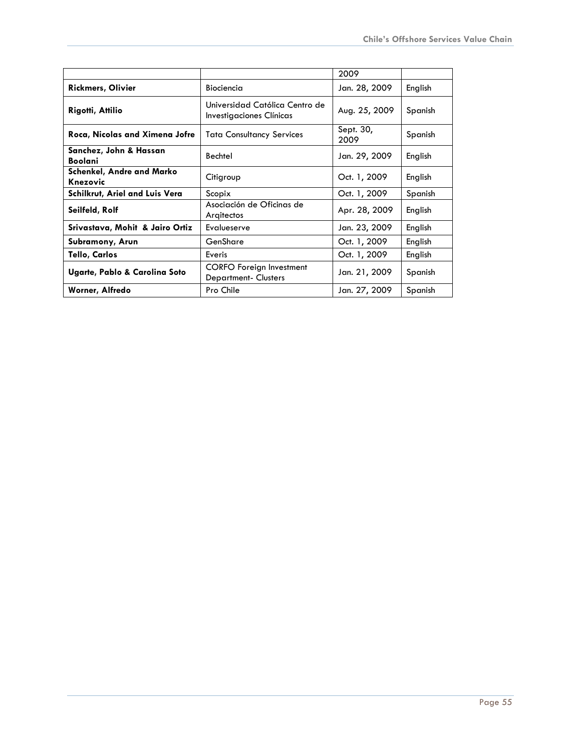|                                              |                                                               | 2009              |         |
|----------------------------------------------|---------------------------------------------------------------|-------------------|---------|
| <b>Rickmers, Olivier</b>                     | Biociencia                                                    | Jan. 28, 2009     | English |
| Rigotti, Attilio                             | Universidad Católica Centro de<br>Investigaciones Clínicas    | Aug. 25, 2009     | Spanish |
| Roca, Nicolas and Ximena Jofre               | <b>Tata Consultancy Services</b>                              | Sept. 30,<br>2009 | Spanish |
| Sanchez, John & Hassan<br>Boolani            | Bechtel                                                       | Jan. 29, 2009     | English |
| <b>Schenkel, Andre and Marko</b><br>Knezovic | Citigroup                                                     | Oct. 1, 2009      | English |
| Schilkrut, Ariel and Luis Vera               | Scopix                                                        | Oct. 1, 2009      | Spanish |
| Seilfeld, Rolf                               | Asociación de Oficinas de<br>Argitectos                       | Apr. 28, 2009     | English |
| Srivastava, Mohit & Jairo Ortiz              | Evalueserve                                                   | Jan. 23, 2009     | English |
| Subramony, Arun                              | GenShare                                                      | Oct. 1, 2009      | English |
| Tello, Carlos                                | Everis                                                        | Oct. 1, 2009      | English |
| Ugarte, Pablo & Carolina Soto                | <b>CORFO Foreign Investment</b><br><b>Department-Clusters</b> | Jan. 21, 2009     | Spanish |
| Worner, Alfredo                              | Pro Chile                                                     | Jan. 27, 2009     | Spanish |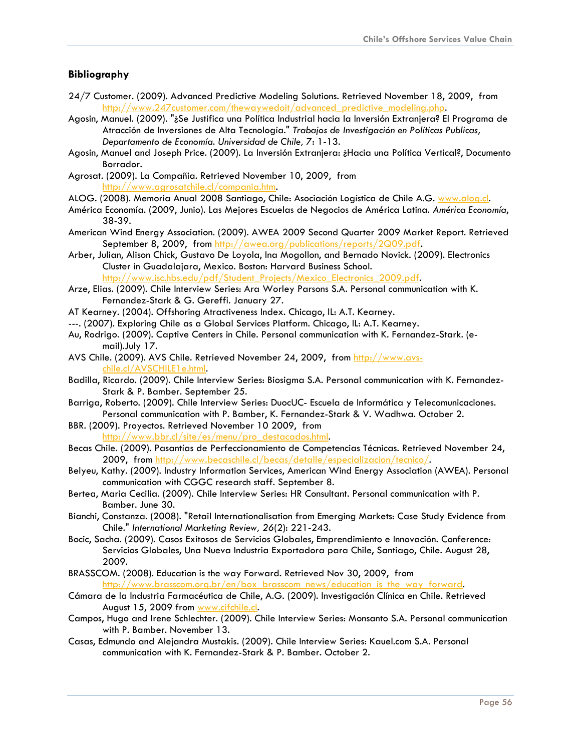#### **Bibliography**

- 24/7 Customer. (2009). Advanced Predictive Modeling Solutions. Retrieved November 18, 2009, from [http://www.247customer.com/thewaywedoit/advanced\\_predictive\\_modeling.php.](http://www.247customer.com/thewaywedoit/advanced_predictive_modeling.php)
- Agosin, Manuel. (2009). "¿Se Justifica una Política Industrial hacia la Inversión Extranjera? El Programa de Atracción de Inversiones de Alta Tecnología." *Trabajos de Investigación en Políticas Publicas, Departamento de Economía. Universidad de Chile, 7*: 1-13.
- Agosin, Manuel and Joseph Price. (2009). La Inversión Extranjera: ¿Hacia una Política Vertical?, Documento Borrador.
- Agrosat. (2009). La Compañia. Retrieved November 10, 2009, from [http://www.agrosatchile.cl/compania.htm.](http://www.agrosatchile.cl/compania.htm)
- ALOG. (2008). Memoria Anual 2008 Santiago, Chile: Asociación Logística de Chile A.G. [www.alog.cl](http://www.alog.cl/).
- América Economía. (2009, Junio). Las Mejores Escuelas de Negocios de América Latina. *América Economía*, 38-39.
- American Wind Energy Association. (2009). AWEA 2009 Second Quarter 2009 Market Report. Retrieved September 8, 2009, from <http://awea.org/publications/reports/2Q09.pdf>.
- Arber, Julian, Alison Chick, Gustavo De Loyola, Ina Mogollon, and Bernado Novick. (2009). Electronics Cluster in Guadalajara, Mexico. Boston: Harvard Business School.

[http://www.isc.hbs.edu/pdf/Student\\_Projects/Mexico\\_Electronics\\_2009.pdf.](http://www.isc.hbs.edu/pdf/Student_Projects/Mexico_Electronics_2009.pdf)

- Arze, Elias. (2009). Chile Interview Series: Ara Worley Parsons S.A. Personal communication with K. Fernandez-Stark & G. Gereffi. January 27.
- AT Kearney. (2004). Offshoring Atractiveness Index. Chicago, IL: A.T. Kearney.
- ---. (2007). Exploring Chile as a Global Services Platform. Chicago, IL: A.T. Kearney.
- Au, Rodrigo. (2009). Captive Centers in Chile. Personal communication with K. Fernandez-Stark. (email).July 17.
- AVS Chile. (2009). AVS Chile. Retrieved November 24, 2009, from [http://www.avs](http://www.avs-chile.cl/AVSCHILE1e.html)[chile.cl/AVSCHILE1e.html.](http://www.avs-chile.cl/AVSCHILE1e.html)
- Badilla, Ricardo. (2009). Chile Interview Series: Biosigma S.A. Personal communication with K. Fernandez-Stark & P. Bamber. September 25.
- Barriga, Roberto. (2009). Chile Interview Series: DuocUC- Escuela de Informática y Telecomunicaciones. Personal communication with P. Bamber, K. Fernandez-Stark & V. Wadhwa. October 2.
- BBR. (2009). Proyectos. Retrieved November 10 2009, from [http://www.bbr.cl/site/es/menu/pro\\_destacados.html](http://www.bbr.cl/site/es/menu/pro_destacados.html).
- Becas Chile. (2009). Pasantías de Perfeccionamiento de Competencias Técnicas. Retrieved November 24, 2009, from <http://www.becaschile.cl/becas/detalle/especializacion/tecnico/>.
- Belyeu, Kathy. (2009). Industry Information Services, American Wind Energy Association (AWEA). Personal communication with CGGC research staff. September 8.
- Bertea, Maria Cecilia. (2009). Chile Interview Series: HR Consultant. Personal communication with P. Bamber. June 30.
- Bianchi, Constanza. (2008). "Retail Internationalisation from Emerging Markets: Case Study Evidence from Chile." *International Marketing Review, 26*(2): 221-243.
- Bocic, Sacha. (2009). Casos Exitosos de Servicios Globales, Emprendimiento e Innovación. Conference: Servicios Globales, Una Nueva Industria Exportadora para Chile, Santiago, Chile. August 28, 2009.
- BRASSCOM. (2008). Education is the way Forward. Retrieved Nov 30, 2009, from [http://www.brasscom.org.br/en/box\\_brasscom\\_news/education\\_is\\_the\\_way\\_forward.](http://www.brasscom.org.br/en/box_brasscom_news/education_is_the_way_forward)
- Cámara de la Industria Farmacéutica de Chile, A.G. (2009). Investigación Clínica en Chile. Retrieved August 15, 2009 from [www.cifchile.cl](http://www.cifchile.cl/).
- Campos, Hugo and Irene Schlechter. (2009). Chile Interview Series: Monsanto S.A. Personal communication with P. Bamber. November 13.
- Casas, Edmundo and Alejandra Mustakis. (2009). Chile Interview Series: Kauel.com S.A. Personal communication with K. Fernandez-Stark & P. Bamber. October 2.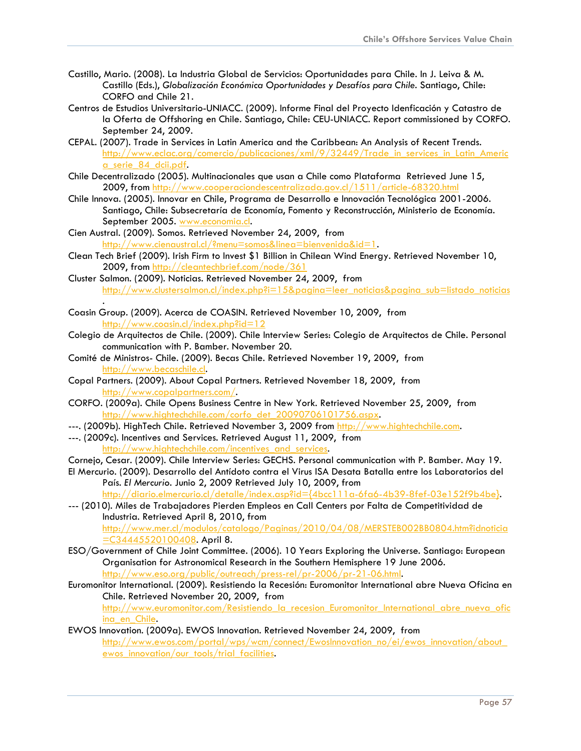- Castillo, Mario. (2008). La Industria Global de Servicios: Oportunidades para Chile. In J. Leiva & M. Castillo (Eds.), *Globalización Económica Oportunidades y Desafíos para Chile*. Santiago, Chile: CORFO and Chile 21.
- Centros de Estudios Universitario-UNIACC. (2009). Informe Final del Proyecto Idenficación y Catastro de la Oferta de Offshoring en Chile. Santiago, Chile: CEU-UNIACC. Report commissioned by CORFO. September 24, 2009.
- CEPAL. (2007). Trade in Services in Latin America and the Caribbean: An Analysis of Recent Trends. [http://www.eclac.org/comercio/publicaciones/xml/9/32449/Trade\\_in\\_services\\_in\\_Latin\\_Americ](http://www.eclac.org/comercio/publicaciones/xml/9/32449/Trade_in_services_in_Latin_America_serie_84_dcii.pdf) [a\\_serie\\_84\\_dcii.pdf.](http://www.eclac.org/comercio/publicaciones/xml/9/32449/Trade_in_services_in_Latin_America_serie_84_dcii.pdf)
- Chile Decentralizado (2005). Multinacionales que usan a Chile como Plataforma Retrieved June 15, 2009, from <http://www.cooperaciondescentralizada.gov.cl/1511/article-68320.html>
- Chile Innova. (2005). Innovar en Chile, Programa de Desarrollo e Innovación Tecnológica 2001-2006. Santiago, Chile: Subsecretaría de Economía, Fomento y Reconstrucción, Ministerio de Economía. September 2005. [www.economia.cl.](http://www.economia.cl/)
- Cien Austral. (2009). Somos. Retrieved November 24, 2009, from <http://www.cienaustral.cl/?menu=somos&linea=bienvenida&id=1>.
- Clean Tech Brief (2009). Irish Firm to Invest \$1 Billion in Chilean Wind Energy. Retrieved November 10, 2009, from <http://cleantechbrief.com/node/361>
- Cluster Salmon. (2009). Noticias. Retrieved November 24, 2009, from [http://www.clustersalmon.cl/index.php?i=15&pagina=leer\\_noticias&pagina\\_sub=listado\\_noticias](http://www.clustersalmon.cl/index.php?i=15&pagina=leer_noticias&pagina_sub=listado_noticias)
- . Coasin Group. (2009). Acerca de COASIN. Retrieved November 10, 2009, from http://www.coasin.cl/index.php?id=12
- Colegio de Arquitectos de Chile. (2009). Chile Interview Series: Colegio de Arquitectos de Chile. Personal communication with P. Bamber. November 20.
- Comité de Ministros- Chile. (2009). Becas Chile. Retrieved November 19, 2009, from [http://www.becaschile.cl.](http://www.becaschile.cl/)
- Copal Partners. (2009). About Copal Partners. Retrieved November 18, 2009, from <http://www.copalpartners.com/>.
- CORFO. (2009a). Chile Opens Business Centre in New York. Retrieved November 25, 2009, from [http://www.hightechchile.com/corfo\\_det\\_20090706101756.aspx](http://www.hightechchile.com/corfo_det_20090706101756.aspx).
- ---. (2009b). HighTech Chile. Retrieved November 3, 2009 from [http://www.hightechchile.com.](http://www.hightechchile.com/)
- ---. (2009c). Incentives and Services. Retrieved August 11, 2009, from http://www.hightechchile.com/incentives and services.
- Cornejo, Cesar. (2009). Chile Interview Series: GECHS. Personal communication with P. Bamber. May 19.
- El Mercurio. (2009). Desarrollo del Antídoto contra el Virus ISA Desata Batalla entre los Laboratorios del País*. El Mercurio*. Junio 2, 2009 Retrieved July 10, 2009, from [http://diario.elmercurio.cl/detalle/index.asp?id={4bcc111a-6fa6-4b39-8fef-03e152f9b4be}.](http://diario.elmercurio.cl/detalle/index.asp?id=%7B4bcc111a-6fa6-4b39-8fef-03e152f9b4be%7D)
- --- (2010). Miles de Trabajadores Pierden Empleos en Call Centers por Falta de Competitividad de Industria. Retrieved April 8, 2010, from [http://www.mer.cl/modulos/catalogo/Paginas/2010/04/08/MERSTEB002BB0804.htm?idnoticia](http://www.mer.cl/modulos/catalogo/Paginas/2010/04/08/MERSTEB002BB0804.htm?idnoticia=C34445520100408)
- [=C34445520100408.](http://www.mer.cl/modulos/catalogo/Paginas/2010/04/08/MERSTEB002BB0804.htm?idnoticia=C34445520100408) April 8. ESO/Government of Chile Joint Committee. (2006). 10 Years Exploring the Universe. Santiago: European Organisation for Astronomical Research in the Southern Hemisphere 19 June 2006. [http://www.eso.org/public/outreach/press-rel/pr-2006/pr-21-06.html.](http://www.eso.org/public/outreach/press-rel/pr-2006/pr-21-06.html)
- Euromonitor International. (2009). Resistiendo la Recesión: Euromonitor International abre Nueva Oficina en Chile. Retrieved November 20, 2009, from http://www.euromonitor.com/Resistiendo la recesion Euromonitor International abre nueva ofic ina en Chile.
- EWOS Innovation. (2009a). EWOS Innovation. Retrieved November 24, 2009, from http://www.ewos.com/portal/wps/wcm/connect/Ewoslnnovation\_no/ei/ewos\_innovation/about\_ [ewos\\_innovation/our\\_tools/trial\\_facilities.](http://www.ewos.com/portal/wps/wcm/connect/EwosInnovation_no/ei/ewos_innovation/about_ewos_innovation/our_tools/trial_facilities)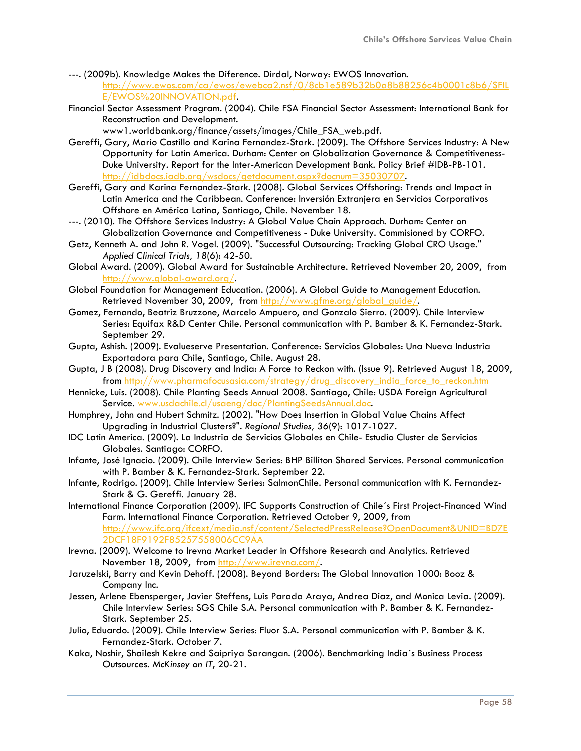- ---. (2009b). Knowledge Makes the Diference. Dirdal, Norway: EWOS Innovation. [http://www.ewos.com/ca/ewos/ewebca2.nsf/0/8cb1e589b32b0a8b88256c4b0001c8b6/\\$FIL](http://www.ewos.com/ca/ewos/ewebca2.nsf/0/8cb1e589b32b0a8b88256c4b0001c8b6/$FILE/EWOS%20INNOVATION.pdf) [E/EWOS%20INNOVATION.pdf](http://www.ewos.com/ca/ewos/ewebca2.nsf/0/8cb1e589b32b0a8b88256c4b0001c8b6/$FILE/EWOS%20INNOVATION.pdf).
- Financial Sector Assessment Program. (2004). Chile FSA Financial Sector Assessment: International Bank for Reconstruction and Development.

www1.worldbank.org/finance/assets/images/Chile\_FSA\_web.pdf.

- Gereffi, Gary, Mario Castillo and Karina Fernandez-Stark. (2009). The Offshore Services Industry: A New Opportunity for Latin America. Durham: Center on Globalization Governance & Competitiveness-Duke University. Report for the Inter-American Development Bank. Policy Brief #IDB-PB-101. [http://idbdocs.iadb.org/wsdocs/getdocument.aspx?docnum=35030707.](http://idbdocs.iadb.org/wsdocs/getdocument.aspx?docnum=35030707)
- Gereffi, Gary and Karina Fernandez-Stark. (2008). Global Services Offshoring: Trends and Impact in Latin America and the Caribbean. Conference: Inversión Extranjera en Servicios Corporativos Offshore en América Latina, Santiago, Chile. November 18.
- ---. (2010). The Offshore Services Industry: A Global Value Chain Approach. Durham: Center on Globalization Governance and Competitiveness - Duke University. Commisioned by CORFO.
- Getz, Kenneth A. and John R. Vogel. (2009). "Successful Outsourcing: Tracking Global CRO Usage." *Applied Clinical Trials, 18*(6): 42-50.
- Global Award. (2009). Global Award for Sustainable Architecture. Retrieved November 20, 2009, from <http://www.global-award.org/>.
- Global Foundation for Management Education. (2006). A Global Guide to Management Education. Retrieved November 30, 2009, from [http://www.gfme.org/global\\_guide/](http://www.gfme.org/global_guide/).
- Gomez, Fernando, Beatriz Bruzzone, Marcelo Ampuero, and Gonzalo Sierro. (2009). Chile Interview Series: Equifax R&D Center Chile. Personal communication with P. Bamber & K. Fernandez-Stark. September 29.
- Gupta, Ashish. (2009). Evalueserve Presentation. Conference: Servicios Globales: Una Nueva Industria Exportadora para Chile, Santiago, Chile. August 28.
- Gupta, J B (2008). Drug Discovery and India: A Force to Reckon with. (Issue 9). Retrieved August 18, 2009, from [http://www.pharmafocusasia.com/strategy/drug\\_discovery\\_india\\_force\\_to\\_reckon.htm](http://www.pharmafocusasia.com/strategy/drug_discovery_india_force_to_reckon.htm)
- Hennicke, Luis. (2008). Chile Planting Seeds Annual 2008. Santiago, Chile: USDA Foreign Agricultural Service. [www.usdachile.cl/usaeng/doc/PlantingSeedsAnnual.doc.](http://www.usdachile.cl/usaeng/doc/PlantingSeedsAnnual.doc)
- Humphrey, John and Hubert Schmitz. (2002). "How Does Insertion in Global Value Chains Affect Upgrading in Industrial Clusters?". *Regional Studies, 36*(9): 1017-1027.
- IDC Latin America. (2009). La Industria de Servicios Globales en Chile- Estudio Cluster de Servicios Globales. Santiago: CORFO.
- Infante, José Ignacio. (2009). Chile Interview Series: BHP Billiton Shared Services. Personal communication with P. Bamber & K. Fernandez-Stark. September 22.
- Infante, Rodrigo. (2009). Chile Interview Series: SalmonChile. Personal communication with K. Fernandez-Stark & G. Gereffi. January 28.
- International Finance Corporation (2009). IFC Supports Construction of Chile´s First Project-Financed Wind Farm. International Finance Corporation. Retrieved October 9, 2009, from [http://www.ifc.org/ifcext/media.nsf/content/SelectedPressRelease?OpenDocument&UNID=BD7E](http://www.ifc.org/ifcext/media.nsf/content/SelectedPressRelease?OpenDocument&UNID=BD7E2DCF18F9192F85257558006CC9AA) [2DCF18F9192F85257558006CC9AA](http://www.ifc.org/ifcext/media.nsf/content/SelectedPressRelease?OpenDocument&UNID=BD7E2DCF18F9192F85257558006CC9AA)
- Irevna. (2009). Welcome to Irevna Market Leader in Offshore Research and Analytics. Retrieved November 18, 2009, from<http://www.irevna.com/>.
- Jaruzelski, Barry and Kevin Dehoff. (2008). Beyond Borders: The Global Innovation 1000: Booz & Company Inc.
- Jessen, Arlene Ebensperger, Javier Steffens, Luis Parada Araya, Andrea Diaz, and Monica Levia. (2009). Chile Interview Series: SGS Chile S.A. Personal communication with P. Bamber & K. Fernandez-Stark. September 25.
- Julio, Eduardo. (2009). Chile Interview Series: Fluor S.A. Personal communication with P. Bamber & K. Fernandez-Stark. October 7.
- Kaka, Noshir, Shailesh Kekre and Saipriya Sarangan. (2006). Benchmarking India´s Business Process Outsources. *McKinsey on IT*, 20-21.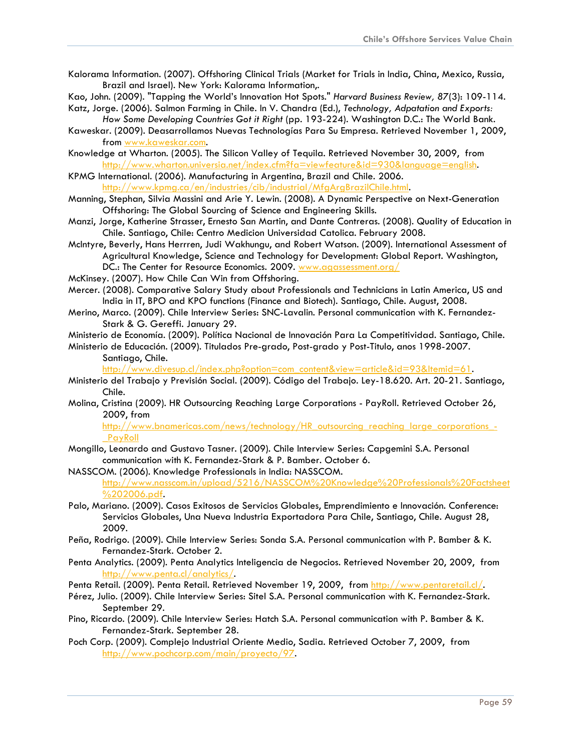- Kalorama Information. (2007). Offshoring Clinical Trials (Market for Trials in India, China, Mexico, Russia, Brazil and Israel). New York: Kalorama Information,.
- Kao, John. (2009). "Tapping the World's Innovation Hot Spots." *Harvard Business Review, 87*(3): 109-114. Katz, Jorge. (2006). Salmon Farming in Chile. In V. Chandra (Ed.), *Technology, Adpatation and Exports:*
- *How Some Developing Countries Got it Right* (pp. 193-224). Washington D.C.: The World Bank. Kaweskar. (2009). Deasarrollamos Nuevas Technologías Para Su Empresa. Retrieved November 1, 2009,
- from [www.kaweskar.com.](http://www.kaweskar.com/)
- Knowledge at Wharton. (2005). The Silicon Valley of Tequila. Retrieved November 30, 2009, from [http://www.wharton.universia.net/index.cfm?fa=viewfeature&id=930&language=english.](http://www.wharton.universia.net/index.cfm?fa=viewfeature&id=930&language=english)
- KPMG International. (2006). Manufacturing in Argentina, Brazil and Chile. 2006. [http://www.kpmg.ca/en/industries/cib/industrial/MfgArgBrazilChile.html.](http://www.kpmg.ca/en/industries/cib/industrial/MfgArgBrazilChile.html)
- Manning, Stephan, Silvia Massini and Arie Y. Lewin. (2008). A Dynamic Perspective on Next-Generation Offshoring: The Global Sourcing of Science and Engineering Skills.
- Manzi, Jorge, Katherine Strasser, Ernesto San Martin, and Dante Contreras. (2008). Quality of Education in Chile. Santiago, Chile: Centro Medicion Universidad Catolica. February 2008.
- McIntyre, Beverly, Hans Herrren, Judi Wakhungu, and Robert Watson. (2009). International Assessment of Agricultural Knowledge, Science and Technology for Development: Global Report. Washington, DC.: The Center for Resource Economics. 2009. [www.agassessment.org/](http://www.agassessment.org/)
- McKinsey. (2007). How Chile Can Win from Offshoring.
- Mercer. (2008). Comparative Salary Study about Professionals and Technicians in Latin America, US and India in IT, BPO and KPO functions (Finance and Biotech). Santiago, Chile. August, 2008.
- Merino, Marco. (2009). Chile Interview Series: SNC-Lavalin. Personal communication with K. Fernandez-Stark & G. Gereffi. January 29.
- Ministerio de Economía. (2009). Política Nacional de Innovación Para La Competitividad. Santiago, Chile.
- Ministerio de Educación. (2009). Titulados Pre-grado, Post-grado y Post-Titulo, anos 1998-2007. Santiago, Chile.

[http://www.divesup.cl/index.php?option=com\\_content&view=article&id=93&Itemid=61](http://www.divesup.cl/index.php?option=com_content&view=article&id=93&Itemid=61).

- Ministerio del Trabajo y Previsión Social. (2009). Código del Trabajo. Ley-18.620. Art. 20-21. Santiago, Chile.
- Molina, Cristina (2009). HR Outsourcing Reaching Large Corporations PayRoll. Retrieved October 26, 2009, from

[http://www.bnamericas.com/news/technology/HR\\_outsourcing\\_reaching\\_large\\_corporations\\_-](http://www.bnamericas.com/news/technology/HR_outsourcing_reaching_large_corporations_-_PayRoll) **PayRoll** 

- Mongillo, Leonardo and Gustavo Tasner. (2009). Chile Interview Series: Capgemini S.A. Personal communication with K. Fernandez-Stark & P. Bamber. October 6.
- NASSCOM. (2006). Knowledge Professionals in India: NASSCOM. [http://www.nasscom.in/upload/5216/NASSCOM%20Knowledge%20Professionals%20Factsheet](http://www.nasscom.in/upload/5216/NASSCOM%20Knowledge%20Professionals%20Factsheet%202006.pdf) [%202006.pdf.](http://www.nasscom.in/upload/5216/NASSCOM%20Knowledge%20Professionals%20Factsheet%202006.pdf)
- Palo, Mariano. (2009). Casos Exitosos de Servicios Globales, Emprendimiento e Innovación. Conference: Servicios Globales, Una Nueva Industria Exportadora Para Chile, Santiago, Chile. August 28, 2009.
- Peña, Rodrigo. (2009). Chile Interview Series: Sonda S.A. Personal communication with P. Bamber & K. Fernandez-Stark. October 2.
- Penta Analytics. (2009). Penta Analytics Inteligencia de Negocios. Retrieved November 20, 2009, from <http://www.penta.cl/analytics/>.
- Penta Retail. (2009). Penta Retail. Retrieved November 19, 2009, from<http://www.pentaretail.cl/>.
- Pérez, Julio. (2009). Chile Interview Series: Sitel S.A. Personal communication with K. Fernandez-Stark. September 29.
- Pino, Ricardo. (2009). Chile Interview Series: Hatch S.A. Personal communication with P. Bamber & K. Fernandez-Stark. September 28.
- Poch Corp. (2009). Complejo Industrial Oriente Medio, Sadia. Retrieved October 7, 2009, from [http://www.pochcorp.com/main/proyecto/97.](http://www.pochcorp.com/main/proyecto/97)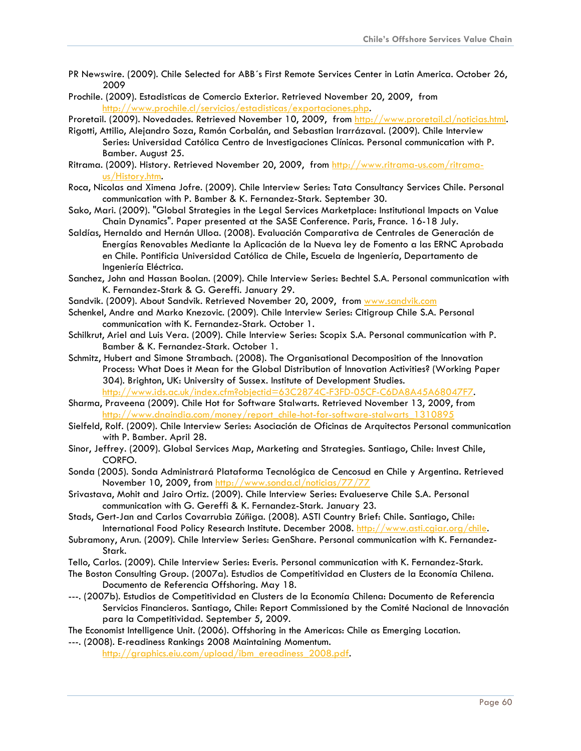- PR Newswire. (2009). Chile Selected for ABB´s First Remote Services Center in Latin America. October 26, 2009
- Prochile. (2009). Estadisticas de Comercio Exterior. Retrieved November 20, 2009, from <http://www.prochile.cl/servicios/estadisticas/exportaciones.php>.
- Proretail. (2009). Novedades. Retrieved November 10, 2009, from [http://www.proretail.cl/noticias.html.](http://www.proretail.cl/noticias.html)
- Rigotti, Attilio, Alejandro Soza, Ramón Corbalán, and Sebastian Irarrázaval. (2009). Chile Interview Series: Universidad Católica Centro de Investigaciones Clínicas. Personal communication with P. Bamber. August 25.
- Ritrama. (2009). History. Retrieved November 20, 2009, from [http://www.ritrama-us.com/ritrama](http://www.ritrama-us.com/ritrama-us/History.htm)[us/History.htm.](http://www.ritrama-us.com/ritrama-us/History.htm)
- Roca, Nicolas and Ximena Jofre. (2009). Chile Interview Series: Tata Consultancy Services Chile. Personal communication with P. Bamber & K. Fernandez-Stark. September 30.
- Sako, Mari. (2009). "Global Strategies in the Legal Services Marketplace: Institutional Impacts on Value Chain Dynamics". Paper presented at the SASE Conference. Paris, France. 16-18 July.
- Saldías, Hernaldo and Hernán Ulloa. (2008). Evaluación Comparativa de Centrales de Generación de Energías Renovables Mediante la Aplicación de la Nueva ley de Fomento a las ERNC Aprobada en Chile. Pontificia Universidad Católica de Chile, Escuela de Ingeniería, Departamento de Ingeniería Eléctrica.
- Sanchez, John and Hassan Boolan. (2009). Chile Interview Series: Bechtel S.A. Personal communication with K. Fernandez-Stark & G. Gereffi. January 29.
- Sandvik. (2009). About Sandvik. Retrieved November 20, 2009, from [www.sandvik.com](http://www.sandvik.com/)
- Schenkel, Andre and Marko Knezovic. (2009). Chile Interview Series: Citigroup Chile S.A. Personal communication with K. Fernandez-Stark. October 1.
- Schilkrut, Ariel and Luis Vera. (2009). Chile Interview Series: Scopix S.A. Personal communication with P. Bamber & K. Fernandez-Stark. October 1.
- Schmitz, Hubert and Simone Strambach. (2008). The Organisational Decomposition of the Innovation Process: What Does it Mean for the Global Distribution of Innovation Activities? (Working Paper 304). Brighton, UK: University of Sussex. Institute of Development Studies. <http://www.ids.ac.uk/index.cfm?objectid=63C2874C-F3FD-05CF-C6DA8A45A68047F7>.
- Sharma, Praveena (2009). Chile Hot for Software Stalwarts. Retrieved November 13, 2009, from [http://www.dnaindia.com/money/report\\_chile-hot-for-software-stalwarts\\_1310895](http://www.dnaindia.com/money/report_chile-hot-for-software-stalwarts_1310895)
- Sielfeld, Rolf. (2009). Chile Interview Series: Asociación de Oficinas de Arquitectos Personal communication with P. Bamber. April 28.
- Sinor, Jeffrey. (2009). Global Services Map, Marketing and Strategies. Santiago, Chile: Invest Chile, CORFO.
- Sonda (2005). Sonda Administrará Plataforma Tecnológica de Cencosud en Chile y Argentina. Retrieved November 10, 2009, from<http://www.sonda.cl/noticias/77/77>
- Srivastava, Mohit and Jairo Ortiz. (2009). Chile Interview Series: Evalueserve Chile S.A. Personal communication with G. Gereffi & K. Fernandez-Stark. January 23.
- Stads, Gert-Jan and Carlos Covarrubia Zúñiga. (2008). ASTI Country Brief: Chile. Santiago, Chile: International Food Policy Research Institute. December 2008. <http://www.asti.cgiar.org/chile>.
- Subramony, Arun. (2009). Chile Interview Series: GenShare. Personal communication with K. Fernandez-Stark.
- Tello, Carlos. (2009). Chile Interview Series: Everis. Personal communication with K. Fernandez-Stark.
- The Boston Consulting Group. (2007a). Estudios de Competitividad en Clusters de la Economía Chilena. Documento de Referencia Offshoring. May 18.
- ---. (2007b). Estudios de Competitividad en Clusters de la Economía Chilena: Documento de Referencia Servicios Financieros. Santiago, Chile: Report Commissioned by the Comité Nacional de Innovación para la Competitividad. September 5, 2009.

#### The Economist Intelligence Unit. (2006). Offshoring in the Americas: Chile as Emerging Location.

---. (2008). E-readiness Rankings 2008 Maintaining Momentum. [http://graphics.eiu.com/upload/ibm\\_ereadiness\\_2008.pdf.](http://graphics.eiu.com/upload/ibm_ereadiness_2008.pdf)